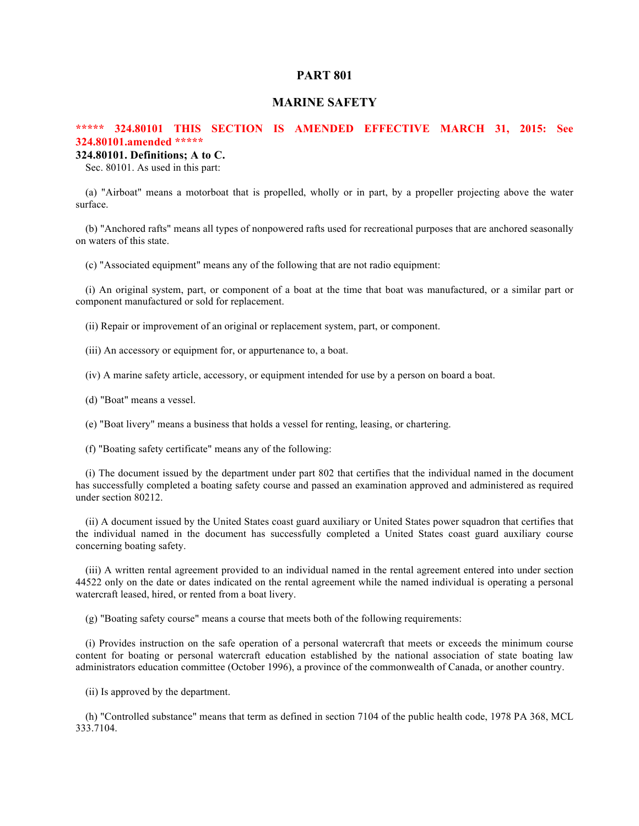# **PART 801**

# **MARINE SAFETY**

# **\*\*\*\*\* 324.80101 THIS SECTION IS AMENDED EFFECTIVE MARCH 31, 2015: See 324.80101.amended \*\*\*\*\***

# **324.80101. Definitions; A to C.**

Sec. 80101. As used in this part:

(a) "Airboat" means a motorboat that is propelled, wholly or in part, by a propeller projecting above the water surface.

(b) "Anchored rafts" means all types of nonpowered rafts used for recreational purposes that are anchored seasonally on waters of this state.

(c) "Associated equipment" means any of the following that are not radio equipment:

(i) An original system, part, or component of a boat at the time that boat was manufactured, or a similar part or component manufactured or sold for replacement.

(ii) Repair or improvement of an original or replacement system, part, or component.

(iii) An accessory or equipment for, or appurtenance to, a boat.

(iv) A marine safety article, accessory, or equipment intended for use by a person on board a boat.

(d) "Boat" means a vessel.

(e) "Boat livery" means a business that holds a vessel for renting, leasing, or chartering.

(f) "Boating safety certificate" means any of the following:

(i) The document issued by the department under part 802 that certifies that the individual named in the document has successfully completed a boating safety course and passed an examination approved and administered as required under section 80212.

(ii) A document issued by the United States coast guard auxiliary or United States power squadron that certifies that the individual named in the document has successfully completed a United States coast guard auxiliary course concerning boating safety.

(iii) A written rental agreement provided to an individual named in the rental agreement entered into under section 44522 only on the date or dates indicated on the rental agreement while the named individual is operating a personal watercraft leased, hired, or rented from a boat livery.

(g) "Boating safety course" means a course that meets both of the following requirements:

(i) Provides instruction on the safe operation of a personal watercraft that meets or exceeds the minimum course content for boating or personal watercraft education established by the national association of state boating law administrators education committee (October 1996), a province of the commonwealth of Canada, or another country.

(ii) Is approved by the department.

(h) "Controlled substance" means that term as defined in section 7104 of the public health code, 1978 PA 368, MCL 333.7104.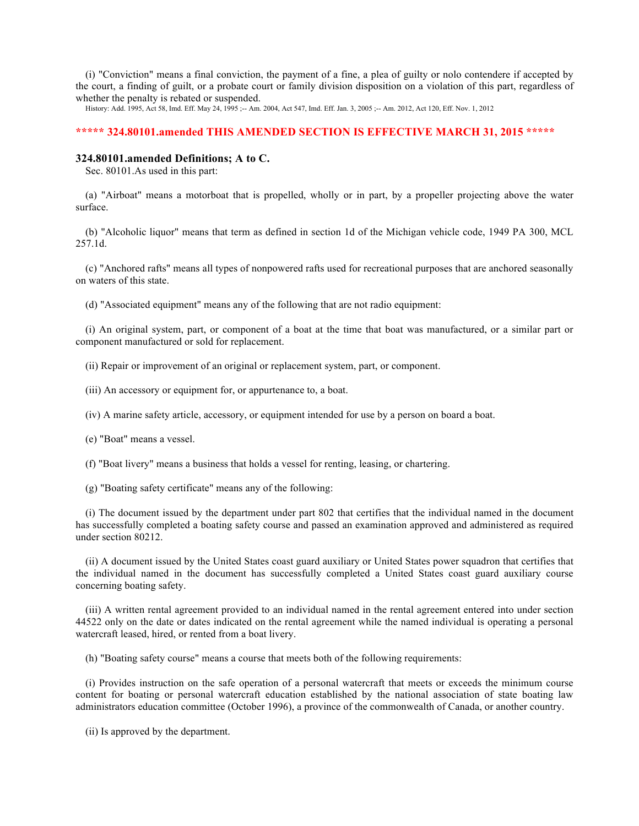(i) "Conviction" means a final conviction, the payment of a fine, a plea of guilty or nolo contendere if accepted by the court, a finding of guilt, or a probate court or family division disposition on a violation of this part, regardless of whether the penalty is rebated or suspended.

History: Add. 1995, Act 58, Imd. Eff. May 24, 1995 ;-- Am. 2004, Act 547, Imd. Eff. Jan. 3, 2005 ;-- Am. 2012, Act 120, Eff. Nov. 1, 2012

# **\*\*\*\*\* 324.80101.amended THIS AMENDED SECTION IS EFFECTIVE MARCH 31, 2015 \*\*\*\*\***

## **324.80101.amended Definitions; A to C.**

Sec. 80101.As used in this part:

(a) "Airboat" means a motorboat that is propelled, wholly or in part, by a propeller projecting above the water surface.

(b) "Alcoholic liquor" means that term as defined in section 1d of the Michigan vehicle code, 1949 PA 300, MCL 257.1d.

(c) "Anchored rafts" means all types of nonpowered rafts used for recreational purposes that are anchored seasonally on waters of this state.

(d) "Associated equipment" means any of the following that are not radio equipment:

(i) An original system, part, or component of a boat at the time that boat was manufactured, or a similar part or component manufactured or sold for replacement.

(ii) Repair or improvement of an original or replacement system, part, or component.

(iii) An accessory or equipment for, or appurtenance to, a boat.

(iv) A marine safety article, accessory, or equipment intended for use by a person on board a boat.

(e) "Boat" means a vessel.

(f) "Boat livery" means a business that holds a vessel for renting, leasing, or chartering.

(g) "Boating safety certificate" means any of the following:

(i) The document issued by the department under part 802 that certifies that the individual named in the document has successfully completed a boating safety course and passed an examination approved and administered as required under section 80212.

(ii) A document issued by the United States coast guard auxiliary or United States power squadron that certifies that the individual named in the document has successfully completed a United States coast guard auxiliary course concerning boating safety.

(iii) A written rental agreement provided to an individual named in the rental agreement entered into under section 44522 only on the date or dates indicated on the rental agreement while the named individual is operating a personal watercraft leased, hired, or rented from a boat livery.

(h) "Boating safety course" means a course that meets both of the following requirements:

(i) Provides instruction on the safe operation of a personal watercraft that meets or exceeds the minimum course content for boating or personal watercraft education established by the national association of state boating law administrators education committee (October 1996), a province of the commonwealth of Canada, or another country.

(ii) Is approved by the department.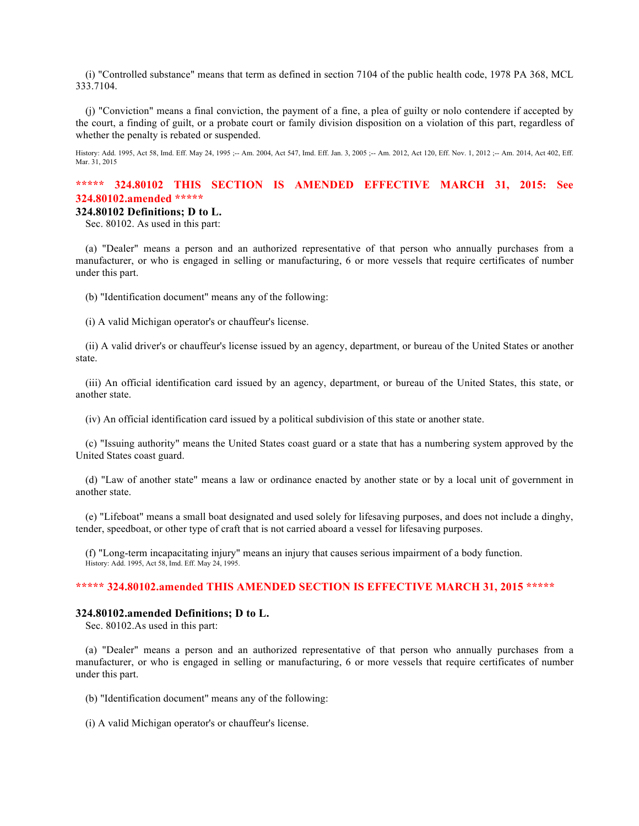(i) "Controlled substance" means that term as defined in section 7104 of the public health code, 1978 PA 368, MCL 333.7104.

(j) "Conviction" means a final conviction, the payment of a fine, a plea of guilty or nolo contendere if accepted by the court, a finding of guilt, or a probate court or family division disposition on a violation of this part, regardless of whether the penalty is rebated or suspended.

History: Add. 1995, Act 58, Imd. Eff. May 24, 1995 ;-- Am. 2004, Act 547, Imd. Eff. Jan. 3, 2005 ;-- Am. 2012, Act 120, Eff. Nov. 1, 2012 ;-- Am. 2014, Act 402, Eff. Mar. 31, 2015

# **\*\*\*\*\* 324.80102 THIS SECTION IS AMENDED EFFECTIVE MARCH 31, 2015: See 324.80102.amended \*\*\*\*\***

### **324.80102 Definitions; D to L.**

Sec. 80102. As used in this part:

(a) "Dealer" means a person and an authorized representative of that person who annually purchases from a manufacturer, or who is engaged in selling or manufacturing, 6 or more vessels that require certificates of number under this part.

(b) "Identification document" means any of the following:

(i) A valid Michigan operator's or chauffeur's license.

(ii) A valid driver's or chauffeur's license issued by an agency, department, or bureau of the United States or another state.

(iii) An official identification card issued by an agency, department, or bureau of the United States, this state, or another state.

(iv) An official identification card issued by a political subdivision of this state or another state.

(c) "Issuing authority" means the United States coast guard or a state that has a numbering system approved by the United States coast guard.

(d) "Law of another state" means a law or ordinance enacted by another state or by a local unit of government in another state.

(e) "Lifeboat" means a small boat designated and used solely for lifesaving purposes, and does not include a dinghy, tender, speedboat, or other type of craft that is not carried aboard a vessel for lifesaving purposes.

(f) "Long-term incapacitating injury" means an injury that causes serious impairment of a body function. History: Add. 1995, Act 58, Imd. Eff. May 24, 1995.

## **\*\*\*\*\* 324.80102.amended THIS AMENDED SECTION IS EFFECTIVE MARCH 31, 2015 \*\*\*\*\***

### **324.80102.amended Definitions; D to L.**

Sec. 80102.As used in this part:

(a) "Dealer" means a person and an authorized representative of that person who annually purchases from a manufacturer, or who is engaged in selling or manufacturing, 6 or more vessels that require certificates of number under this part.

(b) "Identification document" means any of the following:

(i) A valid Michigan operator's or chauffeur's license.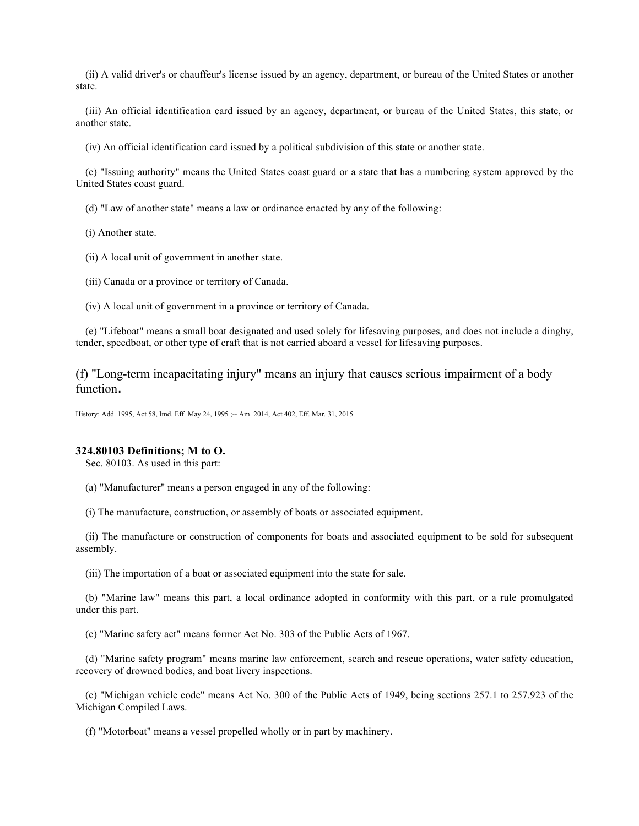(ii) A valid driver's or chauffeur's license issued by an agency, department, or bureau of the United States or another state.

(iii) An official identification card issued by an agency, department, or bureau of the United States, this state, or another state.

(iv) An official identification card issued by a political subdivision of this state or another state.

(c) "Issuing authority" means the United States coast guard or a state that has a numbering system approved by the United States coast guard.

(d) "Law of another state" means a law or ordinance enacted by any of the following:

(i) Another state.

(ii) A local unit of government in another state.

(iii) Canada or a province or territory of Canada.

(iv) A local unit of government in a province or territory of Canada.

(e) "Lifeboat" means a small boat designated and used solely for lifesaving purposes, and does not include a dinghy, tender, speedboat, or other type of craft that is not carried aboard a vessel for lifesaving purposes.

(f) "Long-term incapacitating injury" means an injury that causes serious impairment of a body function.

History: Add. 1995, Act 58, Imd. Eff. May 24, 1995 ;-- Am. 2014, Act 402, Eff. Mar. 31, 2015

#### **324.80103 Definitions; M to O.**

Sec. 80103. As used in this part:

(a) "Manufacturer" means a person engaged in any of the following:

(i) The manufacture, construction, or assembly of boats or associated equipment.

(ii) The manufacture or construction of components for boats and associated equipment to be sold for subsequent assembly.

(iii) The importation of a boat or associated equipment into the state for sale.

(b) "Marine law" means this part, a local ordinance adopted in conformity with this part, or a rule promulgated under this part.

(c) "Marine safety act" means former Act No. 303 of the Public Acts of 1967.

(d) "Marine safety program" means marine law enforcement, search and rescue operations, water safety education, recovery of drowned bodies, and boat livery inspections.

(e) "Michigan vehicle code" means Act No. 300 of the Public Acts of 1949, being sections 257.1 to 257.923 of the Michigan Compiled Laws.

(f) "Motorboat" means a vessel propelled wholly or in part by machinery.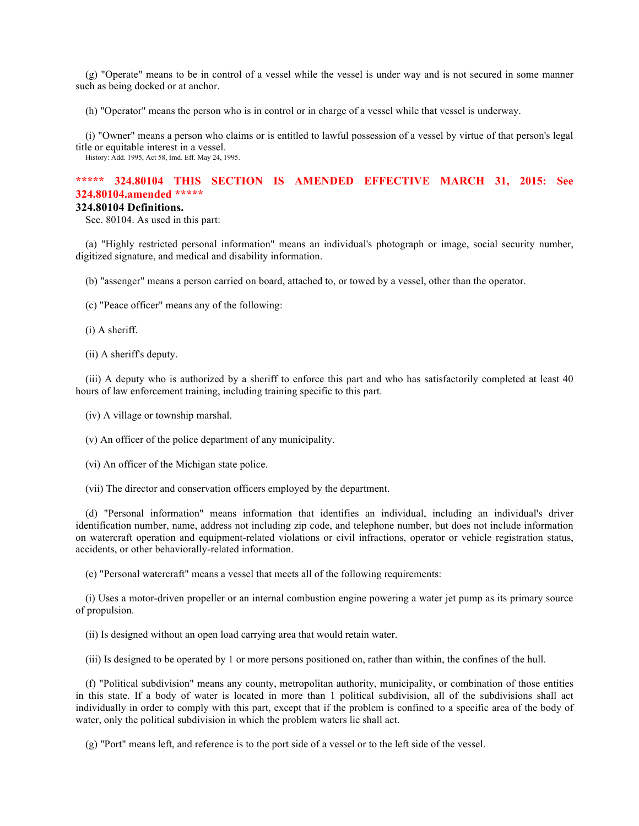(g) "Operate" means to be in control of a vessel while the vessel is under way and is not secured in some manner such as being docked or at anchor.

(h) "Operator" means the person who is in control or in charge of a vessel while that vessel is underway.

(i) "Owner" means a person who claims or is entitled to lawful possession of a vessel by virtue of that person's legal title or equitable interest in a vessel.

History: Add. 1995, Act 58, Imd. Eff. May 24, 1995.

# **\*\*\*\*\* 324.80104 THIS SECTION IS AMENDED EFFECTIVE MARCH 31, 2015: See 324.80104.amended \*\*\*\*\***

## **324.80104 Definitions.**

Sec. 80104. As used in this part:

(a) "Highly restricted personal information" means an individual's photograph or image, social security number, digitized signature, and medical and disability information.

(b) "assenger" means a person carried on board, attached to, or towed by a vessel, other than the operator.

(c) "Peace officer" means any of the following:

(i) A sheriff.

(ii) A sheriff's deputy.

(iii) A deputy who is authorized by a sheriff to enforce this part and who has satisfactorily completed at least 40 hours of law enforcement training, including training specific to this part.

- (iv) A village or township marshal.
- (v) An officer of the police department of any municipality.
- (vi) An officer of the Michigan state police.
- (vii) The director and conservation officers employed by the department.

(d) "Personal information" means information that identifies an individual, including an individual's driver identification number, name, address not including zip code, and telephone number, but does not include information on watercraft operation and equipment-related violations or civil infractions, operator or vehicle registration status, accidents, or other behaviorally-related information.

(e) "Personal watercraft" means a vessel that meets all of the following requirements:

(i) Uses a motor-driven propeller or an internal combustion engine powering a water jet pump as its primary source of propulsion.

(ii) Is designed without an open load carrying area that would retain water.

(iii) Is designed to be operated by 1 or more persons positioned on, rather than within, the confines of the hull.

(f) "Political subdivision" means any county, metropolitan authority, municipality, or combination of those entities in this state. If a body of water is located in more than 1 political subdivision, all of the subdivisions shall act individually in order to comply with this part, except that if the problem is confined to a specific area of the body of water, only the political subdivision in which the problem waters lie shall act.

(g) "Port" means left, and reference is to the port side of a vessel or to the left side of the vessel.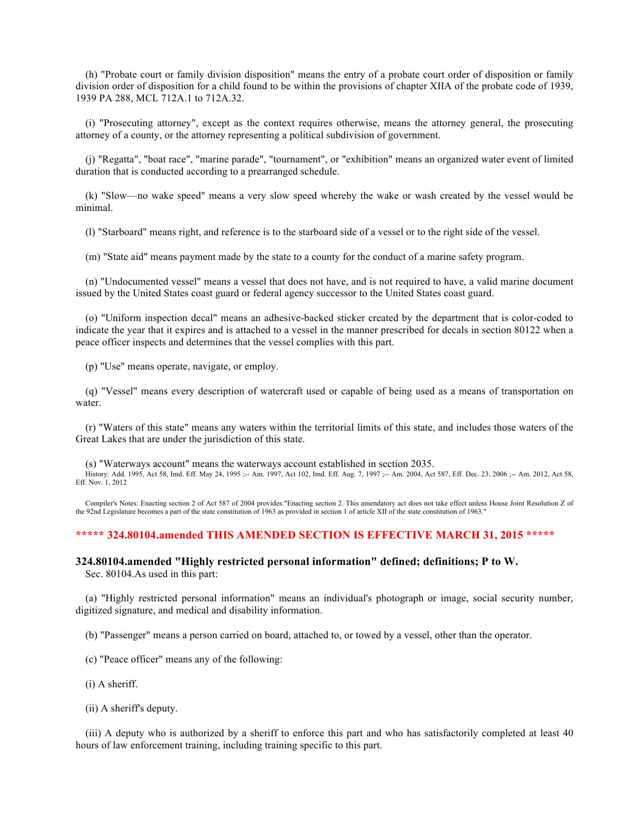(h) "Probate court or family division disposition" means the entry of a probate court order of disposition or family division order of disposition for a child found to be within the provisions of chapter XIIA of the probate code of 1939, 1939 PA 288, MCL 712A.1 to 712A.32.

(i) "Prosecuting attorney", except as the context requires otherwise, means the attorney general, the prosecuting attorney of a county, or the attorney representing a political subdivision of government.

(j) "Regatta", "boat race", "marine parade", "tournament", or "exhibition" means an organized water event of limited duration that is conducted according to a prearranged schedule.

(k) "Slow—no wake speed" means a very slow speed whereby the wake or wash created by the vessel would be minimal.

(l) "Starboard" means right, and reference is to the starboard side of a vessel or to the right side of the vessel.

(m) "State aid" means payment made by the state to a county for the conduct of a marine safety program.

(n) "Undocumented vessel" means a vessel that does not have, and is not required to have, a valid marine document issued by the United States coast guard or federal agency successor to the United States coast guard.

(o) "Uniform inspection decal" means an adhesive-backed sticker created by the department that is color-coded to indicate the year that it expires and is attached to a vessel in the manner prescribed for decals in section 80122 when a peace officer inspects and determines that the vessel complies with this part.

(p) "Use" means operate, navigate, or employ.

(q) "Vessel" means every description of watercraft used or capable of being used as a means of transportation on water.

(r) "Waters of this state" means any waters within the territorial limits of this state, and includes those waters of the Great Lakes that are under the jurisdiction of this state.

(s) "Waterways account" means the waterways account established in section 2035. History: Add. 1995, Act 58, Imd. Eff. May 24, 1995 ;-- Am. 1997, Act 102, Imd. Eff. Aug. 7, 1997 ;-- Am. 2004, Act 587, Eff. Dec. 23, 2006 ;-- Am. 2012, Act 58, Eff. Nov. 1, 2012

Compiler's Notes: Enacting section 2 of Act 587 of 2004 provides:"Enacting section 2. This amendatory act does not take effect unless House Joint Resolution Z of the 92nd Legislature becomes a part of the state constitution of 1963 as provided in section 1 of article XII of the state constitution of 1963."

## **\*\*\*\*\* 324.80104.amended THIS AMENDED SECTION IS EFFECTIVE MARCH 31, 2015 \*\*\*\*\***

# **324.80104.amended "Highly restricted personal information" defined; definitions; P to W.**

Sec. 80104.As used in this part:

(a) "Highly restricted personal information" means an individual's photograph or image, social security number, digitized signature, and medical and disability information.

(b) "Passenger" means a person carried on board, attached to, or towed by a vessel, other than the operator.

(c) "Peace officer" means any of the following:

- (i) A sheriff.
- (ii) A sheriff's deputy.

(iii) A deputy who is authorized by a sheriff to enforce this part and who has satisfactorily completed at least 40 hours of law enforcement training, including training specific to this part.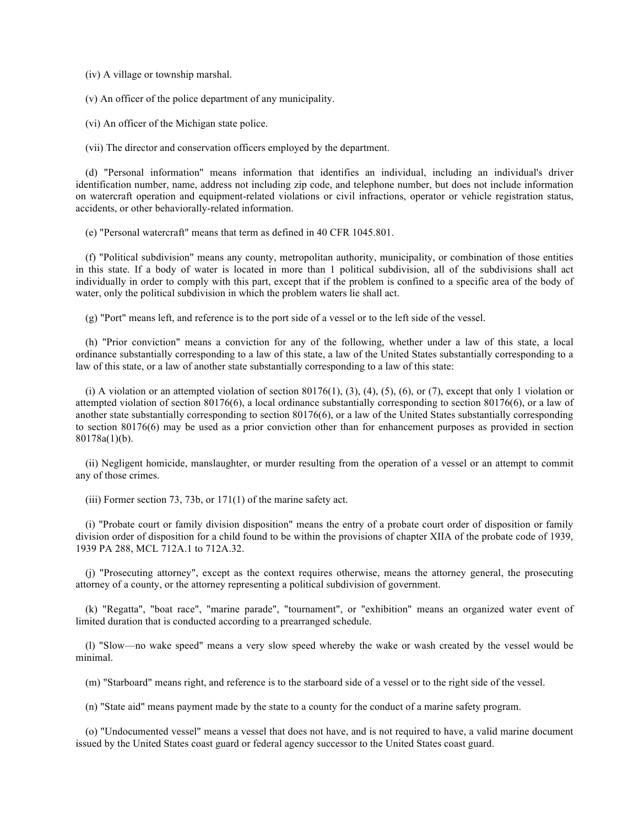(iv) A village or township marshal.

(v) An officer of the police department of any municipality.

(vi) An officer of the Michigan state police.

(vii) The director and conservation officers employed by the department.

(d) "Personal information" means information that identifies an individual, including an individual's driver identification number, name, address not including zip code, and telephone number, but does not include information on watercraft operation and equipment-related violations or civil infractions, operator or vehicle registration status, accidents, or other behaviorally-related information.

(e) "Personal watercraft" means that term as defined in 40 CFR 1045.801.

(f) "Political subdivision" means any county, metropolitan authority, municipality, or combination of those entities in this state. If a body of water is located in more than 1 political subdivision, all of the subdivisions shall act individually in order to comply with this part, except that if the problem is confined to a specific area of the body of water, only the political subdivision in which the problem waters lie shall act.

(g) "Port" means left, and reference is to the port side of a vessel or to the left side of the vessel.

(h) "Prior conviction" means a conviction for any of the following, whether under a law of this state, a local ordinance substantially corresponding to a law of this state, a law of the United States substantially corresponding to a law of this state, or a law of another state substantially corresponding to a law of this state:

(i) A violation or an attempted violation of section 80176(1), (3), (4), (5), (6), or (7), except that only 1 violation or attempted violation of section 80176(6), a local ordinance substantially corresponding to section 80176(6), or a law of another state substantially corresponding to section 80176(6), or a law of the United States substantially corresponding to section 80176(6) may be used as a prior conviction other than for enhancement purposes as provided in section 80178a(1)(b).

(ii) Negligent homicide, manslaughter, or murder resulting from the operation of a vessel or an attempt to commit any of those crimes.

(iii) Former section 73, 73b, or 171(1) of the marine safety act.

(i) "Probate court or family division disposition" means the entry of a probate court order of disposition or family division order of disposition for a child found to be within the provisions of chapter XIIA of the probate code of 1939, 1939 PA 288, MCL 712A.1 to 712A.32.

(j) "Prosecuting attorney", except as the context requires otherwise, means the attorney general, the prosecuting attorney of a county, or the attorney representing a political subdivision of government.

(k) "Regatta", "boat race", "marine parade", "tournament", or "exhibition" means an organized water event of limited duration that is conducted according to a prearranged schedule.

(l) "Slow—no wake speed" means a very slow speed whereby the wake or wash created by the vessel would be minimal.

(m) "Starboard" means right, and reference is to the starboard side of a vessel or to the right side of the vessel.

(n) "State aid" means payment made by the state to a county for the conduct of a marine safety program.

(o) "Undocumented vessel" means a vessel that does not have, and is not required to have, a valid marine document issued by the United States coast guard or federal agency successor to the United States coast guard.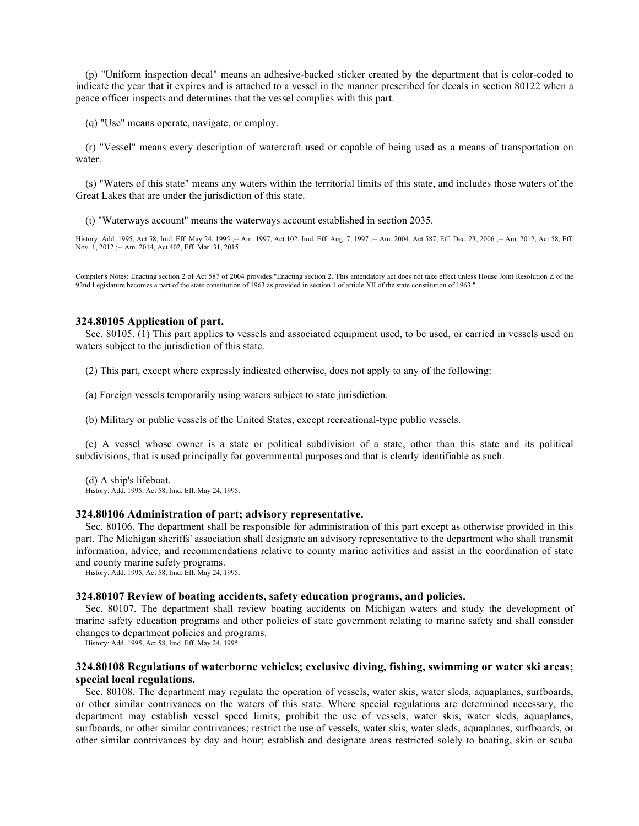(p) "Uniform inspection decal" means an adhesive-backed sticker created by the department that is color-coded to indicate the year that it expires and is attached to a vessel in the manner prescribed for decals in section 80122 when a peace officer inspects and determines that the vessel complies with this part.

(q) "Use" means operate, navigate, or employ.

(r) "Vessel" means every description of watercraft used or capable of being used as a means of transportation on water.

(s) "Waters of this state" means any waters within the territorial limits of this state, and includes those waters of the Great Lakes that are under the jurisdiction of this state.

(t) "Waterways account" means the waterways account established in section 2035.

History: Add. 1995, Act 58, Imd. Eff. May 24, 1995 ;-- Am. 1997, Act 102, Imd. Eff. Aug. 7, 1997 ;-- Am. 2004, Act 587, Eff. Dec. 23, 2006 ;-- Am. 2012, Act 58, Eff. Nov. 1, 2012 ;-- Am. 2014, Act 402, Eff. Mar. 31, 2015

Compiler's Notes: Enacting section 2 of Act 587 of 2004 provides:"Enacting section 2. This amendatory act does not take effect unless House Joint Resolution Z of the 92nd Legislature becomes a part of the state constitution of 1963 as provided in section 1 of article XII of the state constitution of 1963."

## **324.80105 Application of part.**

Sec. 80105. (1) This part applies to vessels and associated equipment used, to be used, or carried in vessels used on waters subject to the jurisdiction of this state.

(2) This part, except where expressly indicated otherwise, does not apply to any of the following:

(a) Foreign vessels temporarily using waters subject to state jurisdiction.

(b) Military or public vessels of the United States, except recreational-type public vessels.

(c) A vessel whose owner is a state or political subdivision of a state, other than this state and its political subdivisions, that is used principally for governmental purposes and that is clearly identifiable as such.

(d) A ship's lifeboat. History: Add. 1995, Act 58, Imd. Eff. May 24, 1995.

#### **324.80106 Administration of part; advisory representative.**

Sec. 80106. The department shall be responsible for administration of this part except as otherwise provided in this part. The Michigan sheriffs' association shall designate an advisory representative to the department who shall transmit information, advice, and recommendations relative to county marine activities and assist in the coordination of state and county marine safety programs.

History: Add. 1995, Act 58, Imd. Eff. May 24, 1995.

#### **324.80107 Review of boating accidents, safety education programs, and policies.**

Sec. 80107. The department shall review boating accidents on Michigan waters and study the development of marine safety education programs and other policies of state government relating to marine safety and shall consider changes to department policies and programs.

History: Add. 1995, Act 58, Imd. Eff. May 24, 1995.

## **324.80108 Regulations of waterborne vehicles; exclusive diving, fishing, swimming or water ski areas; special local regulations.**

Sec. 80108. The department may regulate the operation of vessels, water skis, water sleds, aquaplanes, surfboards, or other similar contrivances on the waters of this state. Where special regulations are determined necessary, the department may establish vessel speed limits; prohibit the use of vessels, water skis, water sleds, aquaplanes, surfboards, or other similar contrivances; restrict the use of vessels, water skis, water sleds, aquaplanes, surfboards, or other similar contrivances by day and hour; establish and designate areas restricted solely to boating, skin or scuba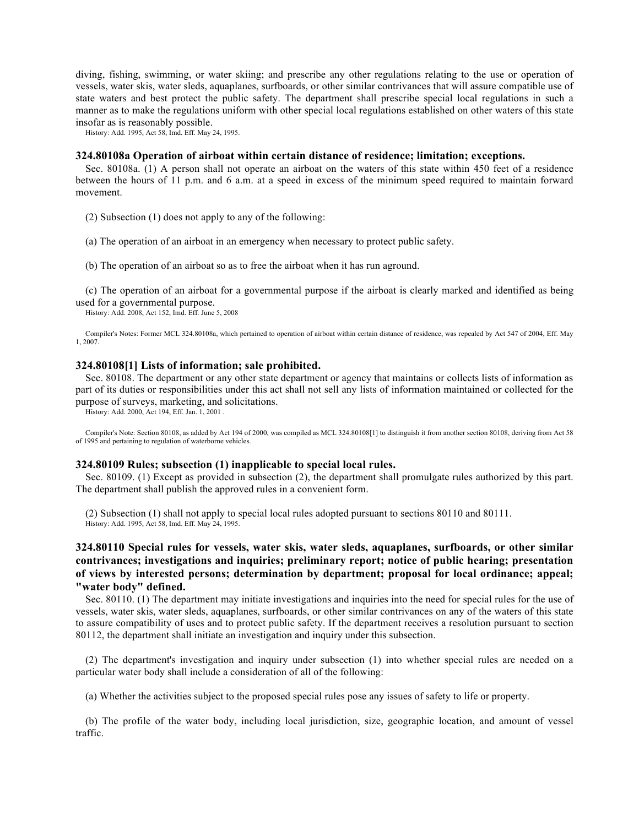diving, fishing, swimming, or water skiing; and prescribe any other regulations relating to the use or operation of vessels, water skis, water sleds, aquaplanes, surfboards, or other similar contrivances that will assure compatible use of state waters and best protect the public safety. The department shall prescribe special local regulations in such a manner as to make the regulations uniform with other special local regulations established on other waters of this state insofar as is reasonably possible.

History: Add. 1995, Act 58, Imd. Eff. May 24, 1995.

#### **324.80108a Operation of airboat within certain distance of residence; limitation; exceptions.**

Sec. 80108a. (1) A person shall not operate an airboat on the waters of this state within 450 feet of a residence between the hours of 11 p.m. and 6 a.m. at a speed in excess of the minimum speed required to maintain forward movement.

(2) Subsection (1) does not apply to any of the following:

(a) The operation of an airboat in an emergency when necessary to protect public safety.

(b) The operation of an airboat so as to free the airboat when it has run aground.

(c) The operation of an airboat for a governmental purpose if the airboat is clearly marked and identified as being used for a governmental purpose.

History: Add. 2008, Act 152, Imd. Eff. June 5, 2008

Compiler's Notes: Former MCL 324.80108a, which pertained to operation of airboat within certain distance of residence, was repealed by Act 547 of 2004, Eff. May 1, 2007.

#### **324.80108[1] Lists of information; sale prohibited.**

Sec. 80108. The department or any other state department or agency that maintains or collects lists of information as part of its duties or responsibilities under this act shall not sell any lists of information maintained or collected for the purpose of surveys, marketing, and solicitations.

History: Add. 2000, Act 194, Eff. Jan. 1, 2001 .

Compiler's Note: Section 80108, as added by Act 194 of 2000, was compiled as MCL 324.80108[1] to distinguish it from another section 80108, deriving from Act 58 of 1995 and pertaining to regulation of waterborne vehicles.

#### **324.80109 Rules; subsection (1) inapplicable to special local rules.**

Sec. 80109. (1) Except as provided in subsection (2), the department shall promulgate rules authorized by this part. The department shall publish the approved rules in a convenient form.

(2) Subsection (1) shall not apply to special local rules adopted pursuant to sections 80110 and 80111. History: Add. 1995, Act 58, Imd. Eff. May 24, 1995.

# **324.80110 Special rules for vessels, water skis, water sleds, aquaplanes, surfboards, or other similar contrivances; investigations and inquiries; preliminary report; notice of public hearing; presentation of views by interested persons; determination by department; proposal for local ordinance; appeal; "water body" defined.**

Sec. 80110. (1) The department may initiate investigations and inquiries into the need for special rules for the use of vessels, water skis, water sleds, aquaplanes, surfboards, or other similar contrivances on any of the waters of this state to assure compatibility of uses and to protect public safety. If the department receives a resolution pursuant to section 80112, the department shall initiate an investigation and inquiry under this subsection.

(2) The department's investigation and inquiry under subsection (1) into whether special rules are needed on a particular water body shall include a consideration of all of the following:

(a) Whether the activities subject to the proposed special rules pose any issues of safety to life or property.

(b) The profile of the water body, including local jurisdiction, size, geographic location, and amount of vessel traffic.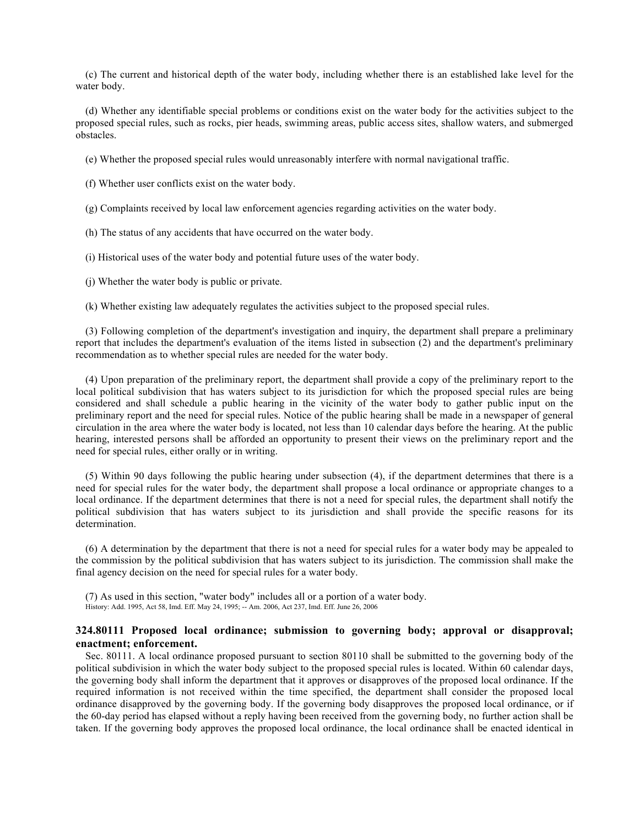(c) The current and historical depth of the water body, including whether there is an established lake level for the water body.

(d) Whether any identifiable special problems or conditions exist on the water body for the activities subject to the proposed special rules, such as rocks, pier heads, swimming areas, public access sites, shallow waters, and submerged obstacles.

(e) Whether the proposed special rules would unreasonably interfere with normal navigational traffic.

(f) Whether user conflicts exist on the water body.

(g) Complaints received by local law enforcement agencies regarding activities on the water body.

(h) The status of any accidents that have occurred on the water body.

(i) Historical uses of the water body and potential future uses of the water body.

(j) Whether the water body is public or private.

(k) Whether existing law adequately regulates the activities subject to the proposed special rules.

(3) Following completion of the department's investigation and inquiry, the department shall prepare a preliminary report that includes the department's evaluation of the items listed in subsection (2) and the department's preliminary recommendation as to whether special rules are needed for the water body.

(4) Upon preparation of the preliminary report, the department shall provide a copy of the preliminary report to the local political subdivision that has waters subject to its jurisdiction for which the proposed special rules are being considered and shall schedule a public hearing in the vicinity of the water body to gather public input on the preliminary report and the need for special rules. Notice of the public hearing shall be made in a newspaper of general circulation in the area where the water body is located, not less than 10 calendar days before the hearing. At the public hearing, interested persons shall be afforded an opportunity to present their views on the preliminary report and the need for special rules, either orally or in writing.

(5) Within 90 days following the public hearing under subsection (4), if the department determines that there is a need for special rules for the water body, the department shall propose a local ordinance or appropriate changes to a local ordinance. If the department determines that there is not a need for special rules, the department shall notify the political subdivision that has waters subject to its jurisdiction and shall provide the specific reasons for its determination.

(6) A determination by the department that there is not a need for special rules for a water body may be appealed to the commission by the political subdivision that has waters subject to its jurisdiction. The commission shall make the final agency decision on the need for special rules for a water body.

(7) As used in this section, "water body" includes all or a portion of a water body. History: Add. 1995, Act 58, Imd. Eff. May 24, 1995; -- Am. 2006, Act 237, Imd. Eff. June 26, 2006

# **324.80111 Proposed local ordinance; submission to governing body; approval or disapproval; enactment; enforcement.**

Sec. 80111. A local ordinance proposed pursuant to section 80110 shall be submitted to the governing body of the political subdivision in which the water body subject to the proposed special rules is located. Within 60 calendar days, the governing body shall inform the department that it approves or disapproves of the proposed local ordinance. If the required information is not received within the time specified, the department shall consider the proposed local ordinance disapproved by the governing body. If the governing body disapproves the proposed local ordinance, or if the 60-day period has elapsed without a reply having been received from the governing body, no further action shall be taken. If the governing body approves the proposed local ordinance, the local ordinance shall be enacted identical in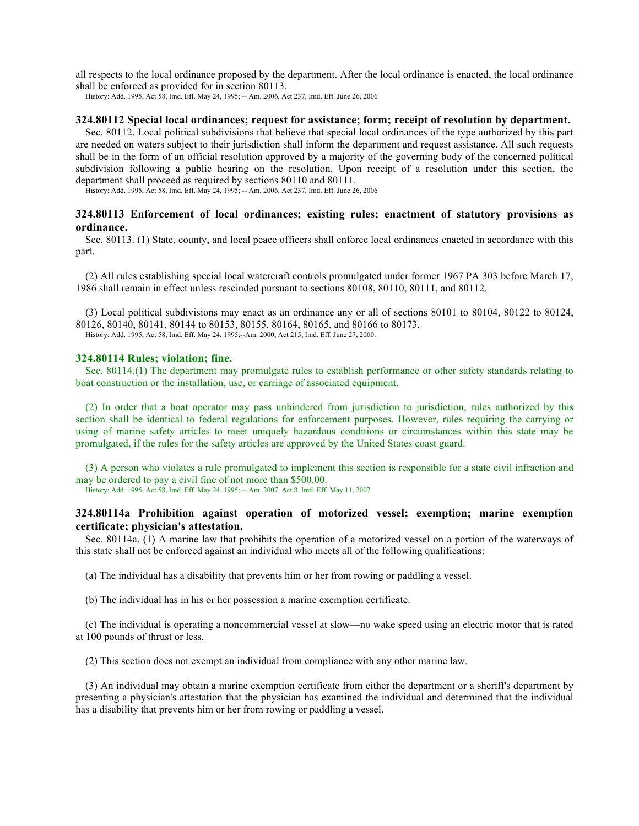all respects to the local ordinance proposed by the department. After the local ordinance is enacted, the local ordinance shall be enforced as provided for in section 80113.

History: Add. 1995, Act 58, Imd. Eff. May 24, 1995; -- Am. 2006, Act 237, Imd. Eff. June 26, 2006

### **324.80112 Special local ordinances; request for assistance; form; receipt of resolution by department.**

Sec. 80112. Local political subdivisions that believe that special local ordinances of the type authorized by this part are needed on waters subject to their jurisdiction shall inform the department and request assistance. All such requests shall be in the form of an official resolution approved by a majority of the governing body of the concerned political subdivision following a public hearing on the resolution. Upon receipt of a resolution under this section, the department shall proceed as required by sections 80110 and 80111.

History: Add. 1995, Act 58, Imd. Eff. May 24, 1995; -- Am. 2006, Act 237, Imd. Eff. June 26, 2006

## **324.80113 Enforcement of local ordinances; existing rules; enactment of statutory provisions as ordinance.**

Sec. 80113. (1) State, county, and local peace officers shall enforce local ordinances enacted in accordance with this part.

(2) All rules establishing special local watercraft controls promulgated under former 1967 PA 303 before March 17, 1986 shall remain in effect unless rescinded pursuant to sections 80108, 80110, 80111, and 80112.

(3) Local political subdivisions may enact as an ordinance any or all of sections 80101 to 80104, 80122 to 80124, 80126, 80140, 80141, 80144 to 80153, 80155, 80164, 80165, and 80166 to 80173. History: Add. 1995, Act 58, Imd. Eff. May 24, 1995;--Am. 2000, Act 215, Imd. Eff. June 27, 2000.

#### **324.80114 Rules; violation; fine.**

Sec. 80114.(1) The department may promulgate rules to establish performance or other safety standards relating to boat construction or the installation, use, or carriage of associated equipment.

(2) In order that a boat operator may pass unhindered from jurisdiction to jurisdiction, rules authorized by this section shall be identical to federal regulations for enforcement purposes. However, rules requiring the carrying or using of marine safety articles to meet uniquely hazardous conditions or circumstances within this state may be promulgated, if the rules for the safety articles are approved by the United States coast guard.

(3) A person who violates a rule promulgated to implement this section is responsible for a state civil infraction and may be ordered to pay a civil fine of not more than \$500.00.

History: Add. 1995, Act 58, Imd. Eff. May 24, 1995; -- Am. 2007, Act 8, Imd. Eff. May 11, 2007

# **324.80114a Prohibition against operation of motorized vessel; exemption; marine exemption certificate; physician's attestation.**

Sec. 80114a. (1) A marine law that prohibits the operation of a motorized vessel on a portion of the waterways of this state shall not be enforced against an individual who meets all of the following qualifications:

(a) The individual has a disability that prevents him or her from rowing or paddling a vessel.

(b) The individual has in his or her possession a marine exemption certificate.

(c) The individual is operating a noncommercial vessel at slow—no wake speed using an electric motor that is rated at 100 pounds of thrust or less.

(2) This section does not exempt an individual from compliance with any other marine law.

(3) An individual may obtain a marine exemption certificate from either the department or a sheriff's department by presenting a physician's attestation that the physician has examined the individual and determined that the individual has a disability that prevents him or her from rowing or paddling a vessel.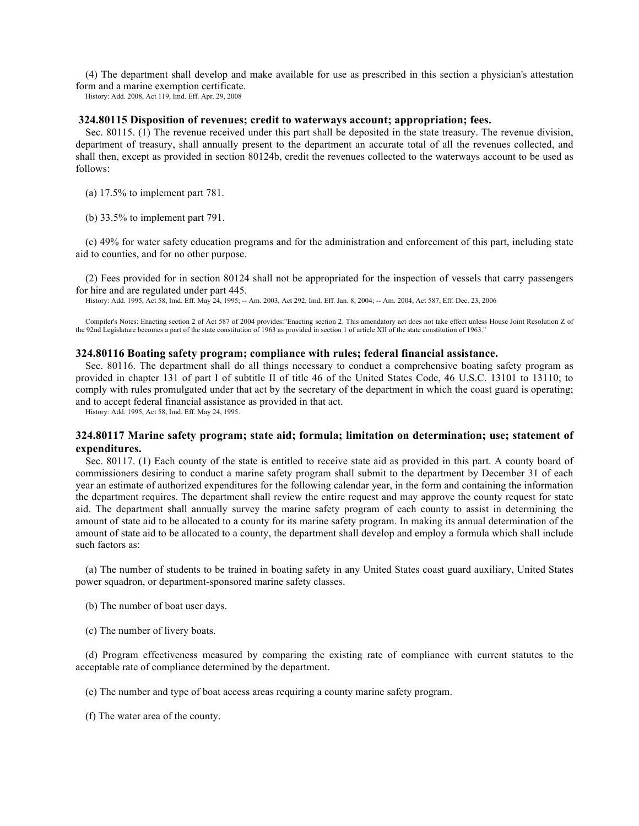(4) The department shall develop and make available for use as prescribed in this section a physician's attestation form and a marine exemption certificate.

History: Add. 2008, Act 119, Imd. Eff. Apr. 29, 2008

#### **324.80115 Disposition of revenues; credit to waterways account; appropriation; fees.**

Sec. 80115. (1) The revenue received under this part shall be deposited in the state treasury. The revenue division, department of treasury, shall annually present to the department an accurate total of all the revenues collected, and shall then, except as provided in section 80124b, credit the revenues collected to the waterways account to be used as follows:

(a) 17.5% to implement part 781.

(b) 33.5% to implement part 791.

(c) 49% for water safety education programs and for the administration and enforcement of this part, including state aid to counties, and for no other purpose.

(2) Fees provided for in section 80124 shall not be appropriated for the inspection of vessels that carry passengers for hire and are regulated under part 445.

History: Add. 1995, Act 58, Imd. Eff. May 24, 1995; -- Am. 2003, Act 292, Imd. Eff. Jan. 8, 2004; -- Am. 2004, Act 587, Eff. Dec. 23, 2006

Compiler's Notes: Enacting section 2 of Act 587 of 2004 provides:"Enacting section 2. This amendatory act does not take effect unless House Joint Resolution Z of the 92nd Legislature becomes a part of the state constitution of 1963 as provided in section 1 of article XII of the state constitution of 1963."

### **324.80116 Boating safety program; compliance with rules; federal financial assistance.**

Sec. 80116. The department shall do all things necessary to conduct a comprehensive boating safety program as provided in chapter 131 of part I of subtitle II of title 46 of the United States Code, 46 U.S.C. 13101 to 13110; to comply with rules promulgated under that act by the secretary of the department in which the coast guard is operating; and to accept federal financial assistance as provided in that act.

History: Add. 1995, Act 58, Imd. Eff. May 24, 1995.

## **324.80117 Marine safety program; state aid; formula; limitation on determination; use; statement of expenditures.**

Sec. 80117. (1) Each county of the state is entitled to receive state aid as provided in this part. A county board of commissioners desiring to conduct a marine safety program shall submit to the department by December 31 of each year an estimate of authorized expenditures for the following calendar year, in the form and containing the information the department requires. The department shall review the entire request and may approve the county request for state aid. The department shall annually survey the marine safety program of each county to assist in determining the amount of state aid to be allocated to a county for its marine safety program. In making its annual determination of the amount of state aid to be allocated to a county, the department shall develop and employ a formula which shall include such factors as:

(a) The number of students to be trained in boating safety in any United States coast guard auxiliary, United States power squadron, or department-sponsored marine safety classes.

- (b) The number of boat user days.
- (c) The number of livery boats.

(d) Program effectiveness measured by comparing the existing rate of compliance with current statutes to the acceptable rate of compliance determined by the department.

(e) The number and type of boat access areas requiring a county marine safety program.

(f) The water area of the county.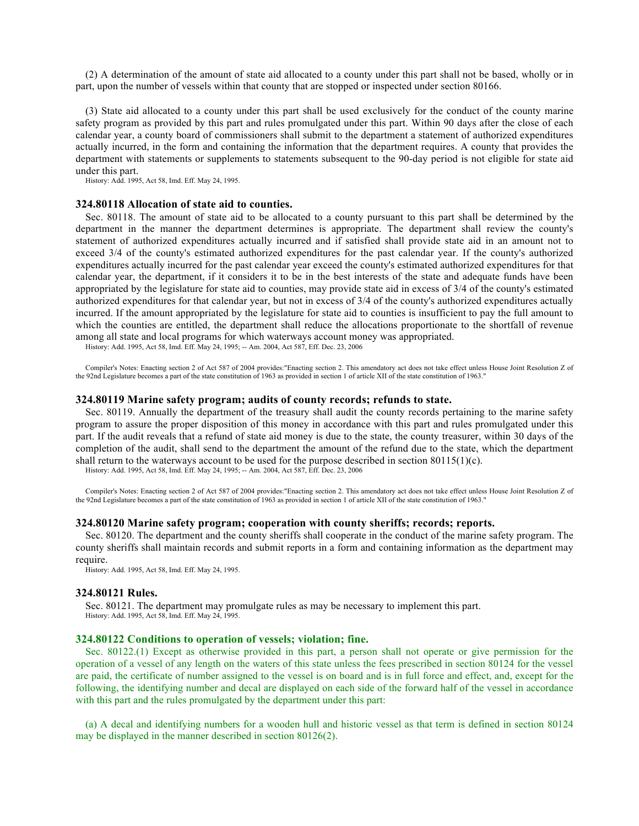(2) A determination of the amount of state aid allocated to a county under this part shall not be based, wholly or in part, upon the number of vessels within that county that are stopped or inspected under section 80166.

(3) State aid allocated to a county under this part shall be used exclusively for the conduct of the county marine safety program as provided by this part and rules promulgated under this part. Within 90 days after the close of each calendar year, a county board of commissioners shall submit to the department a statement of authorized expenditures actually incurred, in the form and containing the information that the department requires. A county that provides the department with statements or supplements to statements subsequent to the 90-day period is not eligible for state aid under this part.

History: Add. 1995, Act 58, Imd. Eff. May 24, 1995.

#### **324.80118 Allocation of state aid to counties.**

Sec. 80118. The amount of state aid to be allocated to a county pursuant to this part shall be determined by the department in the manner the department determines is appropriate. The department shall review the county's statement of authorized expenditures actually incurred and if satisfied shall provide state aid in an amount not to exceed 3/4 of the county's estimated authorized expenditures for the past calendar year. If the county's authorized expenditures actually incurred for the past calendar year exceed the county's estimated authorized expenditures for that calendar year, the department, if it considers it to be in the best interests of the state and adequate funds have been appropriated by the legislature for state aid to counties, may provide state aid in excess of 3/4 of the county's estimated authorized expenditures for that calendar year, but not in excess of 3/4 of the county's authorized expenditures actually incurred. If the amount appropriated by the legislature for state aid to counties is insufficient to pay the full amount to which the counties are entitled, the department shall reduce the allocations proportionate to the shortfall of revenue among all state and local programs for which waterways account money was appropriated.

History: Add. 1995, Act 58, Imd. Eff. May 24, 1995; -- Am. 2004, Act 587, Eff. Dec. 23, 2006

Compiler's Notes: Enacting section 2 of Act 587 of 2004 provides:"Enacting section 2. This amendatory act does not take effect unless House Joint Resolution Z of the 92nd Legislature becomes a part of the state constitution of 1963 as provided in section 1 of article XII of the state constitution of 1963."

#### **324.80119 Marine safety program; audits of county records; refunds to state.**

Sec. 80119. Annually the department of the treasury shall audit the county records pertaining to the marine safety program to assure the proper disposition of this money in accordance with this part and rules promulgated under this part. If the audit reveals that a refund of state aid money is due to the state, the county treasurer, within 30 days of the completion of the audit, shall send to the department the amount of the refund due to the state, which the department shall return to the waterways account to be used for the purpose described in section  $80115(1)(c)$ .

History: Add. 1995, Act 58, Imd. Eff. May 24, 1995; -- Am. 2004, Act 587, Eff. Dec. 23, 2006

Compiler's Notes: Enacting section 2 of Act 587 of 2004 provides:"Enacting section 2. This amendatory act does not take effect unless House Joint Resolution Z of the 92nd Legislature becomes a part of the state constitution of 1963 as provided in section 1 of article XII of the state constitution of 1963."

### **324.80120 Marine safety program; cooperation with county sheriffs; records; reports.**

Sec. 80120. The department and the county sheriffs shall cooperate in the conduct of the marine safety program. The county sheriffs shall maintain records and submit reports in a form and containing information as the department may require.

History: Add. 1995, Act 58, Imd. Eff. May 24, 1995.

#### **324.80121 Rules.**

Sec. 80121. The department may promulgate rules as may be necessary to implement this part. History: Add. 1995, Act 58, Imd. Eff. May 24, 1995.

#### **324.80122 Conditions to operation of vessels; violation; fine.**

Sec. 80122.(1) Except as otherwise provided in this part, a person shall not operate or give permission for the operation of a vessel of any length on the waters of this state unless the fees prescribed in section 80124 for the vessel are paid, the certificate of number assigned to the vessel is on board and is in full force and effect, and, except for the following, the identifying number and decal are displayed on each side of the forward half of the vessel in accordance with this part and the rules promulgated by the department under this part:

(a) A decal and identifying numbers for a wooden hull and historic vessel as that term is defined in section 80124 may be displayed in the manner described in section 80126(2).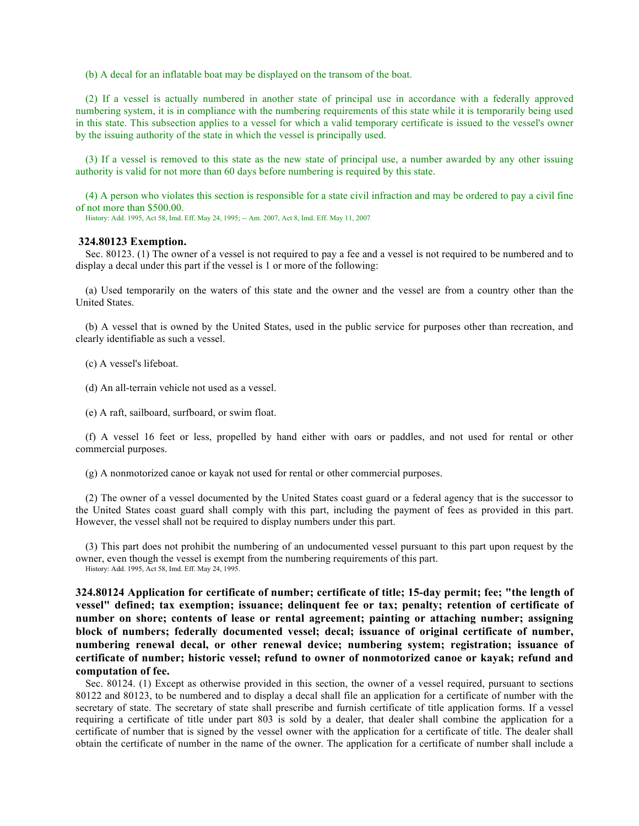(b) A decal for an inflatable boat may be displayed on the transom of the boat.

(2) If a vessel is actually numbered in another state of principal use in accordance with a federally approved numbering system, it is in compliance with the numbering requirements of this state while it is temporarily being used in this state. This subsection applies to a vessel for which a valid temporary certificate is issued to the vessel's owner by the issuing authority of the state in which the vessel is principally used.

(3) If a vessel is removed to this state as the new state of principal use, a number awarded by any other issuing authority is valid for not more than 60 days before numbering is required by this state.

(4) A person who violates this section is responsible for a state civil infraction and may be ordered to pay a civil fine of not more than \$500.00.

History: Add. 1995, Act 58, Imd. Eff. May 24, 1995; -- Am. 2007, Act 8, Imd. Eff. May 11, 2007

### **324.80123 Exemption.**

Sec. 80123. (1) The owner of a vessel is not required to pay a fee and a vessel is not required to be numbered and to display a decal under this part if the vessel is 1 or more of the following:

(a) Used temporarily on the waters of this state and the owner and the vessel are from a country other than the United States.

(b) A vessel that is owned by the United States, used in the public service for purposes other than recreation, and clearly identifiable as such a vessel.

(c) A vessel's lifeboat.

(d) An all-terrain vehicle not used as a vessel.

(e) A raft, sailboard, surfboard, or swim float.

(f) A vessel 16 feet or less, propelled by hand either with oars or paddles, and not used for rental or other commercial purposes.

(g) A nonmotorized canoe or kayak not used for rental or other commercial purposes.

(2) The owner of a vessel documented by the United States coast guard or a federal agency that is the successor to the United States coast guard shall comply with this part, including the payment of fees as provided in this part. However, the vessel shall not be required to display numbers under this part.

(3) This part does not prohibit the numbering of an undocumented vessel pursuant to this part upon request by the owner, even though the vessel is exempt from the numbering requirements of this part. History: Add. 1995, Act 58, Imd. Eff. May 24, 1995.

**324.80124 Application for certificate of number; certificate of title; 15-day permit; fee; "the length of vessel" defined; tax exemption; issuance; delinquent fee or tax; penalty; retention of certificate of number on shore; contents of lease or rental agreement; painting or attaching number; assigning block of numbers; federally documented vessel; decal; issuance of original certificate of number, numbering renewal decal, or other renewal device; numbering system; registration; issuance of certificate of number; historic vessel; refund to owner of nonmotorized canoe or kayak; refund and computation of fee.** 

Sec. 80124. (1) Except as otherwise provided in this section, the owner of a vessel required, pursuant to sections 80122 and 80123, to be numbered and to display a decal shall file an application for a certificate of number with the secretary of state. The secretary of state shall prescribe and furnish certificate of title application forms. If a vessel requiring a certificate of title under part 803 is sold by a dealer, that dealer shall combine the application for a certificate of number that is signed by the vessel owner with the application for a certificate of title. The dealer shall obtain the certificate of number in the name of the owner. The application for a certificate of number shall include a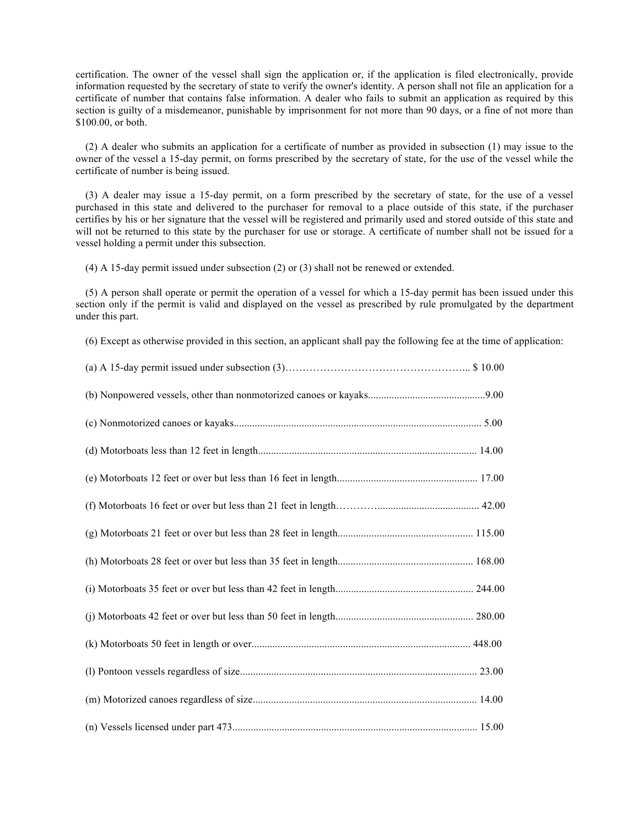certification. The owner of the vessel shall sign the application or, if the application is filed electronically, provide information requested by the secretary of state to verify the owner's identity. A person shall not file an application for a certificate of number that contains false information. A dealer who fails to submit an application as required by this section is guilty of a misdemeanor, punishable by imprisonment for not more than 90 days, or a fine of not more than \$100.00, or both.

(2) A dealer who submits an application for a certificate of number as provided in subsection (1) may issue to the owner of the vessel a 15-day permit, on forms prescribed by the secretary of state, for the use of the vessel while the certificate of number is being issued.

(3) A dealer may issue a 15-day permit, on a form prescribed by the secretary of state, for the use of a vessel purchased in this state and delivered to the purchaser for removal to a place outside of this state, if the purchaser certifies by his or her signature that the vessel will be registered and primarily used and stored outside of this state and will not be returned to this state by the purchaser for use or storage. A certificate of number shall not be issued for a vessel holding a permit under this subsection.

(4) A 15-day permit issued under subsection (2) or (3) shall not be renewed or extended.

(5) A person shall operate or permit the operation of a vessel for which a 15-day permit has been issued under this section only if the permit is valid and displayed on the vessel as prescribed by rule promulgated by the department under this part.

(6) Except as otherwise provided in this section, an applicant shall pay the following fee at the time of application: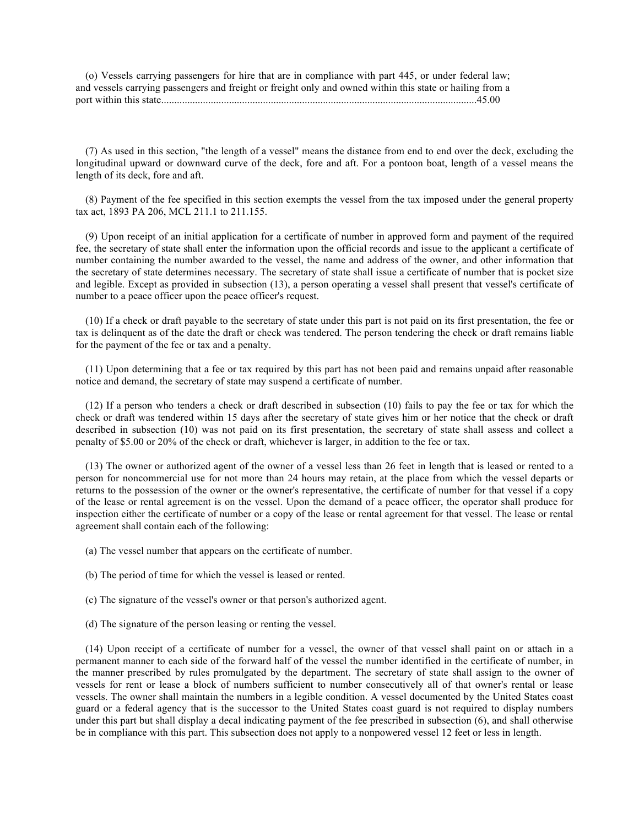(o) Vessels carrying passengers for hire that are in compliance with part 445, or under federal law; and vessels carrying passengers and freight or freight only and owned within this state or hailing from a port within this state.........................................................................................................................45.00

(7) As used in this section, "the length of a vessel" means the distance from end to end over the deck, excluding the longitudinal upward or downward curve of the deck, fore and aft. For a pontoon boat, length of a vessel means the length of its deck, fore and aft.

(8) Payment of the fee specified in this section exempts the vessel from the tax imposed under the general property tax act, 1893 PA 206, MCL 211.1 to 211.155.

(9) Upon receipt of an initial application for a certificate of number in approved form and payment of the required fee, the secretary of state shall enter the information upon the official records and issue to the applicant a certificate of number containing the number awarded to the vessel, the name and address of the owner, and other information that the secretary of state determines necessary. The secretary of state shall issue a certificate of number that is pocket size and legible. Except as provided in subsection (13), a person operating a vessel shall present that vessel's certificate of number to a peace officer upon the peace officer's request.

(10) If a check or draft payable to the secretary of state under this part is not paid on its first presentation, the fee or tax is delinquent as of the date the draft or check was tendered. The person tendering the check or draft remains liable for the payment of the fee or tax and a penalty.

(11) Upon determining that a fee or tax required by this part has not been paid and remains unpaid after reasonable notice and demand, the secretary of state may suspend a certificate of number.

(12) If a person who tenders a check or draft described in subsection (10) fails to pay the fee or tax for which the check or draft was tendered within 15 days after the secretary of state gives him or her notice that the check or draft described in subsection (10) was not paid on its first presentation, the secretary of state shall assess and collect a penalty of \$5.00 or 20% of the check or draft, whichever is larger, in addition to the fee or tax.

(13) The owner or authorized agent of the owner of a vessel less than 26 feet in length that is leased or rented to a person for noncommercial use for not more than 24 hours may retain, at the place from which the vessel departs or returns to the possession of the owner or the owner's representative, the certificate of number for that vessel if a copy of the lease or rental agreement is on the vessel. Upon the demand of a peace officer, the operator shall produce for inspection either the certificate of number or a copy of the lease or rental agreement for that vessel. The lease or rental agreement shall contain each of the following:

(a) The vessel number that appears on the certificate of number.

- (b) The period of time for which the vessel is leased or rented.
- (c) The signature of the vessel's owner or that person's authorized agent.
- (d) The signature of the person leasing or renting the vessel.

(14) Upon receipt of a certificate of number for a vessel, the owner of that vessel shall paint on or attach in a permanent manner to each side of the forward half of the vessel the number identified in the certificate of number, in the manner prescribed by rules promulgated by the department. The secretary of state shall assign to the owner of vessels for rent or lease a block of numbers sufficient to number consecutively all of that owner's rental or lease vessels. The owner shall maintain the numbers in a legible condition. A vessel documented by the United States coast guard or a federal agency that is the successor to the United States coast guard is not required to display numbers under this part but shall display a decal indicating payment of the fee prescribed in subsection (6), and shall otherwise be in compliance with this part. This subsection does not apply to a nonpowered vessel 12 feet or less in length.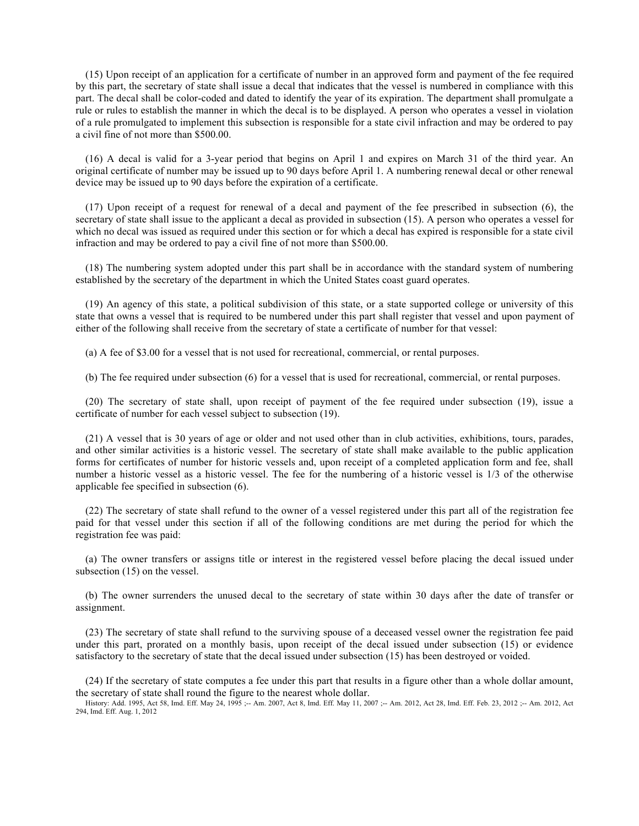(15) Upon receipt of an application for a certificate of number in an approved form and payment of the fee required by this part, the secretary of state shall issue a decal that indicates that the vessel is numbered in compliance with this part. The decal shall be color-coded and dated to identify the year of its expiration. The department shall promulgate a rule or rules to establish the manner in which the decal is to be displayed. A person who operates a vessel in violation of a rule promulgated to implement this subsection is responsible for a state civil infraction and may be ordered to pay a civil fine of not more than \$500.00.

(16) A decal is valid for a 3-year period that begins on April 1 and expires on March 31 of the third year. An original certificate of number may be issued up to 90 days before April 1. A numbering renewal decal or other renewal device may be issued up to 90 days before the expiration of a certificate.

(17) Upon receipt of a request for renewal of a decal and payment of the fee prescribed in subsection (6), the secretary of state shall issue to the applicant a decal as provided in subsection (15). A person who operates a vessel for which no decal was issued as required under this section or for which a decal has expired is responsible for a state civil infraction and may be ordered to pay a civil fine of not more than \$500.00.

(18) The numbering system adopted under this part shall be in accordance with the standard system of numbering established by the secretary of the department in which the United States coast guard operates.

(19) An agency of this state, a political subdivision of this state, or a state supported college or university of this state that owns a vessel that is required to be numbered under this part shall register that vessel and upon payment of either of the following shall receive from the secretary of state a certificate of number for that vessel:

(a) A fee of \$3.00 for a vessel that is not used for recreational, commercial, or rental purposes.

(b) The fee required under subsection (6) for a vessel that is used for recreational, commercial, or rental purposes.

(20) The secretary of state shall, upon receipt of payment of the fee required under subsection (19), issue a certificate of number for each vessel subject to subsection (19).

(21) A vessel that is 30 years of age or older and not used other than in club activities, exhibitions, tours, parades, and other similar activities is a historic vessel. The secretary of state shall make available to the public application forms for certificates of number for historic vessels and, upon receipt of a completed application form and fee, shall number a historic vessel as a historic vessel. The fee for the numbering of a historic vessel is 1/3 of the otherwise applicable fee specified in subsection (6).

(22) The secretary of state shall refund to the owner of a vessel registered under this part all of the registration fee paid for that vessel under this section if all of the following conditions are met during the period for which the registration fee was paid:

(a) The owner transfers or assigns title or interest in the registered vessel before placing the decal issued under subsection  $(15)$  on the vessel.

(b) The owner surrenders the unused decal to the secretary of state within 30 days after the date of transfer or assignment.

(23) The secretary of state shall refund to the surviving spouse of a deceased vessel owner the registration fee paid under this part, prorated on a monthly basis, upon receipt of the decal issued under subsection (15) or evidence satisfactory to the secretary of state that the decal issued under subsection (15) has been destroyed or voided.

(24) If the secretary of state computes a fee under this part that results in a figure other than a whole dollar amount, the secretary of state shall round the figure to the nearest whole dollar.

History: Add. 1995, Act 58, Imd. Eff. May 24, 1995 ;-- Am. 2007, Act 8, Imd. Eff. May 11, 2007 ;-- Am. 2012, Act 28, Imd. Eff. Feb. 23, 2012 ;-- Am. 2012, Act 294, Imd. Eff. Aug. 1, 2012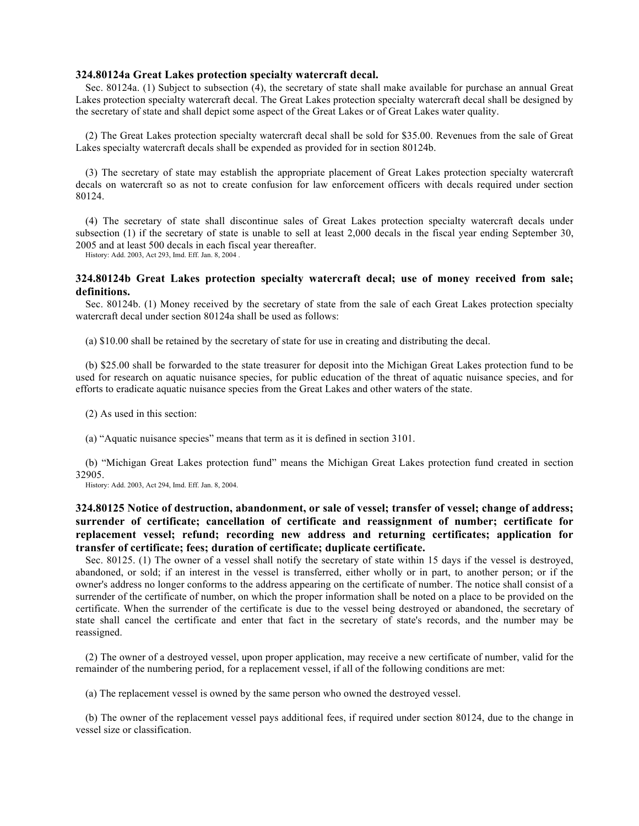# **324.80124a Great Lakes protection specialty watercraft decal.**

Sec. 80124a. (1) Subject to subsection (4), the secretary of state shall make available for purchase an annual Great Lakes protection specialty watercraft decal. The Great Lakes protection specialty watercraft decal shall be designed by the secretary of state and shall depict some aspect of the Great Lakes or of Great Lakes water quality.

(2) The Great Lakes protection specialty watercraft decal shall be sold for \$35.00. Revenues from the sale of Great Lakes specialty watercraft decals shall be expended as provided for in section 80124b.

(3) The secretary of state may establish the appropriate placement of Great Lakes protection specialty watercraft decals on watercraft so as not to create confusion for law enforcement officers with decals required under section 80124.

(4) The secretary of state shall discontinue sales of Great Lakes protection specialty watercraft decals under subsection (1) if the secretary of state is unable to sell at least 2,000 decals in the fiscal year ending September 30, 2005 and at least 500 decals in each fiscal year thereafter.

History: Add. 2003, Act 293, Imd. Eff. Jan. 8, 2004 .

# **324.80124b Great Lakes protection specialty watercraft decal; use of money received from sale; definitions.**

Sec. 80124b. (1) Money received by the secretary of state from the sale of each Great Lakes protection specialty watercraft decal under section 80124a shall be used as follows:

(a) \$10.00 shall be retained by the secretary of state for use in creating and distributing the decal.

(b) \$25.00 shall be forwarded to the state treasurer for deposit into the Michigan Great Lakes protection fund to be used for research on aquatic nuisance species, for public education of the threat of aquatic nuisance species, and for efforts to eradicate aquatic nuisance species from the Great Lakes and other waters of the state.

(2) As used in this section:

(a) "Aquatic nuisance species" means that term as it is defined in section 3101.

(b) "Michigan Great Lakes protection fund" means the Michigan Great Lakes protection fund created in section 32905.

History: Add. 2003, Act 294, Imd. Eff. Jan. 8, 2004.

# **324.80125 Notice of destruction, abandonment, or sale of vessel; transfer of vessel; change of address; surrender of certificate; cancellation of certificate and reassignment of number; certificate for replacement vessel; refund; recording new address and returning certificates; application for transfer of certificate; fees; duration of certificate; duplicate certificate.**

Sec. 80125. (1) The owner of a vessel shall notify the secretary of state within 15 days if the vessel is destroyed, abandoned, or sold; if an interest in the vessel is transferred, either wholly or in part, to another person; or if the owner's address no longer conforms to the address appearing on the certificate of number. The notice shall consist of a surrender of the certificate of number, on which the proper information shall be noted on a place to be provided on the certificate. When the surrender of the certificate is due to the vessel being destroyed or abandoned, the secretary of state shall cancel the certificate and enter that fact in the secretary of state's records, and the number may be reassigned.

(2) The owner of a destroyed vessel, upon proper application, may receive a new certificate of number, valid for the remainder of the numbering period, for a replacement vessel, if all of the following conditions are met:

(a) The replacement vessel is owned by the same person who owned the destroyed vessel.

(b) The owner of the replacement vessel pays additional fees, if required under section 80124, due to the change in vessel size or classification.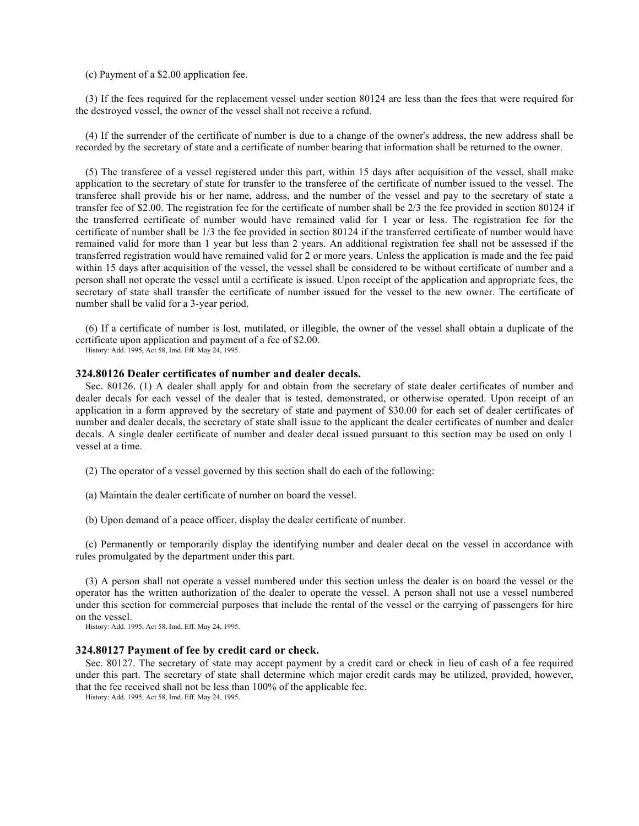(c) Payment of a \$2.00 application fee.

(3) If the fees required for the replacement vessel under section 80124 are less than the fees that were required for the destroyed vessel, the owner of the vessel shall not receive a refund.

(4) If the surrender of the certificate of number is due to a change of the owner's address, the new address shall be recorded by the secretary of state and a certificate of number bearing that information shall be returned to the owner.

(5) The transferee of a vessel registered under this part, within 15 days after acquisition of the vessel, shall make application to the secretary of state for transfer to the transferee of the certificate of number issued to the vessel. The transferee shall provide his or her name, address, and the number of the vessel and pay to the secretary of state a transfer fee of \$2.00. The registration fee for the certificate of number shall be 2/3 the fee provided in section 80124 if the transferred certificate of number would have remained valid for 1 year or less. The registration fee for the certificate of number shall be 1/3 the fee provided in section 80124 if the transferred certificate of number would have remained valid for more than 1 year but less than 2 years. An additional registration fee shall not be assessed if the transferred registration would have remained valid for 2 or more years. Unless the application is made and the fee paid within 15 days after acquisition of the vessel, the vessel shall be considered to be without certificate of number and a person shall not operate the vessel until a certificate is issued. Upon receipt of the application and appropriate fees, the secretary of state shall transfer the certificate of number issued for the vessel to the new owner. The certificate of number shall be valid for a 3-year period.

(6) If a certificate of number is lost, mutilated, or illegible, the owner of the vessel shall obtain a duplicate of the certificate upon application and payment of a fee of \$2.00.

History: Add. 1995, Act 58, Imd. Eff. May 24, 1995.

#### **324.80126 Dealer certificates of number and dealer decals.**

Sec. 80126. (1) A dealer shall apply for and obtain from the secretary of state dealer certificates of number and dealer decals for each vessel of the dealer that is tested, demonstrated, or otherwise operated. Upon receipt of an application in a form approved by the secretary of state and payment of \$30.00 for each set of dealer certificates of number and dealer decals, the secretary of state shall issue to the applicant the dealer certificates of number and dealer decals. A single dealer certificate of number and dealer decal issued pursuant to this section may be used on only 1 vessel at a time.

- (2) The operator of a vessel governed by this section shall do each of the following:
- (a) Maintain the dealer certificate of number on board the vessel.
- (b) Upon demand of a peace officer, display the dealer certificate of number.

(c) Permanently or temporarily display the identifying number and dealer decal on the vessel in accordance with rules promulgated by the department under this part.

(3) A person shall not operate a vessel numbered under this section unless the dealer is on board the vessel or the operator has the written authorization of the dealer to operate the vessel. A person shall not use a vessel numbered under this section for commercial purposes that include the rental of the vessel or the carrying of passengers for hire on the vessel.

History: Add. 1995, Act 58, Imd. Eff. May 24, 1995.

## **324.80127 Payment of fee by credit card or check.**

Sec. 80127. The secretary of state may accept payment by a credit card or check in lieu of cash of a fee required under this part. The secretary of state shall determine which major credit cards may be utilized, provided, however, that the fee received shall not be less than 100% of the applicable fee.

History: Add. 1995, Act 58, Imd. Eff. May 24, 1995.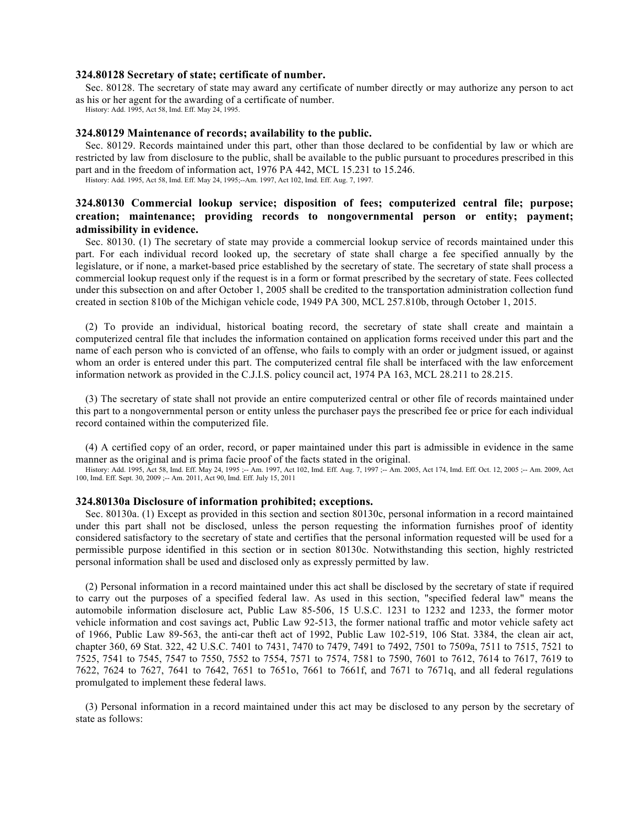## **324.80128 Secretary of state; certificate of number.**

Sec. 80128. The secretary of state may award any certificate of number directly or may authorize any person to act as his or her agent for the awarding of a certificate of number.

History: Add. 1995, Act 58, Imd. Eff. May 24, 1995.

## **324.80129 Maintenance of records; availability to the public.**

Sec. 80129. Records maintained under this part, other than those declared to be confidential by law or which are restricted by law from disclosure to the public, shall be available to the public pursuant to procedures prescribed in this part and in the freedom of information act, 1976 PA 442, MCL 15.231 to 15.246. History: Add. 1995, Act 58, Imd. Eff. May 24, 1995;--Am. 1997, Act 102, Imd. Eff. Aug. 7, 1997.

# **324.80130 Commercial lookup service; disposition of fees; computerized central file; purpose; creation; maintenance; providing records to nongovernmental person or entity; payment; admissibility in evidence.**

Sec. 80130. (1) The secretary of state may provide a commercial lookup service of records maintained under this part. For each individual record looked up, the secretary of state shall charge a fee specified annually by the legislature, or if none, a market-based price established by the secretary of state. The secretary of state shall process a commercial lookup request only if the request is in a form or format prescribed by the secretary of state. Fees collected under this subsection on and after October 1, 2005 shall be credited to the transportation administration collection fund created in section 810b of the Michigan vehicle code, 1949 PA 300, MCL 257.810b, through October 1, 2015.

(2) To provide an individual, historical boating record, the secretary of state shall create and maintain a computerized central file that includes the information contained on application forms received under this part and the name of each person who is convicted of an offense, who fails to comply with an order or judgment issued, or against whom an order is entered under this part. The computerized central file shall be interfaced with the law enforcement information network as provided in the C.J.I.S. policy council act, 1974 PA 163, MCL 28.211 to 28.215.

(3) The secretary of state shall not provide an entire computerized central or other file of records maintained under this part to a nongovernmental person or entity unless the purchaser pays the prescribed fee or price for each individual record contained within the computerized file.

(4) A certified copy of an order, record, or paper maintained under this part is admissible in evidence in the same manner as the original and is prima facie proof of the facts stated in the original.

History: Add. 1995, Act 58, Imd. Eff. May 24, 1995 ;-- Am. 1997, Act 102, Imd. Eff. Aug. 7, 1997 ;-- Am. 2005, Act 174, Imd. Eff. Oct. 12, 2005 ;-- Am. 2009, Act 100, Imd. Eff. Sept. 30, 2009 ;-- Am. 2011, Act 90, Imd. Eff

#### **324.80130a Disclosure of information prohibited; exceptions.**

Sec. 80130a. (1) Except as provided in this section and section 80130c, personal information in a record maintained under this part shall not be disclosed, unless the person requesting the information furnishes proof of identity considered satisfactory to the secretary of state and certifies that the personal information requested will be used for a permissible purpose identified in this section or in section 80130c. Notwithstanding this section, highly restricted personal information shall be used and disclosed only as expressly permitted by law.

(2) Personal information in a record maintained under this act shall be disclosed by the secretary of state if required to carry out the purposes of a specified federal law. As used in this section, "specified federal law" means the automobile information disclosure act, Public Law 85-506, 15 U.S.C. 1231 to 1232 and 1233, the former motor vehicle information and cost savings act, Public Law 92-513, the former national traffic and motor vehicle safety act of 1966, Public Law 89-563, the anti-car theft act of 1992, Public Law 102-519, 106 Stat. 3384, the clean air act, chapter 360, 69 Stat. 322, 42 U.S.C. 7401 to 7431, 7470 to 7479, 7491 to 7492, 7501 to 7509a, 7511 to 7515, 7521 to 7525, 7541 to 7545, 7547 to 7550, 7552 to 7554, 7571 to 7574, 7581 to 7590, 7601 to 7612, 7614 to 7617, 7619 to 7622, 7624 to 7627, 7641 to 7642, 7651 to 7651o, 7661 to 7661f, and 7671 to 7671q, and all federal regulations promulgated to implement these federal laws.

(3) Personal information in a record maintained under this act may be disclosed to any person by the secretary of state as follows: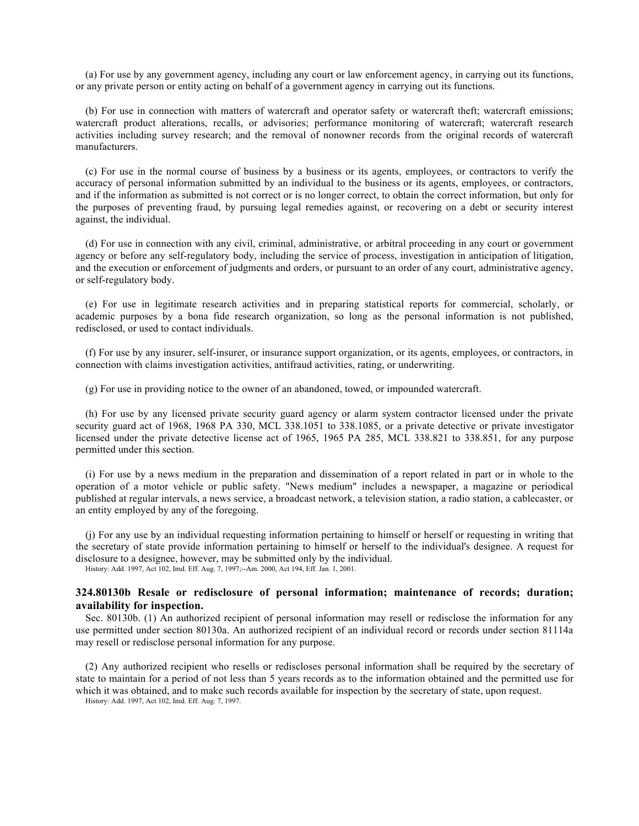(a) For use by any government agency, including any court or law enforcement agency, in carrying out its functions, or any private person or entity acting on behalf of a government agency in carrying out its functions.

(b) For use in connection with matters of watercraft and operator safety or watercraft theft; watercraft emissions; watercraft product alterations, recalls, or advisories; performance monitoring of watercraft; watercraft research activities including survey research; and the removal of nonowner records from the original records of watercraft manufacturers.

(c) For use in the normal course of business by a business or its agents, employees, or contractors to verify the accuracy of personal information submitted by an individual to the business or its agents, employees, or contractors, and if the information as submitted is not correct or is no longer correct, to obtain the correct information, but only for the purposes of preventing fraud, by pursuing legal remedies against, or recovering on a debt or security interest against, the individual.

(d) For use in connection with any civil, criminal, administrative, or arbitral proceeding in any court or government agency or before any self-regulatory body, including the service of process, investigation in anticipation of litigation, and the execution or enforcement of judgments and orders, or pursuant to an order of any court, administrative agency, or self-regulatory body.

(e) For use in legitimate research activities and in preparing statistical reports for commercial, scholarly, or academic purposes by a bona fide research organization, so long as the personal information is not published, redisclosed, or used to contact individuals.

(f) For use by any insurer, self-insurer, or insurance support organization, or its agents, employees, or contractors, in connection with claims investigation activities, antifraud activities, rating, or underwriting.

(g) For use in providing notice to the owner of an abandoned, towed, or impounded watercraft.

(h) For use by any licensed private security guard agency or alarm system contractor licensed under the private security guard act of 1968, 1968 PA 330, MCL 338.1051 to 338.1085, or a private detective or private investigator licensed under the private detective license act of 1965, 1965 PA 285, MCL 338.821 to 338.851, for any purpose permitted under this section.

(i) For use by a news medium in the preparation and dissemination of a report related in part or in whole to the operation of a motor vehicle or public safety. "News medium" includes a newspaper, a magazine or periodical published at regular intervals, a news service, a broadcast network, a television station, a radio station, a cablecaster, or an entity employed by any of the foregoing.

(j) For any use by an individual requesting information pertaining to himself or herself or requesting in writing that the secretary of state provide information pertaining to himself or herself to the individual's designee. A request for disclosure to a designee, however, may be submitted only by the individual.

History: Add. 1997, Act 102, Imd. Eff. Aug. 7, 1997;--Am. 2000, Act 194, Eff. Jan. 1, 2001.

# **324.80130b Resale or redisclosure of personal information; maintenance of records; duration; availability for inspection.**

Sec. 80130b. (1) An authorized recipient of personal information may resell or redisclose the information for any use permitted under section 80130a. An authorized recipient of an individual record or records under section 81114a may resell or redisclose personal information for any purpose.

(2) Any authorized recipient who resells or rediscloses personal information shall be required by the secretary of state to maintain for a period of not less than 5 years records as to the information obtained and the permitted use for which it was obtained, and to make such records available for inspection by the secretary of state, upon request. History: Add. 1997, Act 102, Imd. Eff. Aug. 7, 1997.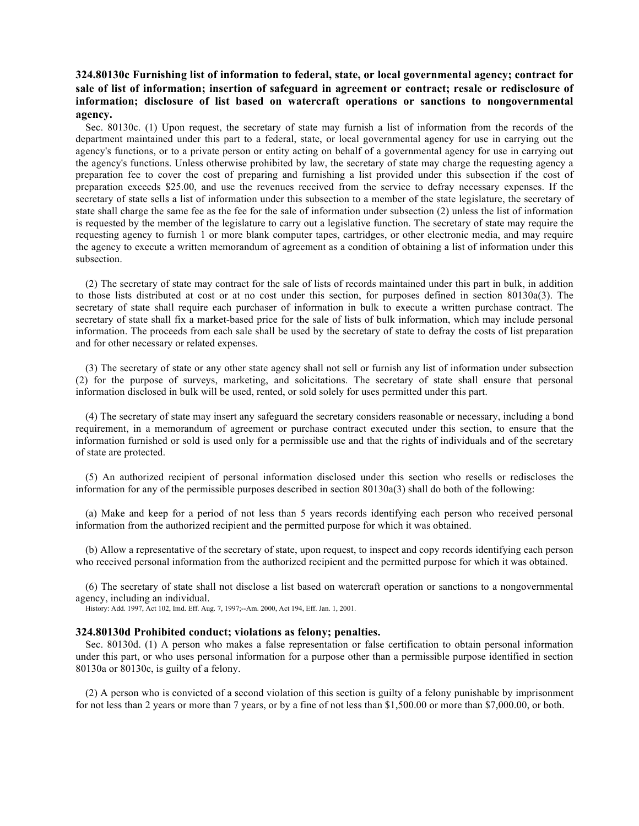# **324.80130c Furnishing list of information to federal, state, or local governmental agency; contract for sale of list of information; insertion of safeguard in agreement or contract; resale or redisclosure of information; disclosure of list based on watercraft operations or sanctions to nongovernmental agency.**

Sec. 80130c. (1) Upon request, the secretary of state may furnish a list of information from the records of the department maintained under this part to a federal, state, or local governmental agency for use in carrying out the agency's functions, or to a private person or entity acting on behalf of a governmental agency for use in carrying out the agency's functions. Unless otherwise prohibited by law, the secretary of state may charge the requesting agency a preparation fee to cover the cost of preparing and furnishing a list provided under this subsection if the cost of preparation exceeds \$25.00, and use the revenues received from the service to defray necessary expenses. If the secretary of state sells a list of information under this subsection to a member of the state legislature, the secretary of state shall charge the same fee as the fee for the sale of information under subsection (2) unless the list of information is requested by the member of the legislature to carry out a legislative function. The secretary of state may require the requesting agency to furnish 1 or more blank computer tapes, cartridges, or other electronic media, and may require the agency to execute a written memorandum of agreement as a condition of obtaining a list of information under this subsection.

(2) The secretary of state may contract for the sale of lists of records maintained under this part in bulk, in addition to those lists distributed at cost or at no cost under this section, for purposes defined in section 80130a(3). The secretary of state shall require each purchaser of information in bulk to execute a written purchase contract. The secretary of state shall fix a market-based price for the sale of lists of bulk information, which may include personal information. The proceeds from each sale shall be used by the secretary of state to defray the costs of list preparation and for other necessary or related expenses.

(3) The secretary of state or any other state agency shall not sell or furnish any list of information under subsection (2) for the purpose of surveys, marketing, and solicitations. The secretary of state shall ensure that personal information disclosed in bulk will be used, rented, or sold solely for uses permitted under this part.

(4) The secretary of state may insert any safeguard the secretary considers reasonable or necessary, including a bond requirement, in a memorandum of agreement or purchase contract executed under this section, to ensure that the information furnished or sold is used only for a permissible use and that the rights of individuals and of the secretary of state are protected.

(5) An authorized recipient of personal information disclosed under this section who resells or rediscloses the information for any of the permissible purposes described in section 80130a(3) shall do both of the following:

(a) Make and keep for a period of not less than 5 years records identifying each person who received personal information from the authorized recipient and the permitted purpose for which it was obtained.

(b) Allow a representative of the secretary of state, upon request, to inspect and copy records identifying each person who received personal information from the authorized recipient and the permitted purpose for which it was obtained.

(6) The secretary of state shall not disclose a list based on watercraft operation or sanctions to a nongovernmental agency, including an individual.

History: Add. 1997, Act 102, Imd. Eff. Aug. 7, 1997;--Am. 2000, Act 194, Eff. Jan. 1, 2001.

#### **324.80130d Prohibited conduct; violations as felony; penalties.**

Sec. 80130d. (1) A person who makes a false representation or false certification to obtain personal information under this part, or who uses personal information for a purpose other than a permissible purpose identified in section 80130a or 80130c, is guilty of a felony.

(2) A person who is convicted of a second violation of this section is guilty of a felony punishable by imprisonment for not less than 2 years or more than 7 years, or by a fine of not less than \$1,500.00 or more than \$7,000.00, or both.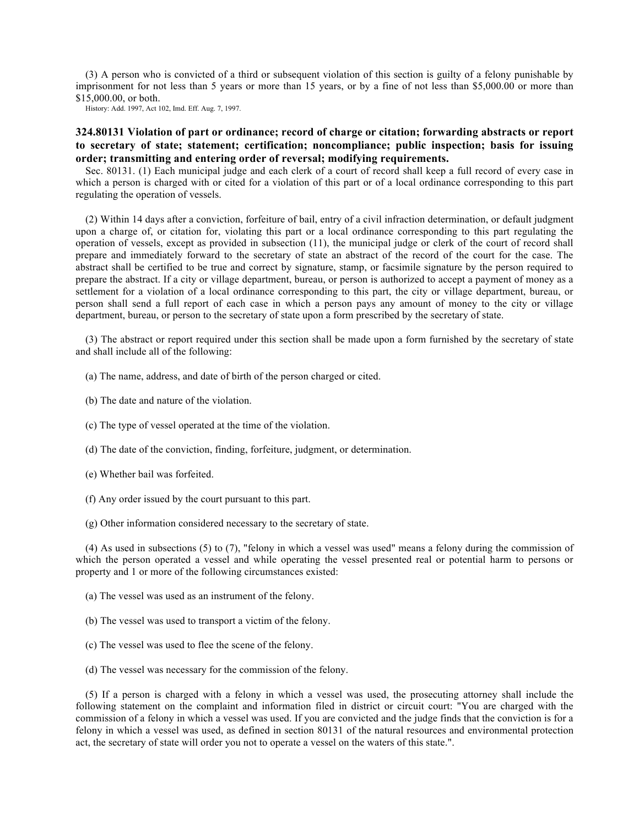(3) A person who is convicted of a third or subsequent violation of this section is guilty of a felony punishable by imprisonment for not less than 5 years or more than 15 years, or by a fine of not less than \$5,000.00 or more than \$15,000.00, or both.

History: Add. 1997, Act 102, Imd. Eff. Aug. 7, 1997.

# **324.80131 Violation of part or ordinance; record of charge or citation; forwarding abstracts or report to secretary of state; statement; certification; noncompliance; public inspection; basis for issuing order; transmitting and entering order of reversal; modifying requirements.**

Sec. 80131. (1) Each municipal judge and each clerk of a court of record shall keep a full record of every case in which a person is charged with or cited for a violation of this part or of a local ordinance corresponding to this part regulating the operation of vessels.

(2) Within 14 days after a conviction, forfeiture of bail, entry of a civil infraction determination, or default judgment upon a charge of, or citation for, violating this part or a local ordinance corresponding to this part regulating the operation of vessels, except as provided in subsection (11), the municipal judge or clerk of the court of record shall prepare and immediately forward to the secretary of state an abstract of the record of the court for the case. The abstract shall be certified to be true and correct by signature, stamp, or facsimile signature by the person required to prepare the abstract. If a city or village department, bureau, or person is authorized to accept a payment of money as a settlement for a violation of a local ordinance corresponding to this part, the city or village department, bureau, or person shall send a full report of each case in which a person pays any amount of money to the city or village department, bureau, or person to the secretary of state upon a form prescribed by the secretary of state.

(3) The abstract or report required under this section shall be made upon a form furnished by the secretary of state and shall include all of the following:

- (a) The name, address, and date of birth of the person charged or cited.
- (b) The date and nature of the violation.
- (c) The type of vessel operated at the time of the violation.
- (d) The date of the conviction, finding, forfeiture, judgment, or determination.
- (e) Whether bail was forfeited.
- (f) Any order issued by the court pursuant to this part.
- (g) Other information considered necessary to the secretary of state.

(4) As used in subsections (5) to (7), "felony in which a vessel was used" means a felony during the commission of which the person operated a vessel and while operating the vessel presented real or potential harm to persons or property and 1 or more of the following circumstances existed:

- (a) The vessel was used as an instrument of the felony.
- (b) The vessel was used to transport a victim of the felony.
- (c) The vessel was used to flee the scene of the felony.
- (d) The vessel was necessary for the commission of the felony.

(5) If a person is charged with a felony in which a vessel was used, the prosecuting attorney shall include the following statement on the complaint and information filed in district or circuit court: "You are charged with the commission of a felony in which a vessel was used. If you are convicted and the judge finds that the conviction is for a felony in which a vessel was used, as defined in section 80131 of the natural resources and environmental protection act, the secretary of state will order you not to operate a vessel on the waters of this state.".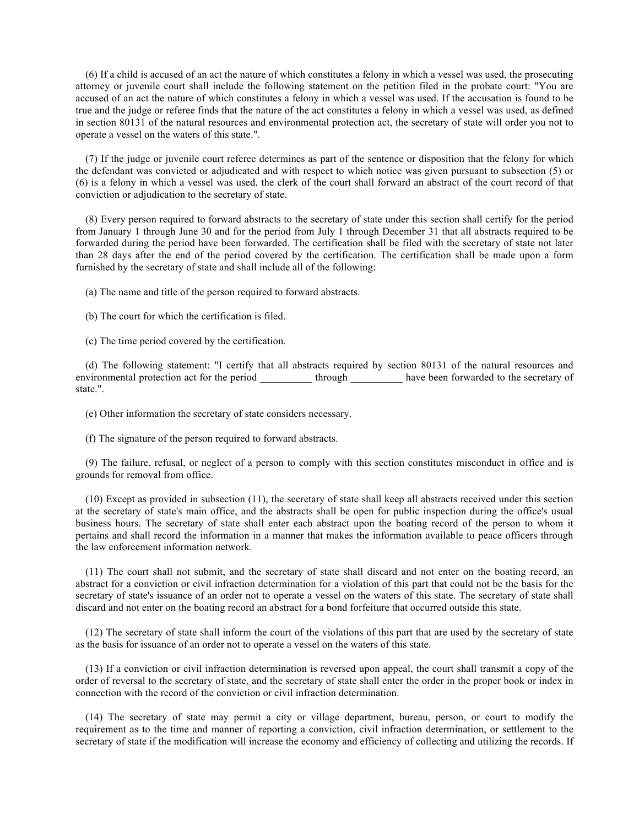(6) If a child is accused of an act the nature of which constitutes a felony in which a vessel was used, the prosecuting attorney or juvenile court shall include the following statement on the petition filed in the probate court: "You are accused of an act the nature of which constitutes a felony in which a vessel was used. If the accusation is found to be true and the judge or referee finds that the nature of the act constitutes a felony in which a vessel was used, as defined in section 80131 of the natural resources and environmental protection act, the secretary of state will order you not to operate a vessel on the waters of this state.".

(7) If the judge or juvenile court referee determines as part of the sentence or disposition that the felony for which the defendant was convicted or adjudicated and with respect to which notice was given pursuant to subsection (5) or (6) is a felony in which a vessel was used, the clerk of the court shall forward an abstract of the court record of that conviction or adjudication to the secretary of state.

(8) Every person required to forward abstracts to the secretary of state under this section shall certify for the period from January 1 through June 30 and for the period from July 1 through December 31 that all abstracts required to be forwarded during the period have been forwarded. The certification shall be filed with the secretary of state not later than 28 days after the end of the period covered by the certification. The certification shall be made upon a form furnished by the secretary of state and shall include all of the following:

(a) The name and title of the person required to forward abstracts.

(b) The court for which the certification is filed.

(c) The time period covered by the certification.

(d) The following statement: "I certify that all abstracts required by section 80131 of the natural resources and environmental protection act for the period \_\_\_\_\_\_\_\_\_\_\_\_ through \_\_\_\_\_\_\_\_\_\_\_ have been forwarded to the secretary of state.".

(e) Other information the secretary of state considers necessary.

(f) The signature of the person required to forward abstracts.

(9) The failure, refusal, or neglect of a person to comply with this section constitutes misconduct in office and is grounds for removal from office.

(10) Except as provided in subsection (11), the secretary of state shall keep all abstracts received under this section at the secretary of state's main office, and the abstracts shall be open for public inspection during the office's usual business hours. The secretary of state shall enter each abstract upon the boating record of the person to whom it pertains and shall record the information in a manner that makes the information available to peace officers through the law enforcement information network.

(11) The court shall not submit, and the secretary of state shall discard and not enter on the boating record, an abstract for a conviction or civil infraction determination for a violation of this part that could not be the basis for the secretary of state's issuance of an order not to operate a vessel on the waters of this state. The secretary of state shall discard and not enter on the boating record an abstract for a bond forfeiture that occurred outside this state.

(12) The secretary of state shall inform the court of the violations of this part that are used by the secretary of state as the basis for issuance of an order not to operate a vessel on the waters of this state.

(13) If a conviction or civil infraction determination is reversed upon appeal, the court shall transmit a copy of the order of reversal to the secretary of state, and the secretary of state shall enter the order in the proper book or index in connection with the record of the conviction or civil infraction determination.

(14) The secretary of state may permit a city or village department, bureau, person, or court to modify the requirement as to the time and manner of reporting a conviction, civil infraction determination, or settlement to the secretary of state if the modification will increase the economy and efficiency of collecting and utilizing the records. If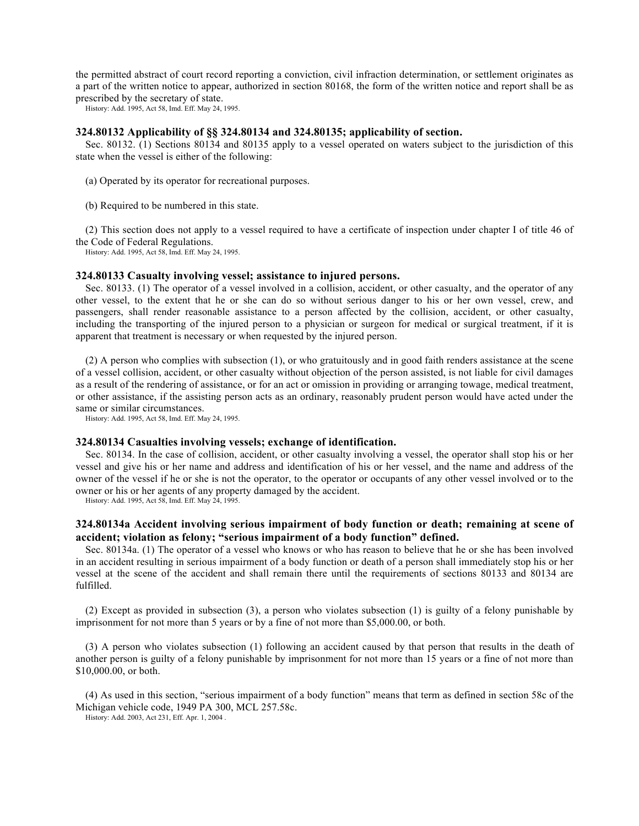the permitted abstract of court record reporting a conviction, civil infraction determination, or settlement originates as a part of the written notice to appear, authorized in section 80168, the form of the written notice and report shall be as prescribed by the secretary of state.

History: Add. 1995, Act 58, Imd. Eff. May 24, 1995.

#### **324.80132 Applicability of §§ 324.80134 and 324.80135; applicability of section.**

Sec. 80132. (1) Sections 80134 and 80135 apply to a vessel operated on waters subject to the jurisdiction of this state when the vessel is either of the following:

- (a) Operated by its operator for recreational purposes.
- (b) Required to be numbered in this state.

(2) This section does not apply to a vessel required to have a certificate of inspection under chapter I of title 46 of the Code of Federal Regulations.

History: Add. 1995, Act 58, Imd. Eff. May 24, 1995.

### **324.80133 Casualty involving vessel; assistance to injured persons.**

Sec. 80133. (1) The operator of a vessel involved in a collision, accident, or other casualty, and the operator of any other vessel, to the extent that he or she can do so without serious danger to his or her own vessel, crew, and passengers, shall render reasonable assistance to a person affected by the collision, accident, or other casualty, including the transporting of the injured person to a physician or surgeon for medical or surgical treatment, if it is apparent that treatment is necessary or when requested by the injured person.

(2) A person who complies with subsection (1), or who gratuitously and in good faith renders assistance at the scene of a vessel collision, accident, or other casualty without objection of the person assisted, is not liable for civil damages as a result of the rendering of assistance, or for an act or omission in providing or arranging towage, medical treatment, or other assistance, if the assisting person acts as an ordinary, reasonably prudent person would have acted under the same or similar circumstances.

History: Add. 1995, Act 58, Imd. Eff. May 24, 1995.

### **324.80134 Casualties involving vessels; exchange of identification.**

Sec. 80134. In the case of collision, accident, or other casualty involving a vessel, the operator shall stop his or her vessel and give his or her name and address and identification of his or her vessel, and the name and address of the owner of the vessel if he or she is not the operator, to the operator or occupants of any other vessel involved or to the owner or his or her agents of any property damaged by the accident.

History: Add. 1995, Act 58, Imd. Eff. May 24, 1995.

## **324.80134a Accident involving serious impairment of body function or death; remaining at scene of accident; violation as felony; "serious impairment of a body function" defined.**

Sec. 80134a. (1) The operator of a vessel who knows or who has reason to believe that he or she has been involved in an accident resulting in serious impairment of a body function or death of a person shall immediately stop his or her vessel at the scene of the accident and shall remain there until the requirements of sections 80133 and 80134 are fulfilled.

(2) Except as provided in subsection (3), a person who violates subsection (1) is guilty of a felony punishable by imprisonment for not more than 5 years or by a fine of not more than \$5,000.00, or both.

(3) A person who violates subsection (1) following an accident caused by that person that results in the death of another person is guilty of a felony punishable by imprisonment for not more than 15 years or a fine of not more than \$10,000.00, or both.

(4) As used in this section, "serious impairment of a body function" means that term as defined in section 58c of the Michigan vehicle code, 1949 PA 300, MCL 257.58c.

History: Add. 2003, Act 231, Eff. Apr. 1, 2004 .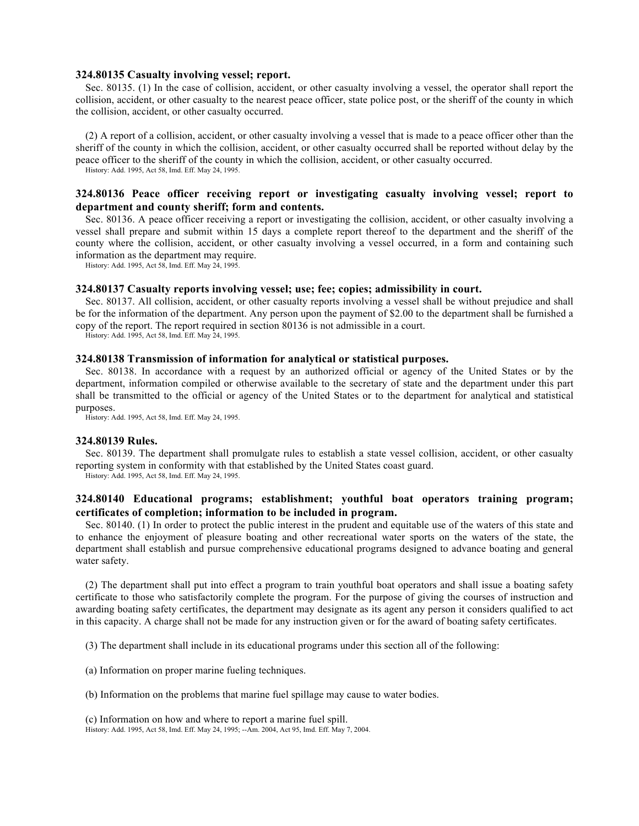## **324.80135 Casualty involving vessel; report.**

Sec. 80135. (1) In the case of collision, accident, or other casualty involving a vessel, the operator shall report the collision, accident, or other casualty to the nearest peace officer, state police post, or the sheriff of the county in which the collision, accident, or other casualty occurred.

(2) A report of a collision, accident, or other casualty involving a vessel that is made to a peace officer other than the sheriff of the county in which the collision, accident, or other casualty occurred shall be reported without delay by the peace officer to the sheriff of the county in which the collision, accident, or other casualty occurred. History: Add. 1995, Act 58, Imd. Eff. May 24, 1995.

# **324.80136 Peace officer receiving report or investigating casualty involving vessel; report to department and county sheriff; form and contents.**

Sec. 80136. A peace officer receiving a report or investigating the collision, accident, or other casualty involving a vessel shall prepare and submit within 15 days a complete report thereof to the department and the sheriff of the county where the collision, accident, or other casualty involving a vessel occurred, in a form and containing such information as the department may require.

History: Add. 1995, Act 58, Imd. Eff. May 24, 1995.

#### **324.80137 Casualty reports involving vessel; use; fee; copies; admissibility in court.**

Sec. 80137. All collision, accident, or other casualty reports involving a vessel shall be without prejudice and shall be for the information of the department. Any person upon the payment of \$2.00 to the department shall be furnished a copy of the report. The report required in section 80136 is not admissible in a court.

History: Add. 1995, Act 58, Imd. Eff. May 24, 1995.

# **324.80138 Transmission of information for analytical or statistical purposes.**

Sec. 80138. In accordance with a request by an authorized official or agency of the United States or by the department, information compiled or otherwise available to the secretary of state and the department under this part shall be transmitted to the official or agency of the United States or to the department for analytical and statistical purposes.

History: Add. 1995, Act 58, Imd. Eff. May 24, 1995.

### **324.80139 Rules.**

Sec. 80139. The department shall promulgate rules to establish a state vessel collision, accident, or other casualty reporting system in conformity with that established by the United States coast guard.

History: Add. 1995, Act 58, Imd. Eff. May 24, 1995.

# **324.80140 Educational programs; establishment; youthful boat operators training program; certificates of completion; information to be included in program.**

Sec. 80140. (1) In order to protect the public interest in the prudent and equitable use of the waters of this state and to enhance the enjoyment of pleasure boating and other recreational water sports on the waters of the state, the department shall establish and pursue comprehensive educational programs designed to advance boating and general water safety.

(2) The department shall put into effect a program to train youthful boat operators and shall issue a boating safety certificate to those who satisfactorily complete the program. For the purpose of giving the courses of instruction and awarding boating safety certificates, the department may designate as its agent any person it considers qualified to act in this capacity. A charge shall not be made for any instruction given or for the award of boating safety certificates.

(3) The department shall include in its educational programs under this section all of the following:

- (a) Information on proper marine fueling techniques.
- (b) Information on the problems that marine fuel spillage may cause to water bodies.

(c) Information on how and where to report a marine fuel spill. History: Add. 1995, Act 58, Imd. Eff. May 24, 1995; --Am. 2004, Act 95, Imd. Eff. May 7, 2004.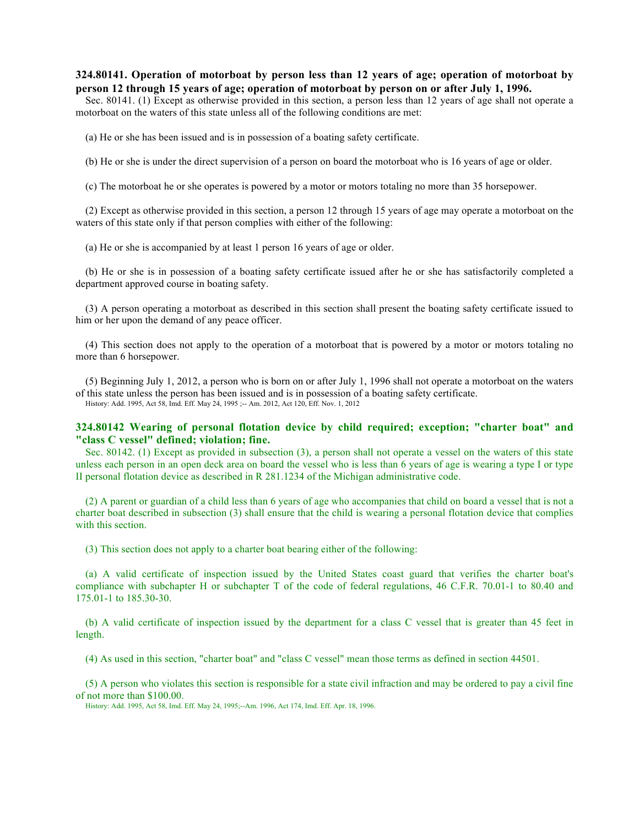# **324.80141. Operation of motorboat by person less than 12 years of age; operation of motorboat by person 12 through 15 years of age; operation of motorboat by person on or after July 1, 1996.**

Sec. 80141. (1) Except as otherwise provided in this section, a person less than 12 years of age shall not operate a motorboat on the waters of this state unless all of the following conditions are met:

(a) He or she has been issued and is in possession of a boating safety certificate.

(b) He or she is under the direct supervision of a person on board the motorboat who is 16 years of age or older.

(c) The motorboat he or she operates is powered by a motor or motors totaling no more than 35 horsepower.

(2) Except as otherwise provided in this section, a person 12 through 15 years of age may operate a motorboat on the waters of this state only if that person complies with either of the following:

(a) He or she is accompanied by at least 1 person 16 years of age or older.

(b) He or she is in possession of a boating safety certificate issued after he or she has satisfactorily completed a department approved course in boating safety.

(3) A person operating a motorboat as described in this section shall present the boating safety certificate issued to him or her upon the demand of any peace officer.

(4) This section does not apply to the operation of a motorboat that is powered by a motor or motors totaling no more than 6 horsepower.

(5) Beginning July 1, 2012, a person who is born on or after July 1, 1996 shall not operate a motorboat on the waters of this state unless the person has been issued and is in possession of a boating safety certificate. History: Add. 1995, Act 58, Imd. Eff. May 24, 1995 ;-- Am. 2012, Act 120, Eff. Nov. 1, 2012

# **324.80142 Wearing of personal flotation device by child required; exception; "charter boat" and "class C vessel" defined; violation; fine.**

Sec. 80142. (1) Except as provided in subsection (3), a person shall not operate a vessel on the waters of this state unless each person in an open deck area on board the vessel who is less than 6 years of age is wearing a type I or type II personal flotation device as described in R 281.1234 of the Michigan administrative code.

(2) A parent or guardian of a child less than 6 years of age who accompanies that child on board a vessel that is not a charter boat described in subsection (3) shall ensure that the child is wearing a personal flotation device that complies with this section.

(3) This section does not apply to a charter boat bearing either of the following:

(a) A valid certificate of inspection issued by the United States coast guard that verifies the charter boat's compliance with subchapter H or subchapter T of the code of federal regulations, 46 C.F.R. 70.01-1 to 80.40 and 175.01-1 to 185.30-30.

(b) A valid certificate of inspection issued by the department for a class C vessel that is greater than 45 feet in length.

(4) As used in this section, "charter boat" and "class C vessel" mean those terms as defined in section 44501.

(5) A person who violates this section is responsible for a state civil infraction and may be ordered to pay a civil fine of not more than \$100.00.

History: Add. 1995, Act 58, Imd. Eff. May 24, 1995;--Am. 1996, Act 174, Imd. Eff. Apr. 18, 1996.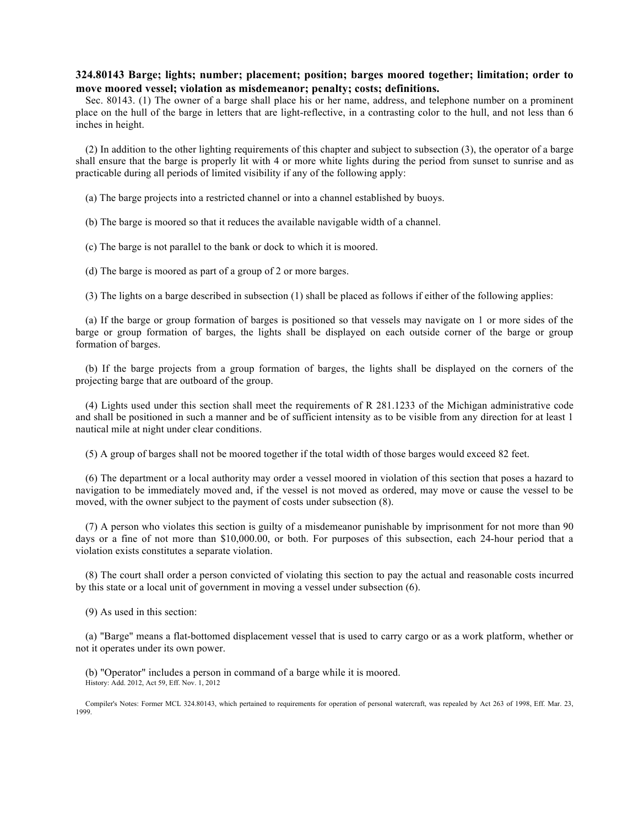# **324.80143 Barge; lights; number; placement; position; barges moored together; limitation; order to move moored vessel; violation as misdemeanor; penalty; costs; definitions.**

Sec. 80143. (1) The owner of a barge shall place his or her name, address, and telephone number on a prominent place on the hull of the barge in letters that are light-reflective, in a contrasting color to the hull, and not less than 6 inches in height.

(2) In addition to the other lighting requirements of this chapter and subject to subsection (3), the operator of a barge shall ensure that the barge is properly lit with 4 or more white lights during the period from sunset to sunrise and as practicable during all periods of limited visibility if any of the following apply:

(a) The barge projects into a restricted channel or into a channel established by buoys.

(b) The barge is moored so that it reduces the available navigable width of a channel.

(c) The barge is not parallel to the bank or dock to which it is moored.

(d) The barge is moored as part of a group of 2 or more barges.

(3) The lights on a barge described in subsection (1) shall be placed as follows if either of the following applies:

(a) If the barge or group formation of barges is positioned so that vessels may navigate on 1 or more sides of the barge or group formation of barges, the lights shall be displayed on each outside corner of the barge or group formation of barges.

(b) If the barge projects from a group formation of barges, the lights shall be displayed on the corners of the projecting barge that are outboard of the group.

(4) Lights used under this section shall meet the requirements of R 281.1233 of the Michigan administrative code and shall be positioned in such a manner and be of sufficient intensity as to be visible from any direction for at least 1 nautical mile at night under clear conditions.

(5) A group of barges shall not be moored together if the total width of those barges would exceed 82 feet.

(6) The department or a local authority may order a vessel moored in violation of this section that poses a hazard to navigation to be immediately moved and, if the vessel is not moved as ordered, may move or cause the vessel to be moved, with the owner subject to the payment of costs under subsection (8).

(7) A person who violates this section is guilty of a misdemeanor punishable by imprisonment for not more than 90 days or a fine of not more than \$10,000.00, or both. For purposes of this subsection, each 24-hour period that a violation exists constitutes a separate violation.

(8) The court shall order a person convicted of violating this section to pay the actual and reasonable costs incurred by this state or a local unit of government in moving a vessel under subsection (6).

(9) As used in this section:

(a) "Barge" means a flat-bottomed displacement vessel that is used to carry cargo or as a work platform, whether or not it operates under its own power.

(b) "Operator" includes a person in command of a barge while it is moored. History: Add. 2012, Act 59, Eff. Nov. 1, 2012

Compiler's Notes: Former MCL 324.80143, which pertained to requirements for operation of personal watercraft, was repealed by Act 263 of 1998, Eff. Mar. 23, 1999.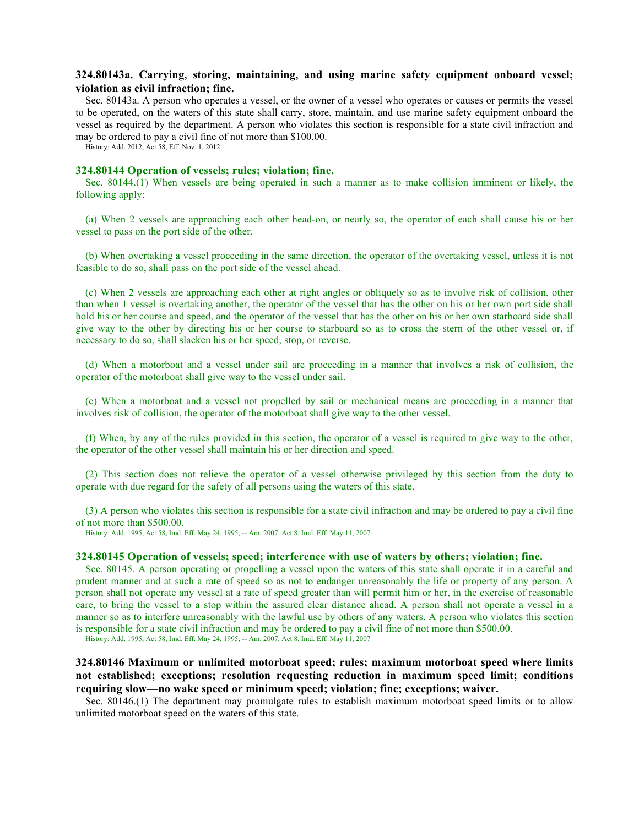# **324.80143a. Carrying, storing, maintaining, and using marine safety equipment onboard vessel; violation as civil infraction; fine.**

Sec. 80143a. A person who operates a vessel, or the owner of a vessel who operates or causes or permits the vessel to be operated, on the waters of this state shall carry, store, maintain, and use marine safety equipment onboard the vessel as required by the department. A person who violates this section is responsible for a state civil infraction and may be ordered to pay a civil fine of not more than \$100.00.

History: Add. 2012, Act 58, Eff. Nov. 1, 2012

## **324.80144 Operation of vessels; rules; violation; fine.**

Sec. 80144.(1) When vessels are being operated in such a manner as to make collision imminent or likely, the following apply:

(a) When 2 vessels are approaching each other head-on, or nearly so, the operator of each shall cause his or her vessel to pass on the port side of the other.

(b) When overtaking a vessel proceeding in the same direction, the operator of the overtaking vessel, unless it is not feasible to do so, shall pass on the port side of the vessel ahead.

(c) When 2 vessels are approaching each other at right angles or obliquely so as to involve risk of collision, other than when 1 vessel is overtaking another, the operator of the vessel that has the other on his or her own port side shall hold his or her course and speed, and the operator of the vessel that has the other on his or her own starboard side shall give way to the other by directing his or her course to starboard so as to cross the stern of the other vessel or, if necessary to do so, shall slacken his or her speed, stop, or reverse.

(d) When a motorboat and a vessel under sail are proceeding in a manner that involves a risk of collision, the operator of the motorboat shall give way to the vessel under sail.

(e) When a motorboat and a vessel not propelled by sail or mechanical means are proceeding in a manner that involves risk of collision, the operator of the motorboat shall give way to the other vessel.

(f) When, by any of the rules provided in this section, the operator of a vessel is required to give way to the other, the operator of the other vessel shall maintain his or her direction and speed.

(2) This section does not relieve the operator of a vessel otherwise privileged by this section from the duty to operate with due regard for the safety of all persons using the waters of this state.

(3) A person who violates this section is responsible for a state civil infraction and may be ordered to pay a civil fine of not more than \$500.00.

History: Add. 1995, Act 58, Imd. Eff. May 24, 1995; -- Am. 2007, Act 8, Imd. Eff. May 11, 2007

### **324.80145 Operation of vessels; speed; interference with use of waters by others; violation; fine.**

Sec. 80145. A person operating or propelling a vessel upon the waters of this state shall operate it in a careful and prudent manner and at such a rate of speed so as not to endanger unreasonably the life or property of any person. A person shall not operate any vessel at a rate of speed greater than will permit him or her, in the exercise of reasonable care, to bring the vessel to a stop within the assured clear distance ahead. A person shall not operate a vessel in a manner so as to interfere unreasonably with the lawful use by others of any waters. A person who violates this section is responsible for a state civil infraction and may be ordered to pay a civil fine of not more than \$500.00.

History: Add. 1995, Act 58, Imd. Eff. May 24, 1995; -- Am. 2007, Act 8, Imd. Eff. May 11, 2007

# **324.80146 Maximum or unlimited motorboat speed; rules; maximum motorboat speed where limits not established; exceptions; resolution requesting reduction in maximum speed limit; conditions requiring slow—no wake speed or minimum speed; violation; fine; exceptions; waiver.**

Sec. 80146.(1) The department may promulgate rules to establish maximum motorboat speed limits or to allow unlimited motorboat speed on the waters of this state.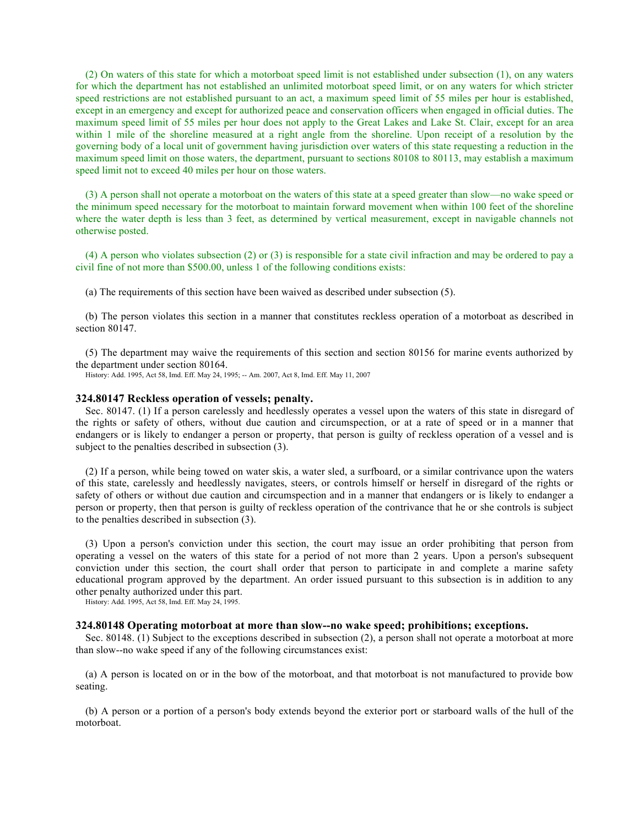(2) On waters of this state for which a motorboat speed limit is not established under subsection (1), on any waters for which the department has not established an unlimited motorboat speed limit, or on any waters for which stricter speed restrictions are not established pursuant to an act, a maximum speed limit of 55 miles per hour is established, except in an emergency and except for authorized peace and conservation officers when engaged in official duties. The maximum speed limit of 55 miles per hour does not apply to the Great Lakes and Lake St. Clair, except for an area within 1 mile of the shoreline measured at a right angle from the shoreline. Upon receipt of a resolution by the governing body of a local unit of government having jurisdiction over waters of this state requesting a reduction in the maximum speed limit on those waters, the department, pursuant to sections 80108 to 80113, may establish a maximum speed limit not to exceed 40 miles per hour on those waters.

(3) A person shall not operate a motorboat on the waters of this state at a speed greater than slow—no wake speed or the minimum speed necessary for the motorboat to maintain forward movement when within 100 feet of the shoreline where the water depth is less than 3 feet, as determined by vertical measurement, except in navigable channels not otherwise posted.

(4) A person who violates subsection (2) or (3) is responsible for a state civil infraction and may be ordered to pay a civil fine of not more than \$500.00, unless 1 of the following conditions exists:

(a) The requirements of this section have been waived as described under subsection (5).

(b) The person violates this section in a manner that constitutes reckless operation of a motorboat as described in section 80147.

(5) The department may waive the requirements of this section and section 80156 for marine events authorized by the department under section 80164.

History: Add. 1995, Act 58, Imd. Eff. May 24, 1995; -- Am. 2007, Act 8, Imd. Eff. May 11, 2007

#### **324.80147 Reckless operation of vessels; penalty.**

Sec. 80147. (1) If a person carelessly and heedlessly operates a vessel upon the waters of this state in disregard of the rights or safety of others, without due caution and circumspection, or at a rate of speed or in a manner that endangers or is likely to endanger a person or property, that person is guilty of reckless operation of a vessel and is subject to the penalties described in subsection (3).

(2) If a person, while being towed on water skis, a water sled, a surfboard, or a similar contrivance upon the waters of this state, carelessly and heedlessly navigates, steers, or controls himself or herself in disregard of the rights or safety of others or without due caution and circumspection and in a manner that endangers or is likely to endanger a person or property, then that person is guilty of reckless operation of the contrivance that he or she controls is subject to the penalties described in subsection (3).

(3) Upon a person's conviction under this section, the court may issue an order prohibiting that person from operating a vessel on the waters of this state for a period of not more than 2 years. Upon a person's subsequent conviction under this section, the court shall order that person to participate in and complete a marine safety educational program approved by the department. An order issued pursuant to this subsection is in addition to any other penalty authorized under this part.

History: Add. 1995, Act 58, Imd. Eff. May 24, 1995.

## **324.80148 Operating motorboat at more than slow--no wake speed; prohibitions; exceptions.**

Sec. 80148. (1) Subject to the exceptions described in subsection (2), a person shall not operate a motorboat at more than slow--no wake speed if any of the following circumstances exist:

(a) A person is located on or in the bow of the motorboat, and that motorboat is not manufactured to provide bow seating.

(b) A person or a portion of a person's body extends beyond the exterior port or starboard walls of the hull of the motorboat.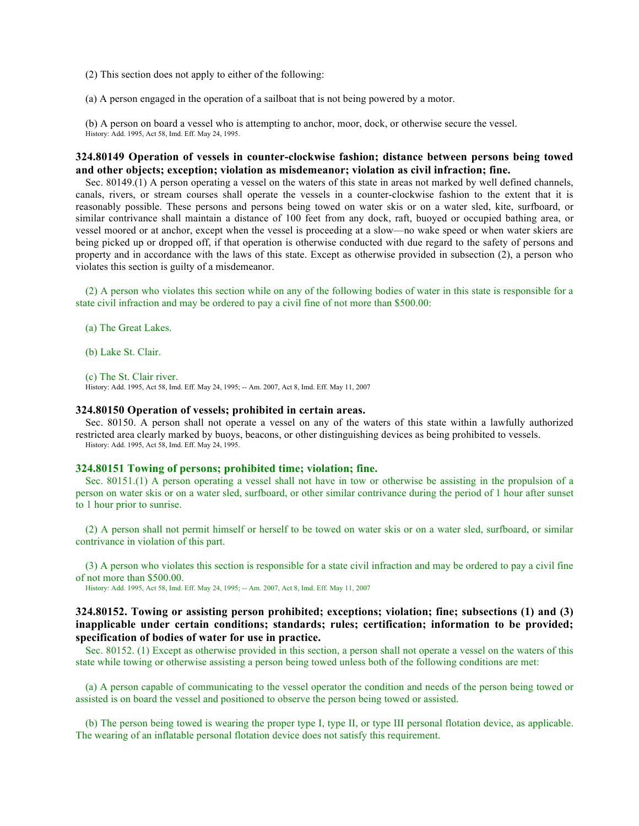(2) This section does not apply to either of the following:

(a) A person engaged in the operation of a sailboat that is not being powered by a motor.

(b) A person on board a vessel who is attempting to anchor, moor, dock, or otherwise secure the vessel. History: Add. 1995, Act 58, Imd. Eff. May 24, 1995.

## **324.80149 Operation of vessels in counter-clockwise fashion; distance between persons being towed and other objects; exception; violation as misdemeanor; violation as civil infraction; fine.**

Sec. 80149.(1) A person operating a vessel on the waters of this state in areas not marked by well defined channels, canals, rivers, or stream courses shall operate the vessels in a counter-clockwise fashion to the extent that it is reasonably possible. These persons and persons being towed on water skis or on a water sled, kite, surfboard, or similar contrivance shall maintain a distance of 100 feet from any dock, raft, buoyed or occupied bathing area, or vessel moored or at anchor, except when the vessel is proceeding at a slow—no wake speed or when water skiers are being picked up or dropped off, if that operation is otherwise conducted with due regard to the safety of persons and property and in accordance with the laws of this state. Except as otherwise provided in subsection (2), a person who violates this section is guilty of a misdemeanor.

(2) A person who violates this section while on any of the following bodies of water in this state is responsible for a state civil infraction and may be ordered to pay a civil fine of not more than \$500.00:

(a) The Great Lakes.

(b) Lake St. Clair.

(c) The St. Clair river.

History: Add. 1995, Act 58, Imd. Eff. May 24, 1995; -- Am. 2007, Act 8, Imd. Eff. May 11, 2007

#### **324.80150 Operation of vessels; prohibited in certain areas.**

Sec. 80150. A person shall not operate a vessel on any of the waters of this state within a lawfully authorized restricted area clearly marked by buoys, beacons, or other distinguishing devices as being prohibited to vessels. History: Add. 1995, Act 58, Imd. Eff. May 24, 1995.

#### **324.80151 Towing of persons; prohibited time; violation; fine.**

Sec. 80151.(1) A person operating a vessel shall not have in tow or otherwise be assisting in the propulsion of a person on water skis or on a water sled, surfboard, or other similar contrivance during the period of 1 hour after sunset to 1 hour prior to sunrise.

(2) A person shall not permit himself or herself to be towed on water skis or on a water sled, surfboard, or similar contrivance in violation of this part.

(3) A person who violates this section is responsible for a state civil infraction and may be ordered to pay a civil fine of not more than \$500.00.

History: Add. 1995, Act 58, Imd. Eff. May 24, 1995; -- Am. 2007, Act 8, Imd. Eff. May 11, 2007

# **324.80152. Towing or assisting person prohibited; exceptions; violation; fine; subsections (1) and (3) inapplicable under certain conditions; standards; rules; certification; information to be provided; specification of bodies of water for use in practice.**

Sec. 80152. (1) Except as otherwise provided in this section, a person shall not operate a vessel on the waters of this state while towing or otherwise assisting a person being towed unless both of the following conditions are met:

(a) A person capable of communicating to the vessel operator the condition and needs of the person being towed or assisted is on board the vessel and positioned to observe the person being towed or assisted.

(b) The person being towed is wearing the proper type I, type II, or type III personal flotation device, as applicable. The wearing of an inflatable personal flotation device does not satisfy this requirement.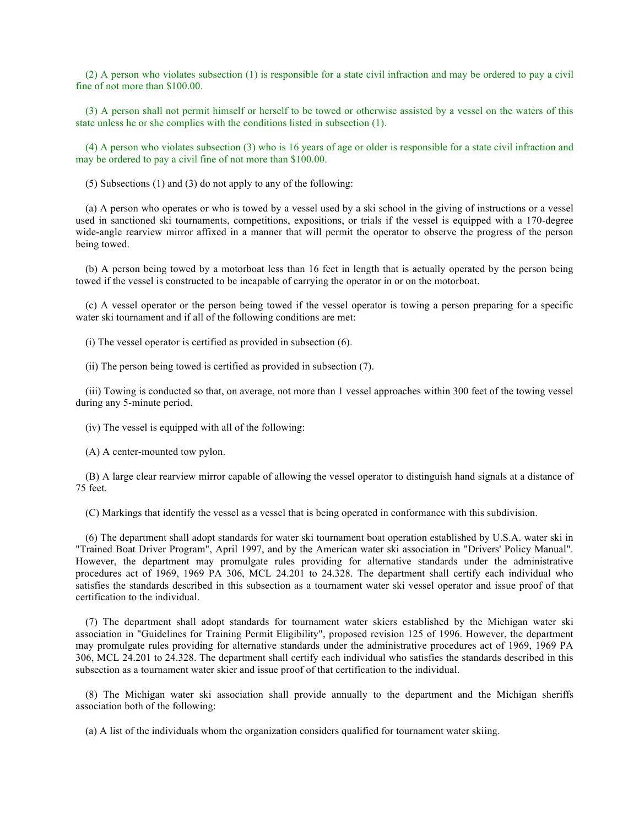(2) A person who violates subsection (1) is responsible for a state civil infraction and may be ordered to pay a civil fine of not more than \$100.00.

(3) A person shall not permit himself or herself to be towed or otherwise assisted by a vessel on the waters of this state unless he or she complies with the conditions listed in subsection (1).

(4) A person who violates subsection (3) who is 16 years of age or older is responsible for a state civil infraction and may be ordered to pay a civil fine of not more than \$100.00.

(5) Subsections (1) and (3) do not apply to any of the following:

(a) A person who operates or who is towed by a vessel used by a ski school in the giving of instructions or a vessel used in sanctioned ski tournaments, competitions, expositions, or trials if the vessel is equipped with a 170-degree wide-angle rearview mirror affixed in a manner that will permit the operator to observe the progress of the person being towed.

(b) A person being towed by a motorboat less than 16 feet in length that is actually operated by the person being towed if the vessel is constructed to be incapable of carrying the operator in or on the motorboat.

(c) A vessel operator or the person being towed if the vessel operator is towing a person preparing for a specific water ski tournament and if all of the following conditions are met:

(i) The vessel operator is certified as provided in subsection (6).

(ii) The person being towed is certified as provided in subsection (7).

(iii) Towing is conducted so that, on average, not more than 1 vessel approaches within 300 feet of the towing vessel during any 5-minute period.

(iv) The vessel is equipped with all of the following:

(A) A center-mounted tow pylon.

(B) A large clear rearview mirror capable of allowing the vessel operator to distinguish hand signals at a distance of 75 feet.

(C) Markings that identify the vessel as a vessel that is being operated in conformance with this subdivision.

(6) The department shall adopt standards for water ski tournament boat operation established by U.S.A. water ski in "Trained Boat Driver Program", April 1997, and by the American water ski association in "Drivers' Policy Manual". However, the department may promulgate rules providing for alternative standards under the administrative procedures act of 1969, 1969 PA 306, MCL 24.201 to 24.328. The department shall certify each individual who satisfies the standards described in this subsection as a tournament water ski vessel operator and issue proof of that certification to the individual.

(7) The department shall adopt standards for tournament water skiers established by the Michigan water ski association in "Guidelines for Training Permit Eligibility", proposed revision 125 of 1996. However, the department may promulgate rules providing for alternative standards under the administrative procedures act of 1969, 1969 PA 306, MCL 24.201 to 24.328. The department shall certify each individual who satisfies the standards described in this subsection as a tournament water skier and issue proof of that certification to the individual.

(8) The Michigan water ski association shall provide annually to the department and the Michigan sheriffs association both of the following:

(a) A list of the individuals whom the organization considers qualified for tournament water skiing.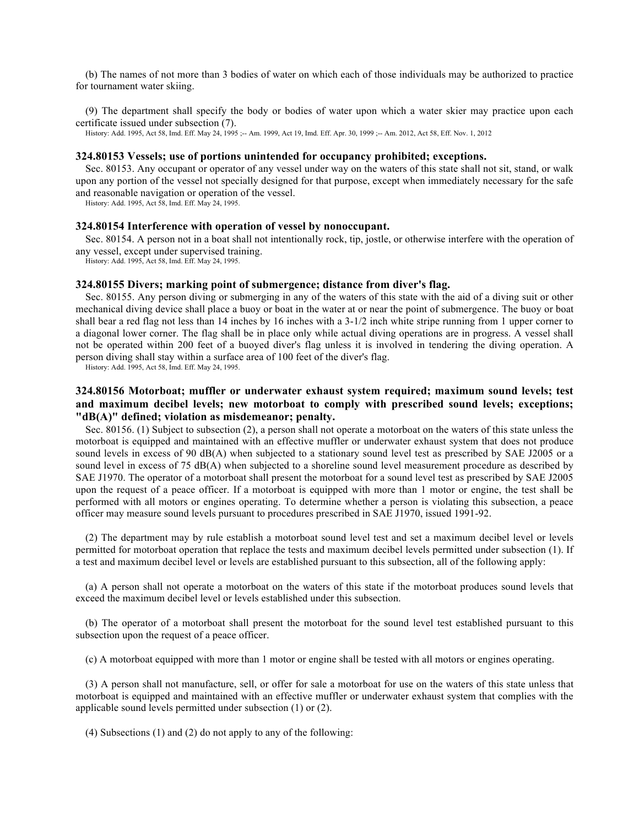(b) The names of not more than 3 bodies of water on which each of those individuals may be authorized to practice for tournament water skiing.

(9) The department shall specify the body or bodies of water upon which a water skier may practice upon each certificate issued under subsection (7).

History: Add. 1995, Act 58, Imd. Eff. May 24, 1995 ;-- Am. 1999, Act 19, Imd. Eff. Apr. 30, 1999 ;-- Am. 2012, Act 58, Eff. Nov. 1, 2012

#### **324.80153 Vessels; use of portions unintended for occupancy prohibited; exceptions.**

Sec. 80153. Any occupant or operator of any vessel under way on the waters of this state shall not sit, stand, or walk upon any portion of the vessel not specially designed for that purpose, except when immediately necessary for the safe and reasonable navigation or operation of the vessel.

History: Add. 1995, Act 58, Imd. Eff. May 24, 1995.

## **324.80154 Interference with operation of vessel by nonoccupant.**

Sec. 80154. A person not in a boat shall not intentionally rock, tip, jostle, or otherwise interfere with the operation of any vessel, except under supervised training.

History: Add. 1995, Act 58, Imd. Eff. May 24, 1995.

#### **324.80155 Divers; marking point of submergence; distance from diver's flag.**

Sec. 80155. Any person diving or submerging in any of the waters of this state with the aid of a diving suit or other mechanical diving device shall place a buoy or boat in the water at or near the point of submergence. The buoy or boat shall bear a red flag not less than 14 inches by 16 inches with a 3-1/2 inch white stripe running from 1 upper corner to a diagonal lower corner. The flag shall be in place only while actual diving operations are in progress. A vessel shall not be operated within 200 feet of a buoyed diver's flag unless it is involved in tendering the diving operation. A person diving shall stay within a surface area of 100 feet of the diver's flag.

History: Add. 1995, Act 58, Imd. Eff. May 24, 1995.

# **324.80156 Motorboat; muffler or underwater exhaust system required; maximum sound levels; test and maximum decibel levels; new motorboat to comply with prescribed sound levels; exceptions; "dB(A)" defined; violation as misdemeanor; penalty.**

Sec. 80156. (1) Subject to subsection (2), a person shall not operate a motorboat on the waters of this state unless the motorboat is equipped and maintained with an effective muffler or underwater exhaust system that does not produce sound levels in excess of 90 dB(A) when subjected to a stationary sound level test as prescribed by SAE J2005 or a sound level in excess of 75 dB(A) when subjected to a shoreline sound level measurement procedure as described by SAE J1970. The operator of a motorboat shall present the motorboat for a sound level test as prescribed by SAE J2005 upon the request of a peace officer. If a motorboat is equipped with more than 1 motor or engine, the test shall be performed with all motors or engines operating. To determine whether a person is violating this subsection, a peace officer may measure sound levels pursuant to procedures prescribed in SAE J1970, issued 1991-92.

(2) The department may by rule establish a motorboat sound level test and set a maximum decibel level or levels permitted for motorboat operation that replace the tests and maximum decibel levels permitted under subsection (1). If a test and maximum decibel level or levels are established pursuant to this subsection, all of the following apply:

(a) A person shall not operate a motorboat on the waters of this state if the motorboat produces sound levels that exceed the maximum decibel level or levels established under this subsection.

(b) The operator of a motorboat shall present the motorboat for the sound level test established pursuant to this subsection upon the request of a peace officer.

(c) A motorboat equipped with more than 1 motor or engine shall be tested with all motors or engines operating.

(3) A person shall not manufacture, sell, or offer for sale a motorboat for use on the waters of this state unless that motorboat is equipped and maintained with an effective muffler or underwater exhaust system that complies with the applicable sound levels permitted under subsection (1) or (2).

(4) Subsections (1) and (2) do not apply to any of the following: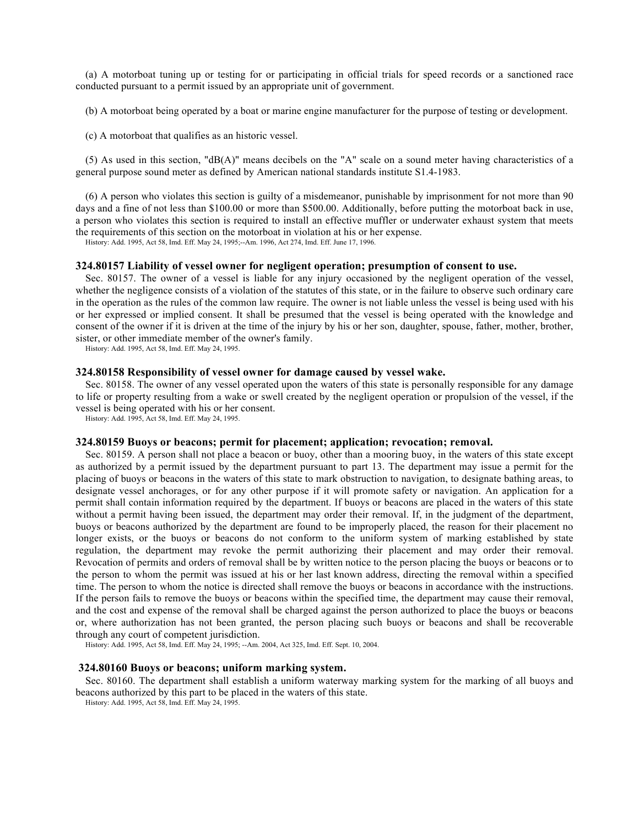(a) A motorboat tuning up or testing for or participating in official trials for speed records or a sanctioned race conducted pursuant to a permit issued by an appropriate unit of government.

(b) A motorboat being operated by a boat or marine engine manufacturer for the purpose of testing or development.

(c) A motorboat that qualifies as an historic vessel.

(5) As used in this section, "dB(A)" means decibels on the "A" scale on a sound meter having characteristics of a general purpose sound meter as defined by American national standards institute S1.4-1983.

(6) A person who violates this section is guilty of a misdemeanor, punishable by imprisonment for not more than 90 days and a fine of not less than \$100.00 or more than \$500.00. Additionally, before putting the motorboat back in use, a person who violates this section is required to install an effective muffler or underwater exhaust system that meets the requirements of this section on the motorboat in violation at his or her expense.

History: Add. 1995, Act 58, Imd. Eff. May 24, 1995;--Am. 1996, Act 274, Imd. Eff. June 17, 1996.

#### **324.80157 Liability of vessel owner for negligent operation; presumption of consent to use.**

Sec. 80157. The owner of a vessel is liable for any injury occasioned by the negligent operation of the vessel, whether the negligence consists of a violation of the statutes of this state, or in the failure to observe such ordinary care in the operation as the rules of the common law require. The owner is not liable unless the vessel is being used with his or her expressed or implied consent. It shall be presumed that the vessel is being operated with the knowledge and consent of the owner if it is driven at the time of the injury by his or her son, daughter, spouse, father, mother, brother, sister, or other immediate member of the owner's family.

History: Add. 1995, Act 58, Imd. Eff. May 24, 1995.

### **324.80158 Responsibility of vessel owner for damage caused by vessel wake.**

Sec. 80158. The owner of any vessel operated upon the waters of this state is personally responsible for any damage to life or property resulting from a wake or swell created by the negligent operation or propulsion of the vessel, if the vessel is being operated with his or her consent.

History: Add. 1995, Act 58, Imd. Eff. May 24, 1995.

#### **324.80159 Buoys or beacons; permit for placement; application; revocation; removal.**

Sec. 80159. A person shall not place a beacon or buoy, other than a mooring buoy, in the waters of this state except as authorized by a permit issued by the department pursuant to part 13. The department may issue a permit for the placing of buoys or beacons in the waters of this state to mark obstruction to navigation, to designate bathing areas, to designate vessel anchorages, or for any other purpose if it will promote safety or navigation. An application for a permit shall contain information required by the department. If buoys or beacons are placed in the waters of this state without a permit having been issued, the department may order their removal. If, in the judgment of the department, buoys or beacons authorized by the department are found to be improperly placed, the reason for their placement no longer exists, or the buoys or beacons do not conform to the uniform system of marking established by state regulation, the department may revoke the permit authorizing their placement and may order their removal. Revocation of permits and orders of removal shall be by written notice to the person placing the buoys or beacons or to the person to whom the permit was issued at his or her last known address, directing the removal within a specified time. The person to whom the notice is directed shall remove the buoys or beacons in accordance with the instructions. If the person fails to remove the buoys or beacons within the specified time, the department may cause their removal, and the cost and expense of the removal shall be charged against the person authorized to place the buoys or beacons or, where authorization has not been granted, the person placing such buoys or beacons and shall be recoverable through any court of competent jurisdiction.

History: Add. 1995, Act 58, Imd. Eff. May 24, 1995; --Am. 2004, Act 325, Imd. Eff. Sept. 10, 2004.

#### **324.80160 Buoys or beacons; uniform marking system.**

Sec. 80160. The department shall establish a uniform waterway marking system for the marking of all buoys and beacons authorized by this part to be placed in the waters of this state.

History: Add. 1995, Act 58, Imd. Eff. May 24, 1995.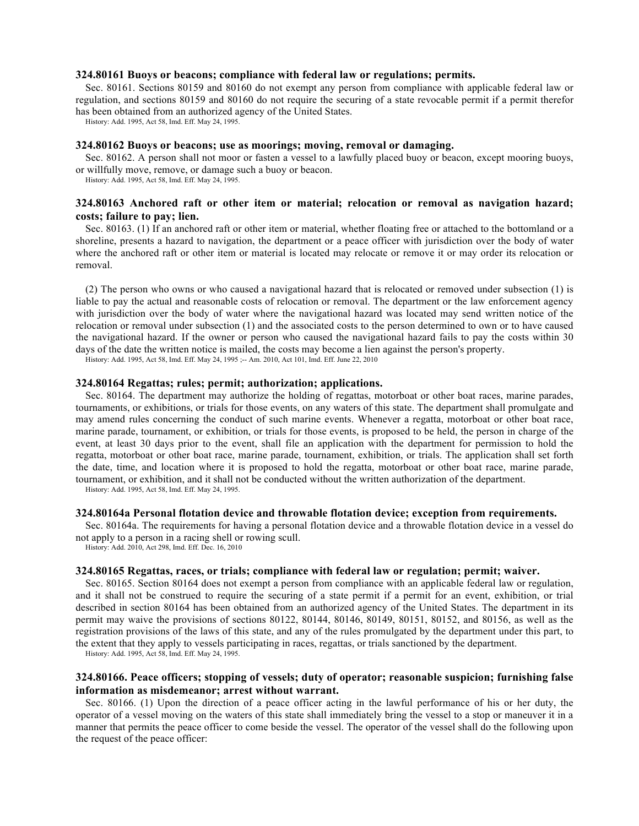## **324.80161 Buoys or beacons; compliance with federal law or regulations; permits.**

Sec. 80161. Sections 80159 and 80160 do not exempt any person from compliance with applicable federal law or regulation, and sections 80159 and 80160 do not require the securing of a state revocable permit if a permit therefor has been obtained from an authorized agency of the United States.

History: Add. 1995, Act 58, Imd. Eff. May 24, 1995.

#### **324.80162 Buoys or beacons; use as moorings; moving, removal or damaging.**

Sec. 80162. A person shall not moor or fasten a vessel to a lawfully placed buoy or beacon, except mooring buoys, or willfully move, remove, or damage such a buoy or beacon.

History: Add. 1995, Act 58, Imd. Eff. May 24, 1995.

# **324.80163 Anchored raft or other item or material; relocation or removal as navigation hazard; costs; failure to pay; lien.**

Sec. 80163. (1) If an anchored raft or other item or material, whether floating free or attached to the bottomland or a shoreline, presents a hazard to navigation, the department or a peace officer with jurisdiction over the body of water where the anchored raft or other item or material is located may relocate or remove it or may order its relocation or removal.

(2) The person who owns or who caused a navigational hazard that is relocated or removed under subsection (1) is liable to pay the actual and reasonable costs of relocation or removal. The department or the law enforcement agency with jurisdiction over the body of water where the navigational hazard was located may send written notice of the relocation or removal under subsection (1) and the associated costs to the person determined to own or to have caused the navigational hazard. If the owner or person who caused the navigational hazard fails to pay the costs within 30 days of the date the written notice is mailed, the costs may become a lien against the person's property.

History: Add. 1995, Act 58, Imd. Eff. May 24, 1995 ;-- Am. 2010, Act 101, Imd. Eff. June 22, 2010

#### **324.80164 Regattas; rules; permit; authorization; applications.**

Sec. 80164. The department may authorize the holding of regattas, motorboat or other boat races, marine parades, tournaments, or exhibitions, or trials for those events, on any waters of this state. The department shall promulgate and may amend rules concerning the conduct of such marine events. Whenever a regatta, motorboat or other boat race, marine parade, tournament, or exhibition, or trials for those events, is proposed to be held, the person in charge of the event, at least 30 days prior to the event, shall file an application with the department for permission to hold the regatta, motorboat or other boat race, marine parade, tournament, exhibition, or trials. The application shall set forth the date, time, and location where it is proposed to hold the regatta, motorboat or other boat race, marine parade, tournament, or exhibition, and it shall not be conducted without the written authorization of the department.

History: Add. 1995, Act 58, Imd. Eff. May 24, 1995.

### **324.80164a Personal flotation device and throwable flotation device; exception from requirements.**

Sec. 80164a. The requirements for having a personal flotation device and a throwable flotation device in a vessel do not apply to a person in a racing shell or rowing scull.

History: Add. 2010, Act 298, Imd. Eff. Dec. 16, 2010

## **324.80165 Regattas, races, or trials; compliance with federal law or regulation; permit; waiver.**

Sec. 80165. Section 80164 does not exempt a person from compliance with an applicable federal law or regulation, and it shall not be construed to require the securing of a state permit if a permit for an event, exhibition, or trial described in section 80164 has been obtained from an authorized agency of the United States. The department in its permit may waive the provisions of sections 80122, 80144, 80146, 80149, 80151, 80152, and 80156, as well as the registration provisions of the laws of this state, and any of the rules promulgated by the department under this part, to the extent that they apply to vessels participating in races, regattas, or trials sanctioned by the department.

History: Add. 1995, Act 58, Imd. Eff. May 24, 1995.

# **324.80166. Peace officers; stopping of vessels; duty of operator; reasonable suspicion; furnishing false information as misdemeanor; arrest without warrant.**

Sec. 80166. (1) Upon the direction of a peace officer acting in the lawful performance of his or her duty, the operator of a vessel moving on the waters of this state shall immediately bring the vessel to a stop or maneuver it in a manner that permits the peace officer to come beside the vessel. The operator of the vessel shall do the following upon the request of the peace officer: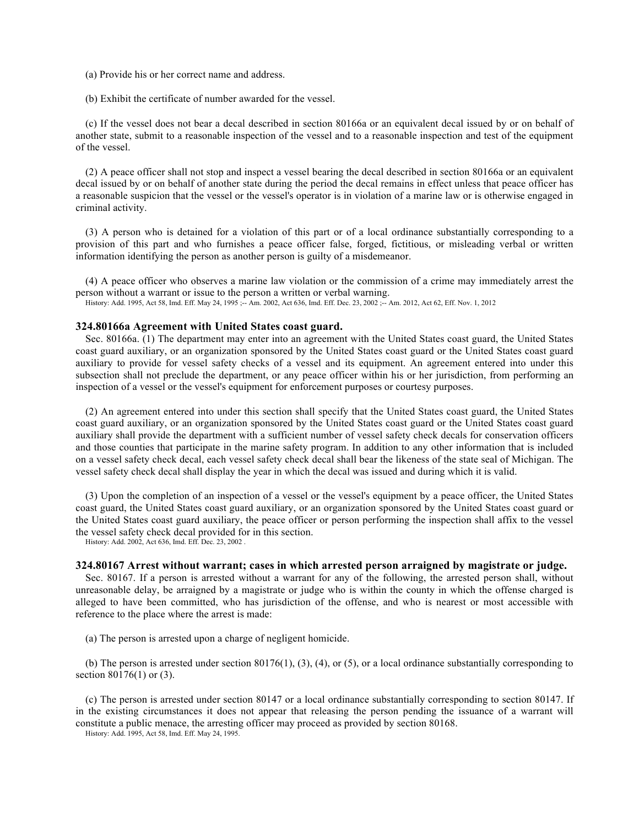- (a) Provide his or her correct name and address.
- (b) Exhibit the certificate of number awarded for the vessel.

(c) If the vessel does not bear a decal described in section 80166a or an equivalent decal issued by or on behalf of another state, submit to a reasonable inspection of the vessel and to a reasonable inspection and test of the equipment of the vessel.

(2) A peace officer shall not stop and inspect a vessel bearing the decal described in section 80166a or an equivalent decal issued by or on behalf of another state during the period the decal remains in effect unless that peace officer has a reasonable suspicion that the vessel or the vessel's operator is in violation of a marine law or is otherwise engaged in criminal activity.

(3) A person who is detained for a violation of this part or of a local ordinance substantially corresponding to a provision of this part and who furnishes a peace officer false, forged, fictitious, or misleading verbal or written information identifying the person as another person is guilty of a misdemeanor.

(4) A peace officer who observes a marine law violation or the commission of a crime may immediately arrest the person without a warrant or issue to the person a written or verbal warning.

History: Add. 1995, Act 58, Imd. Eff. May 24, 1995 ;-- Am. 2002, Act 636, Imd. Eff. Dec. 23, 2002 ;-- Am. 2012, Act 62, Eff. Nov. 1, 2012

# **324.80166a Agreement with United States coast guard.**

Sec. 80166a. (1) The department may enter into an agreement with the United States coast guard, the United States coast guard auxiliary, or an organization sponsored by the United States coast guard or the United States coast guard auxiliary to provide for vessel safety checks of a vessel and its equipment. An agreement entered into under this subsection shall not preclude the department, or any peace officer within his or her jurisdiction, from performing an inspection of a vessel or the vessel's equipment for enforcement purposes or courtesy purposes.

(2) An agreement entered into under this section shall specify that the United States coast guard, the United States coast guard auxiliary, or an organization sponsored by the United States coast guard or the United States coast guard auxiliary shall provide the department with a sufficient number of vessel safety check decals for conservation officers and those counties that participate in the marine safety program. In addition to any other information that is included on a vessel safety check decal, each vessel safety check decal shall bear the likeness of the state seal of Michigan. The vessel safety check decal shall display the year in which the decal was issued and during which it is valid.

(3) Upon the completion of an inspection of a vessel or the vessel's equipment by a peace officer, the United States coast guard, the United States coast guard auxiliary, or an organization sponsored by the United States coast guard or the United States coast guard auxiliary, the peace officer or person performing the inspection shall affix to the vessel the vessel safety check decal provided for in this section.

History: Add. 2002, Act 636, Imd. Eff. Dec. 23, 2002 .

#### **324.80167 Arrest without warrant; cases in which arrested person arraigned by magistrate or judge.**

Sec. 80167. If a person is arrested without a warrant for any of the following, the arrested person shall, without unreasonable delay, be arraigned by a magistrate or judge who is within the county in which the offense charged is alleged to have been committed, who has jurisdiction of the offense, and who is nearest or most accessible with reference to the place where the arrest is made:

(a) The person is arrested upon a charge of negligent homicide.

(b) The person is arrested under section  $80176(1)$ ,  $(3)$ ,  $(4)$ , or  $(5)$ , or a local ordinance substantially corresponding to section 80176(1) or (3).

(c) The person is arrested under section 80147 or a local ordinance substantially corresponding to section 80147. If in the existing circumstances it does not appear that releasing the person pending the issuance of a warrant will constitute a public menace, the arresting officer may proceed as provided by section 80168.

History: Add. 1995, Act 58, Imd. Eff. May 24, 1995.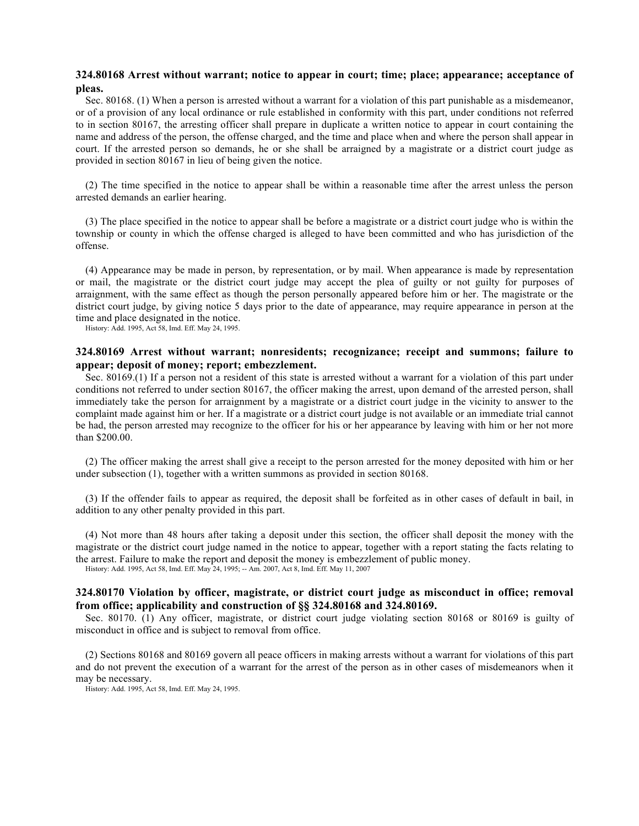# **324.80168 Arrest without warrant; notice to appear in court; time; place; appearance; acceptance of pleas.**

Sec. 80168. (1) When a person is arrested without a warrant for a violation of this part punishable as a misdemeanor, or of a provision of any local ordinance or rule established in conformity with this part, under conditions not referred to in section 80167, the arresting officer shall prepare in duplicate a written notice to appear in court containing the name and address of the person, the offense charged, and the time and place when and where the person shall appear in court. If the arrested person so demands, he or she shall be arraigned by a magistrate or a district court judge as provided in section 80167 in lieu of being given the notice.

(2) The time specified in the notice to appear shall be within a reasonable time after the arrest unless the person arrested demands an earlier hearing.

(3) The place specified in the notice to appear shall be before a magistrate or a district court judge who is within the township or county in which the offense charged is alleged to have been committed and who has jurisdiction of the offense.

(4) Appearance may be made in person, by representation, or by mail. When appearance is made by representation or mail, the magistrate or the district court judge may accept the plea of guilty or not guilty for purposes of arraignment, with the same effect as though the person personally appeared before him or her. The magistrate or the district court judge, by giving notice 5 days prior to the date of appearance, may require appearance in person at the time and place designated in the notice.

History: Add. 1995, Act 58, Imd. Eff. May 24, 1995.

## **324.80169 Arrest without warrant; nonresidents; recognizance; receipt and summons; failure to appear; deposit of money; report; embezzlement.**

Sec. 80169.(1) If a person not a resident of this state is arrested without a warrant for a violation of this part under conditions not referred to under section 80167, the officer making the arrest, upon demand of the arrested person, shall immediately take the person for arraignment by a magistrate or a district court judge in the vicinity to answer to the complaint made against him or her. If a magistrate or a district court judge is not available or an immediate trial cannot be had, the person arrested may recognize to the officer for his or her appearance by leaving with him or her not more than \$200.00.

(2) The officer making the arrest shall give a receipt to the person arrested for the money deposited with him or her under subsection (1), together with a written summons as provided in section 80168.

(3) If the offender fails to appear as required, the deposit shall be forfeited as in other cases of default in bail, in addition to any other penalty provided in this part.

(4) Not more than 48 hours after taking a deposit under this section, the officer shall deposit the money with the magistrate or the district court judge named in the notice to appear, together with a report stating the facts relating to the arrest. Failure to make the report and deposit the money is embezzlement of public money.

History: Add. 1995, Act 58, Imd. Eff. May 24, 1995; -- Am. 2007, Act 8, Imd. Eff. May 11, 2007

# **324.80170 Violation by officer, magistrate, or district court judge as misconduct in office; removal from office; applicability and construction of §§ 324.80168 and 324.80169.**

Sec. 80170. (1) Any officer, magistrate, or district court judge violating section 80168 or 80169 is guilty of misconduct in office and is subject to removal from office.

(2) Sections 80168 and 80169 govern all peace officers in making arrests without a warrant for violations of this part and do not prevent the execution of a warrant for the arrest of the person as in other cases of misdemeanors when it may be necessary.

History: Add. 1995, Act 58, Imd. Eff. May 24, 1995.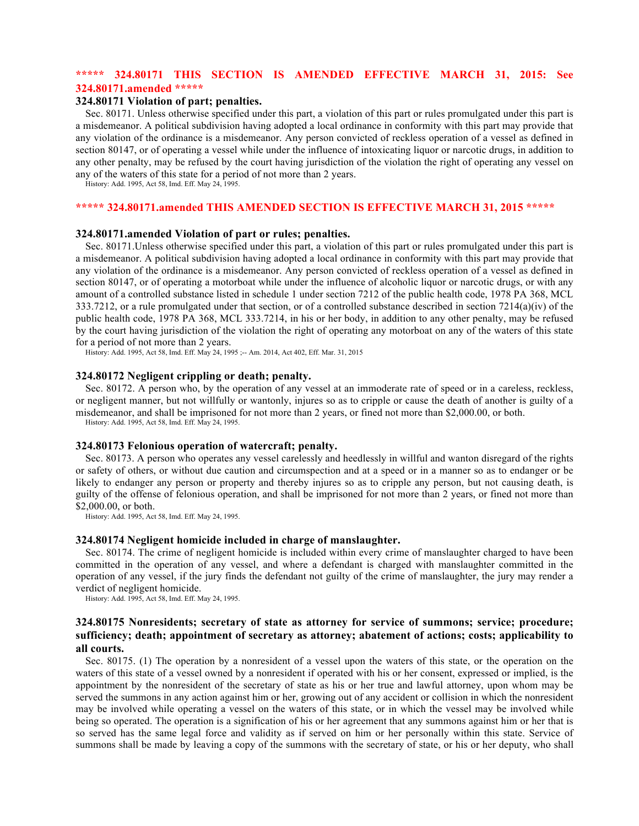# **\*\*\*\*\* 324.80171 THIS SECTION IS AMENDED EFFECTIVE MARCH 31, 2015: See 324.80171.amended \*\*\*\*\***

# **324.80171 Violation of part; penalties.**

Sec. 80171. Unless otherwise specified under this part, a violation of this part or rules promulgated under this part is a misdemeanor. A political subdivision having adopted a local ordinance in conformity with this part may provide that any violation of the ordinance is a misdemeanor. Any person convicted of reckless operation of a vessel as defined in section 80147, or of operating a vessel while under the influence of intoxicating liquor or narcotic drugs, in addition to any other penalty, may be refused by the court having jurisdiction of the violation the right of operating any vessel on any of the waters of this state for a period of not more than 2 years.

History: Add. 1995, Act 58, Imd. Eff. May 24, 1995.

## **\*\*\*\*\* 324.80171.amended THIS AMENDED SECTION IS EFFECTIVE MARCH 31, 2015 \*\*\*\*\***

# **324.80171.amended Violation of part or rules; penalties.**

Sec. 80171.Unless otherwise specified under this part, a violation of this part or rules promulgated under this part is a misdemeanor. A political subdivision having adopted a local ordinance in conformity with this part may provide that any violation of the ordinance is a misdemeanor. Any person convicted of reckless operation of a vessel as defined in section 80147, or of operating a motorboat while under the influence of alcoholic liquor or narcotic drugs, or with any amount of a controlled substance listed in schedule 1 under section 7212 of the public health code, 1978 PA 368, MCL 333.7212, or a rule promulgated under that section, or of a controlled substance described in section  $7214(a)(iv)$  of the public health code, 1978 PA 368, MCL 333.7214, in his or her body, in addition to any other penalty, may be refused by the court having jurisdiction of the violation the right of operating any motorboat on any of the waters of this state for a period of not more than 2 years.

History: Add. 1995, Act 58, Imd. Eff. May 24, 1995 ;-- Am. 2014, Act 402, Eff. Mar. 31, 2015

#### **324.80172 Negligent crippling or death; penalty.**

Sec. 80172. A person who, by the operation of any vessel at an immoderate rate of speed or in a careless, reckless, or negligent manner, but not willfully or wantonly, injures so as to cripple or cause the death of another is guilty of a misdemeanor, and shall be imprisoned for not more than 2 years, or fined not more than \$2,000.00, or both. History: Add. 1995, Act 58, Imd. Eff. May 24, 1995.

## **324.80173 Felonious operation of watercraft; penalty.**

Sec. 80173. A person who operates any vessel carelessly and heedlessly in willful and wanton disregard of the rights or safety of others, or without due caution and circumspection and at a speed or in a manner so as to endanger or be likely to endanger any person or property and thereby injures so as to cripple any person, but not causing death, is guilty of the offense of felonious operation, and shall be imprisoned for not more than 2 years, or fined not more than \$2,000.00, or both.

History: Add. 1995, Act 58, Imd. Eff. May 24, 1995.

## **324.80174 Negligent homicide included in charge of manslaughter.**

Sec. 80174. The crime of negligent homicide is included within every crime of manslaughter charged to have been committed in the operation of any vessel, and where a defendant is charged with manslaughter committed in the operation of any vessel, if the jury finds the defendant not guilty of the crime of manslaughter, the jury may render a verdict of negligent homicide.

History: Add. 1995, Act 58, Imd. Eff. May 24, 1995.

# **324.80175 Nonresidents; secretary of state as attorney for service of summons; service; procedure; sufficiency; death; appointment of secretary as attorney; abatement of actions; costs; applicability to all courts.**

Sec. 80175. (1) The operation by a nonresident of a vessel upon the waters of this state, or the operation on the waters of this state of a vessel owned by a nonresident if operated with his or her consent, expressed or implied, is the appointment by the nonresident of the secretary of state as his or her true and lawful attorney, upon whom may be served the summons in any action against him or her, growing out of any accident or collision in which the nonresident may be involved while operating a vessel on the waters of this state, or in which the vessel may be involved while being so operated. The operation is a signification of his or her agreement that any summons against him or her that is so served has the same legal force and validity as if served on him or her personally within this state. Service of summons shall be made by leaving a copy of the summons with the secretary of state, or his or her deputy, who shall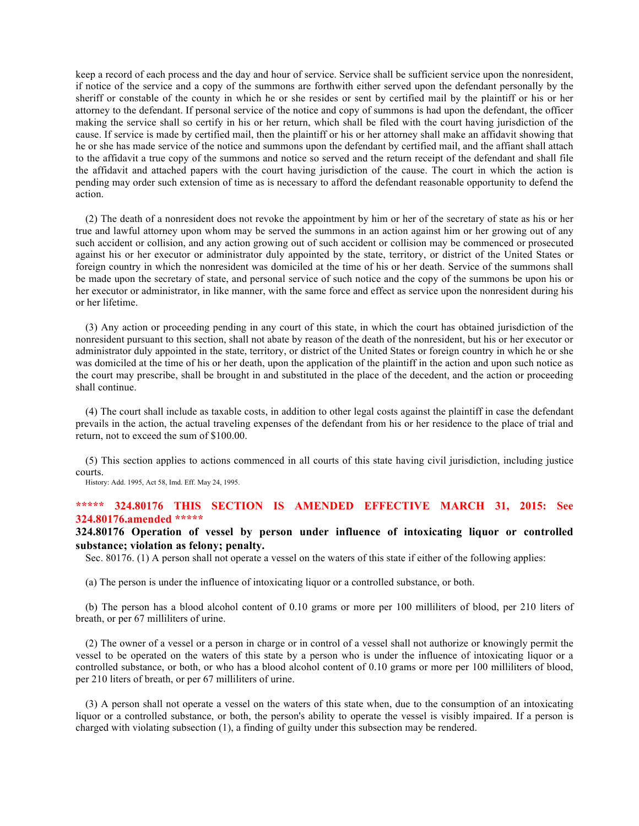keep a record of each process and the day and hour of service. Service shall be sufficient service upon the nonresident, if notice of the service and a copy of the summons are forthwith either served upon the defendant personally by the sheriff or constable of the county in which he or she resides or sent by certified mail by the plaintiff or his or her attorney to the defendant. If personal service of the notice and copy of summons is had upon the defendant, the officer making the service shall so certify in his or her return, which shall be filed with the court having jurisdiction of the cause. If service is made by certified mail, then the plaintiff or his or her attorney shall make an affidavit showing that he or she has made service of the notice and summons upon the defendant by certified mail, and the affiant shall attach to the affidavit a true copy of the summons and notice so served and the return receipt of the defendant and shall file the affidavit and attached papers with the court having jurisdiction of the cause. The court in which the action is pending may order such extension of time as is necessary to afford the defendant reasonable opportunity to defend the action.

(2) The death of a nonresident does not revoke the appointment by him or her of the secretary of state as his or her true and lawful attorney upon whom may be served the summons in an action against him or her growing out of any such accident or collision, and any action growing out of such accident or collision may be commenced or prosecuted against his or her executor or administrator duly appointed by the state, territory, or district of the United States or foreign country in which the nonresident was domiciled at the time of his or her death. Service of the summons shall be made upon the secretary of state, and personal service of such notice and the copy of the summons be upon his or her executor or administrator, in like manner, with the same force and effect as service upon the nonresident during his or her lifetime.

(3) Any action or proceeding pending in any court of this state, in which the court has obtained jurisdiction of the nonresident pursuant to this section, shall not abate by reason of the death of the nonresident, but his or her executor or administrator duly appointed in the state, territory, or district of the United States or foreign country in which he or she was domiciled at the time of his or her death, upon the application of the plaintiff in the action and upon such notice as the court may prescribe, shall be brought in and substituted in the place of the decedent, and the action or proceeding shall continue.

(4) The court shall include as taxable costs, in addition to other legal costs against the plaintiff in case the defendant prevails in the action, the actual traveling expenses of the defendant from his or her residence to the place of trial and return, not to exceed the sum of \$100.00.

(5) This section applies to actions commenced in all courts of this state having civil jurisdiction, including justice courts.

History: Add. 1995, Act 58, Imd. Eff. May 24, 1995.

# **\*\*\*\*\* 324.80176 THIS SECTION IS AMENDED EFFECTIVE MARCH 31, 2015: See 324.80176.amended \*\*\*\*\***

**324.80176 Operation of vessel by person under influence of intoxicating liquor or controlled substance; violation as felony; penalty.**

Sec. 80176. (1) A person shall not operate a vessel on the waters of this state if either of the following applies:

(a) The person is under the influence of intoxicating liquor or a controlled substance, or both.

(b) The person has a blood alcohol content of 0.10 grams or more per 100 milliliters of blood, per 210 liters of breath, or per 67 milliliters of urine.

(2) The owner of a vessel or a person in charge or in control of a vessel shall not authorize or knowingly permit the vessel to be operated on the waters of this state by a person who is under the influence of intoxicating liquor or a controlled substance, or both, or who has a blood alcohol content of 0.10 grams or more per 100 milliliters of blood, per 210 liters of breath, or per 67 milliliters of urine.

(3) A person shall not operate a vessel on the waters of this state when, due to the consumption of an intoxicating liquor or a controlled substance, or both, the person's ability to operate the vessel is visibly impaired. If a person is charged with violating subsection (1), a finding of guilty under this subsection may be rendered.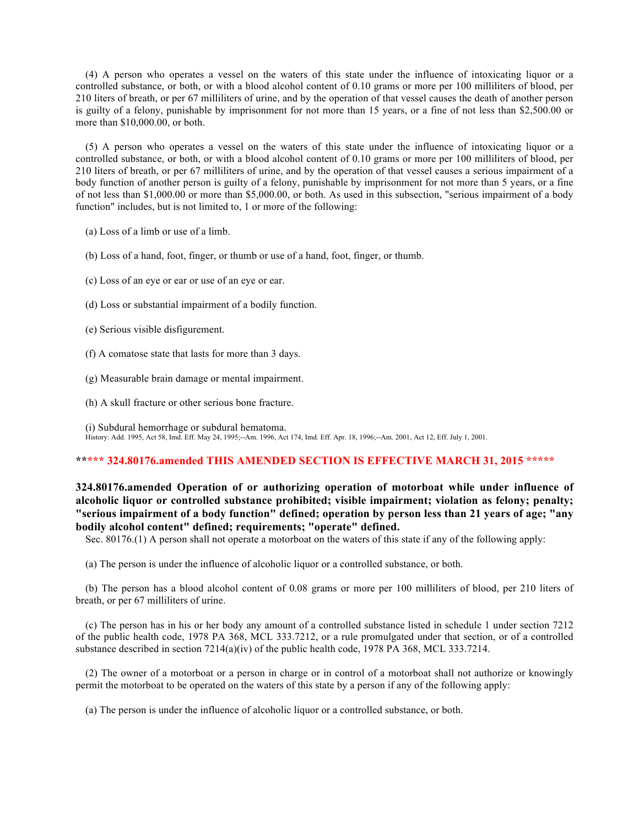(4) A person who operates a vessel on the waters of this state under the influence of intoxicating liquor or a controlled substance, or both, or with a blood alcohol content of 0.10 grams or more per 100 milliliters of blood, per 210 liters of breath, or per 67 milliliters of urine, and by the operation of that vessel causes the death of another person is guilty of a felony, punishable by imprisonment for not more than 15 years, or a fine of not less than \$2,500.00 or more than \$10,000.00, or both.

(5) A person who operates a vessel on the waters of this state under the influence of intoxicating liquor or a controlled substance, or both, or with a blood alcohol content of 0.10 grams or more per 100 milliliters of blood, per 210 liters of breath, or per 67 milliliters of urine, and by the operation of that vessel causes a serious impairment of a body function of another person is guilty of a felony, punishable by imprisonment for not more than 5 years, or a fine of not less than \$1,000.00 or more than \$5,000.00, or both. As used in this subsection, "serious impairment of a body function" includes, but is not limited to, 1 or more of the following:

- (a) Loss of a limb or use of a limb.
- (b) Loss of a hand, foot, finger, or thumb or use of a hand, foot, finger, or thumb.
- (c) Loss of an eye or ear or use of an eye or ear.
- (d) Loss or substantial impairment of a bodily function.
- (e) Serious visible disfigurement.
- (f) A comatose state that lasts for more than 3 days.
- (g) Measurable brain damage or mental impairment.
- (h) A skull fracture or other serious bone fracture.

(i) Subdural hemorrhage or subdural hematoma. History: Add. 1995, Act 58, Imd. Eff. May 24, 1995;--Am. 1996, Act 174, Imd. Eff. Apr. 18, 1996;--Am. 2001, Act 12, Eff. July 1, 2001.

## **\*\*\*\*\* 324.80176.amended THIS AMENDED SECTION IS EFFECTIVE MARCH 31, 2015 \*\*\*\*\***

# **324.80176.amended Operation of or authorizing operation of motorboat while under influence of alcoholic liquor or controlled substance prohibited; visible impairment; violation as felony; penalty; "serious impairment of a body function" defined; operation by person less than 21 years of age; "any bodily alcohol content" defined; requirements; "operate" defined.**

Sec. 80176.(1) A person shall not operate a motorboat on the waters of this state if any of the following apply:

(a) The person is under the influence of alcoholic liquor or a controlled substance, or both.

(b) The person has a blood alcohol content of 0.08 grams or more per 100 milliliters of blood, per 210 liters of breath, or per 67 milliliters of urine.

(c) The person has in his or her body any amount of a controlled substance listed in schedule 1 under section 7212 of the public health code, 1978 PA 368, MCL 333.7212, or a rule promulgated under that section, or of a controlled substance described in section 7214(a)(iv) of the public health code, 1978 PA 368, MCL 333.7214.

(2) The owner of a motorboat or a person in charge or in control of a motorboat shall not authorize or knowingly permit the motorboat to be operated on the waters of this state by a person if any of the following apply:

(a) The person is under the influence of alcoholic liquor or a controlled substance, or both.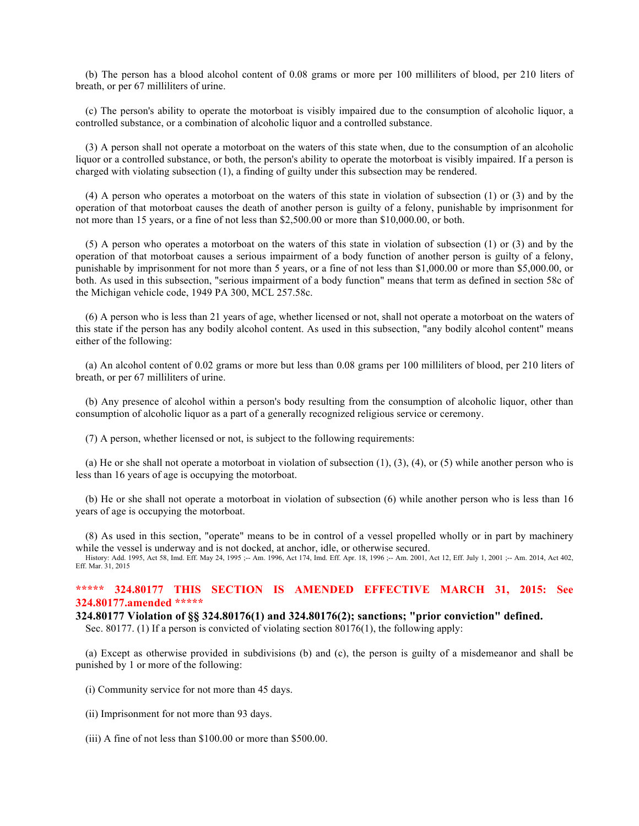(b) The person has a blood alcohol content of 0.08 grams or more per 100 milliliters of blood, per 210 liters of breath, or per 67 milliliters of urine.

(c) The person's ability to operate the motorboat is visibly impaired due to the consumption of alcoholic liquor, a controlled substance, or a combination of alcoholic liquor and a controlled substance.

(3) A person shall not operate a motorboat on the waters of this state when, due to the consumption of an alcoholic liquor or a controlled substance, or both, the person's ability to operate the motorboat is visibly impaired. If a person is charged with violating subsection (1), a finding of guilty under this subsection may be rendered.

(4) A person who operates a motorboat on the waters of this state in violation of subsection (1) or (3) and by the operation of that motorboat causes the death of another person is guilty of a felony, punishable by imprisonment for not more than 15 years, or a fine of not less than \$2,500.00 or more than \$10,000.00, or both.

(5) A person who operates a motorboat on the waters of this state in violation of subsection (1) or (3) and by the operation of that motorboat causes a serious impairment of a body function of another person is guilty of a felony, punishable by imprisonment for not more than 5 years, or a fine of not less than \$1,000.00 or more than \$5,000.00, or both. As used in this subsection, "serious impairment of a body function" means that term as defined in section 58c of the Michigan vehicle code, 1949 PA 300, MCL 257.58c.

(6) A person who is less than 21 years of age, whether licensed or not, shall not operate a motorboat on the waters of this state if the person has any bodily alcohol content. As used in this subsection, "any bodily alcohol content" means either of the following:

(a) An alcohol content of 0.02 grams or more but less than 0.08 grams per 100 milliliters of blood, per 210 liters of breath, or per 67 milliliters of urine.

(b) Any presence of alcohol within a person's body resulting from the consumption of alcoholic liquor, other than consumption of alcoholic liquor as a part of a generally recognized religious service or ceremony.

(7) A person, whether licensed or not, is subject to the following requirements:

(a) He or she shall not operate a motorboat in violation of subsection  $(1)$ ,  $(3)$ ,  $(4)$ , or  $(5)$  while another person who is less than 16 years of age is occupying the motorboat.

(b) He or she shall not operate a motorboat in violation of subsection (6) while another person who is less than 16 years of age is occupying the motorboat.

(8) As used in this section, "operate" means to be in control of a vessel propelled wholly or in part by machinery while the vessel is underway and is not docked, at anchor, idle, or otherwise secured.

History: Add. 1995, Act 58, Imd. Eff. May 24, 1995 ;-- Am. 1996, Act 174, Imd. Eff. Apr. 18, 1996 ;-- Am. 2001, Act 12, Eff. July 1, 2001 ;-- Am. 2014, Act 402, Eff. Mar. 31, 2015

## **\*\*\*\*\* 324.80177 THIS SECTION IS AMENDED EFFECTIVE MARCH 31, 2015: See 324.80177.amended \*\*\*\*\***

#### **324.80177 Violation of §§ 324.80176(1) and 324.80176(2); sanctions; "prior conviction" defined.**

Sec. 80177. (1) If a person is convicted of violating section 80176(1), the following apply:

(a) Except as otherwise provided in subdivisions (b) and (c), the person is guilty of a misdemeanor and shall be punished by 1 or more of the following:

(i) Community service for not more than 45 days.

(ii) Imprisonment for not more than 93 days.

(iii) A fine of not less than \$100.00 or more than \$500.00.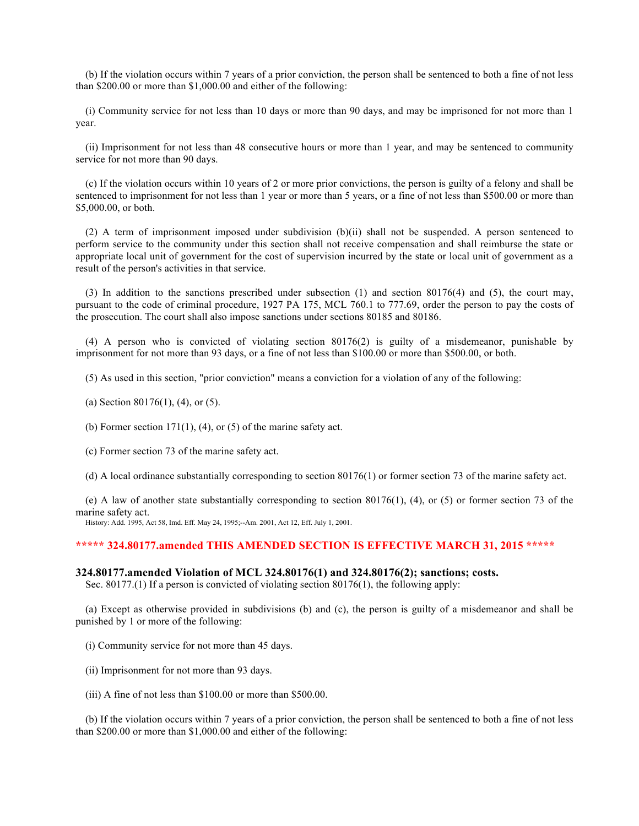(b) If the violation occurs within 7 years of a prior conviction, the person shall be sentenced to both a fine of not less than \$200.00 or more than \$1,000.00 and either of the following:

(i) Community service for not less than 10 days or more than 90 days, and may be imprisoned for not more than 1 year.

(ii) Imprisonment for not less than 48 consecutive hours or more than 1 year, and may be sentenced to community service for not more than 90 days.

(c) If the violation occurs within 10 years of 2 or more prior convictions, the person is guilty of a felony and shall be sentenced to imprisonment for not less than 1 year or more than 5 years, or a fine of not less than \$500.00 or more than \$5,000.00, or both.

(2) A term of imprisonment imposed under subdivision (b)(ii) shall not be suspended. A person sentenced to perform service to the community under this section shall not receive compensation and shall reimburse the state or appropriate local unit of government for the cost of supervision incurred by the state or local unit of government as a result of the person's activities in that service.

(3) In addition to the sanctions prescribed under subsection (1) and section 80176(4) and (5), the court may, pursuant to the code of criminal procedure, 1927 PA 175, MCL 760.1 to 777.69, order the person to pay the costs of the prosecution. The court shall also impose sanctions under sections 80185 and 80186.

(4) A person who is convicted of violating section 80176(2) is guilty of a misdemeanor, punishable by imprisonment for not more than 93 days, or a fine of not less than \$100.00 or more than \$500.00, or both.

(5) As used in this section, "prior conviction" means a conviction for a violation of any of the following:

(a) Section 80176(1), (4), or (5).

(b) Former section  $171(1)$ , (4), or (5) of the marine safety act.

(c) Former section 73 of the marine safety act.

(d) A local ordinance substantially corresponding to section 80176(1) or former section 73 of the marine safety act.

(e) A law of another state substantially corresponding to section 80176(1), (4), or (5) or former section 73 of the marine safety act.

History: Add. 1995, Act 58, Imd. Eff. May 24, 1995;--Am. 2001, Act 12, Eff. July 1, 2001.

#### **\*\*\*\*\* 324.80177.amended THIS AMENDED SECTION IS EFFECTIVE MARCH 31, 2015 \*\*\*\*\***

#### **324.80177.amended Violation of MCL 324.80176(1) and 324.80176(2); sanctions; costs.**

Sec. 80177.(1) If a person is convicted of violating section 80176(1), the following apply:

(a) Except as otherwise provided in subdivisions (b) and (c), the person is guilty of a misdemeanor and shall be punished by 1 or more of the following:

- (i) Community service for not more than 45 days.
- (ii) Imprisonment for not more than 93 days.
- (iii) A fine of not less than \$100.00 or more than \$500.00.

(b) If the violation occurs within 7 years of a prior conviction, the person shall be sentenced to both a fine of not less than \$200.00 or more than \$1,000.00 and either of the following: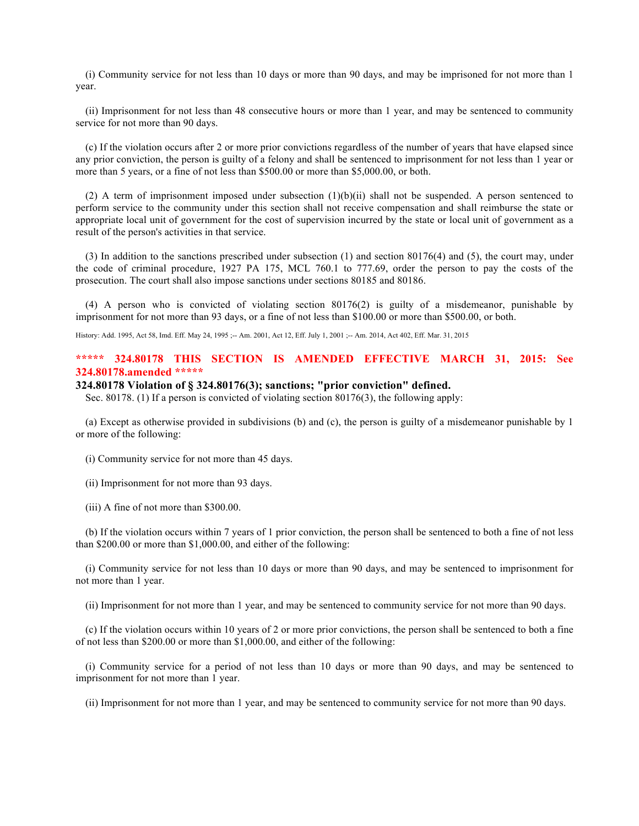(i) Community service for not less than 10 days or more than 90 days, and may be imprisoned for not more than 1 year.

(ii) Imprisonment for not less than 48 consecutive hours or more than 1 year, and may be sentenced to community service for not more than 90 days.

(c) If the violation occurs after 2 or more prior convictions regardless of the number of years that have elapsed since any prior conviction, the person is guilty of a felony and shall be sentenced to imprisonment for not less than 1 year or more than 5 years, or a fine of not less than \$500.00 or more than \$5,000.00, or both.

(2) A term of imprisonment imposed under subsection  $(1)(b)(ii)$  shall not be suspended. A person sentenced to perform service to the community under this section shall not receive compensation and shall reimburse the state or appropriate local unit of government for the cost of supervision incurred by the state or local unit of government as a result of the person's activities in that service.

(3) In addition to the sanctions prescribed under subsection (1) and section 80176(4) and (5), the court may, under the code of criminal procedure, 1927 PA 175, MCL 760.1 to 777.69, order the person to pay the costs of the prosecution. The court shall also impose sanctions under sections 80185 and 80186.

(4) A person who is convicted of violating section 80176(2) is guilty of a misdemeanor, punishable by imprisonment for not more than 93 days, or a fine of not less than \$100.00 or more than \$500.00, or both.

History: Add. 1995, Act 58, Imd. Eff. May 24, 1995 ;-- Am. 2001, Act 12, Eff. July 1, 2001 ;-- Am. 2014, Act 402, Eff. Mar. 31, 2015

# **\*\*\*\*\* 324.80178 THIS SECTION IS AMENDED EFFECTIVE MARCH 31, 2015: See 324.80178.amended \*\*\*\*\***

## **324.80178 Violation of § 324.80176(3); sanctions; "prior conviction" defined.**

Sec. 80178. (1) If a person is convicted of violating section 80176(3), the following apply:

(a) Except as otherwise provided in subdivisions (b) and (c), the person is guilty of a misdemeanor punishable by 1 or more of the following:

(i) Community service for not more than 45 days.

(ii) Imprisonment for not more than 93 days.

(iii) A fine of not more than \$300.00.

(b) If the violation occurs within 7 years of 1 prior conviction, the person shall be sentenced to both a fine of not less than \$200.00 or more than \$1,000.00, and either of the following:

(i) Community service for not less than 10 days or more than 90 days, and may be sentenced to imprisonment for not more than 1 year.

(ii) Imprisonment for not more than 1 year, and may be sentenced to community service for not more than 90 days.

(c) If the violation occurs within 10 years of 2 or more prior convictions, the person shall be sentenced to both a fine of not less than \$200.00 or more than \$1,000.00, and either of the following:

(i) Community service for a period of not less than 10 days or more than 90 days, and may be sentenced to imprisonment for not more than 1 year.

(ii) Imprisonment for not more than 1 year, and may be sentenced to community service for not more than 90 days.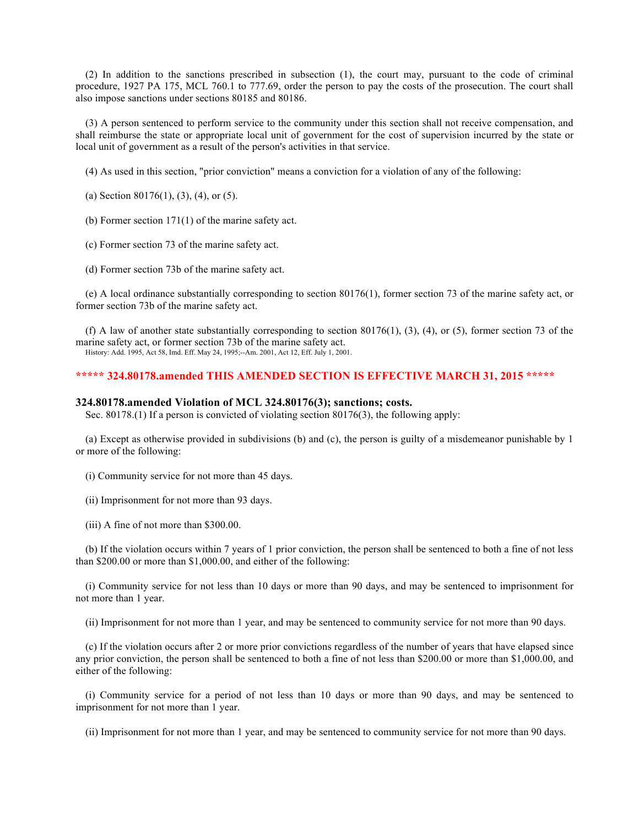(2) In addition to the sanctions prescribed in subsection (1), the court may, pursuant to the code of criminal procedure, 1927 PA 175, MCL 760.1 to 777.69, order the person to pay the costs of the prosecution. The court shall also impose sanctions under sections 80185 and 80186.

(3) A person sentenced to perform service to the community under this section shall not receive compensation, and shall reimburse the state or appropriate local unit of government for the cost of supervision incurred by the state or local unit of government as a result of the person's activities in that service.

(4) As used in this section, "prior conviction" means a conviction for a violation of any of the following:

(a) Section 80176(1), (3), (4), or (5).

(b) Former section 171(1) of the marine safety act.

(c) Former section 73 of the marine safety act.

(d) Former section 73b of the marine safety act.

(e) A local ordinance substantially corresponding to section 80176(1), former section 73 of the marine safety act, or former section 73b of the marine safety act.

(f) A law of another state substantially corresponding to section  $80176(1)$ ,  $(3)$ ,  $(4)$ , or  $(5)$ , former section 73 of the marine safety act, or former section 73b of the marine safety act.

History: Add. 1995, Act 58, Imd. Eff. May 24, 1995;--Am. 2001, Act 12, Eff. July 1, 2001.

### **\*\*\*\*\* 324.80178.amended THIS AMENDED SECTION IS EFFECTIVE MARCH 31, 2015 \*\*\*\*\***

### **324.80178.amended Violation of MCL 324.80176(3); sanctions; costs.**

Sec. 80178.(1) If a person is convicted of violating section 80176(3), the following apply:

(a) Except as otherwise provided in subdivisions (b) and (c), the person is guilty of a misdemeanor punishable by 1 or more of the following:

(i) Community service for not more than 45 days.

(ii) Imprisonment for not more than 93 days.

(iii) A fine of not more than \$300.00.

(b) If the violation occurs within 7 years of 1 prior conviction, the person shall be sentenced to both a fine of not less than \$200.00 or more than \$1,000.00, and either of the following:

(i) Community service for not less than 10 days or more than 90 days, and may be sentenced to imprisonment for not more than 1 year.

(ii) Imprisonment for not more than 1 year, and may be sentenced to community service for not more than 90 days.

(c) If the violation occurs after 2 or more prior convictions regardless of the number of years that have elapsed since any prior conviction, the person shall be sentenced to both a fine of not less than \$200.00 or more than \$1,000.00, and either of the following:

(i) Community service for a period of not less than 10 days or more than 90 days, and may be sentenced to imprisonment for not more than 1 year.

(ii) Imprisonment for not more than 1 year, and may be sentenced to community service for not more than 90 days.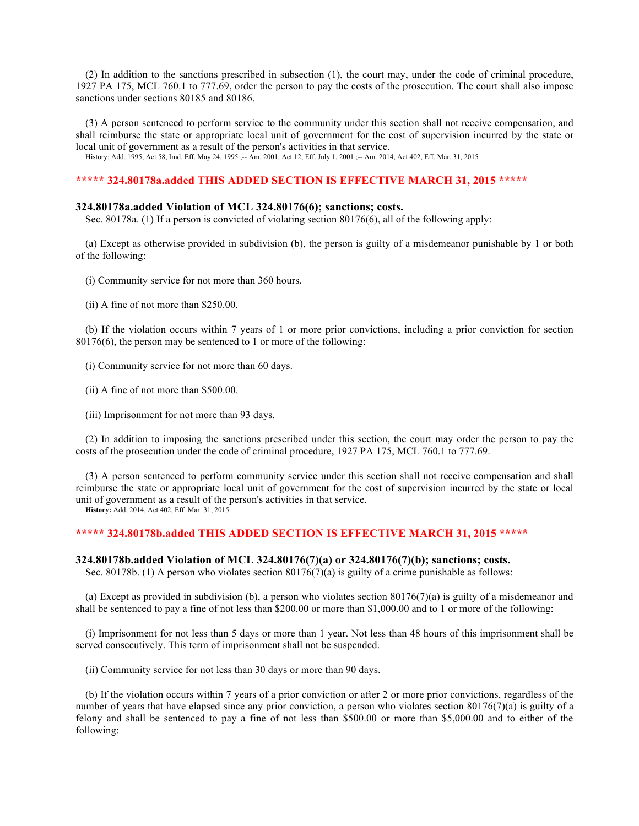(2) In addition to the sanctions prescribed in subsection (1), the court may, under the code of criminal procedure, 1927 PA 175, MCL 760.1 to 777.69, order the person to pay the costs of the prosecution. The court shall also impose sanctions under sections 80185 and 80186.

(3) A person sentenced to perform service to the community under this section shall not receive compensation, and shall reimburse the state or appropriate local unit of government for the cost of supervision incurred by the state or local unit of government as a result of the person's activities in that service.

History: Add. 1995, Act 58, Imd. Eff. May 24, 1995 ;-- Am. 2001, Act 12, Eff. July 1, 2001 ;-- Am. 2014, Act 402, Eff. Mar. 31, 2015

# **\*\*\*\*\* 324.80178a.added THIS ADDED SECTION IS EFFECTIVE MARCH 31, 2015 \*\*\*\*\***

## **324.80178a.added Violation of MCL 324.80176(6); sanctions; costs.**

Sec. 80178a. (1) If a person is convicted of violating section 80176(6), all of the following apply:

(a) Except as otherwise provided in subdivision (b), the person is guilty of a misdemeanor punishable by 1 or both of the following:

(i) Community service for not more than 360 hours.

(ii) A fine of not more than \$250.00.

(b) If the violation occurs within 7 years of 1 or more prior convictions, including a prior conviction for section 80176(6), the person may be sentenced to 1 or more of the following:

- (i) Community service for not more than 60 days.
- (ii) A fine of not more than \$500.00.
- (iii) Imprisonment for not more than 93 days.

(2) In addition to imposing the sanctions prescribed under this section, the court may order the person to pay the costs of the prosecution under the code of criminal procedure, 1927 PA 175, MCL 760.1 to 777.69.

(3) A person sentenced to perform community service under this section shall not receive compensation and shall reimburse the state or appropriate local unit of government for the cost of supervision incurred by the state or local unit of government as a result of the person's activities in that service.

**History:** Add. 2014, Act 402, Eff. Mar. 31, 2015

# **\*\*\*\*\* 324.80178b.added THIS ADDED SECTION IS EFFECTIVE MARCH 31, 2015 \*\*\*\*\***

#### **324.80178b.added Violation of MCL 324.80176(7)(a) or 324.80176(7)(b); sanctions; costs.**

Sec. 80178b. (1) A person who violates section 80176(7)(a) is guilty of a crime punishable as follows:

(a) Except as provided in subdivision (b), a person who violates section 80176(7)(a) is guilty of a misdemeanor and shall be sentenced to pay a fine of not less than \$200.00 or more than \$1,000.00 and to 1 or more of the following:

(i) Imprisonment for not less than 5 days or more than 1 year. Not less than 48 hours of this imprisonment shall be served consecutively. This term of imprisonment shall not be suspended.

(ii) Community service for not less than 30 days or more than 90 days.

(b) If the violation occurs within 7 years of a prior conviction or after 2 or more prior convictions, regardless of the number of years that have elapsed since any prior conviction, a person who violates section 80176(7)(a) is guilty of a felony and shall be sentenced to pay a fine of not less than \$500.00 or more than \$5,000.00 and to either of the following: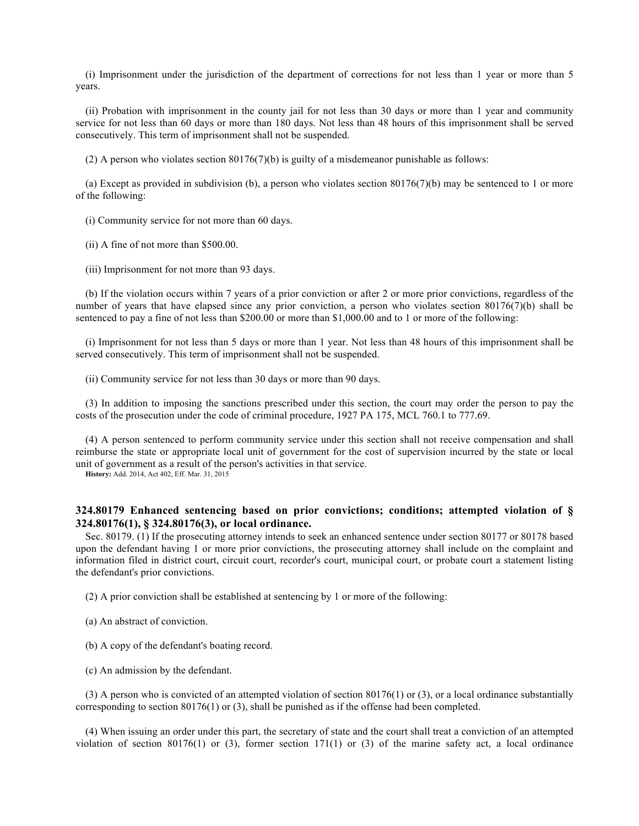(i) Imprisonment under the jurisdiction of the department of corrections for not less than 1 year or more than 5 years.

(ii) Probation with imprisonment in the county jail for not less than 30 days or more than 1 year and community service for not less than 60 days or more than 180 days. Not less than 48 hours of this imprisonment shall be served consecutively. This term of imprisonment shall not be suspended.

(2) A person who violates section 80176(7)(b) is guilty of a misdemeanor punishable as follows:

(a) Except as provided in subdivision (b), a person who violates section  $80176(7)(b)$  may be sentenced to 1 or more of the following:

(i) Community service for not more than 60 days.

(ii) A fine of not more than \$500.00.

(iii) Imprisonment for not more than 93 days.

(b) If the violation occurs within 7 years of a prior conviction or after 2 or more prior convictions, regardless of the number of years that have elapsed since any prior conviction, a person who violates section 80176(7)(b) shall be sentenced to pay a fine of not less than \$200.00 or more than \$1,000.00 and to 1 or more of the following:

(i) Imprisonment for not less than 5 days or more than 1 year. Not less than 48 hours of this imprisonment shall be served consecutively. This term of imprisonment shall not be suspended.

(ii) Community service for not less than 30 days or more than 90 days.

(3) In addition to imposing the sanctions prescribed under this section, the court may order the person to pay the costs of the prosecution under the code of criminal procedure, 1927 PA 175, MCL 760.1 to 777.69.

(4) A person sentenced to perform community service under this section shall not receive compensation and shall reimburse the state or appropriate local unit of government for the cost of supervision incurred by the state or local unit of government as a result of the person's activities in that service.

**History:** Add. 2014, Act 402, Eff. Mar. 31, 2015

# **324.80179 Enhanced sentencing based on prior convictions; conditions; attempted violation of § 324.80176(1), § 324.80176(3), or local ordinance.**

Sec. 80179. (1) If the prosecuting attorney intends to seek an enhanced sentence under section 80177 or 80178 based upon the defendant having 1 or more prior convictions, the prosecuting attorney shall include on the complaint and information filed in district court, circuit court, recorder's court, municipal court, or probate court a statement listing the defendant's prior convictions.

(2) A prior conviction shall be established at sentencing by 1 or more of the following:

- (a) An abstract of conviction.
- (b) A copy of the defendant's boating record.
- (c) An admission by the defendant.

(3) A person who is convicted of an attempted violation of section 80176(1) or (3), or a local ordinance substantially corresponding to section  $80176(1)$  or  $(3)$ , shall be punished as if the offense had been completed.

(4) When issuing an order under this part, the secretary of state and the court shall treat a conviction of an attempted violation of section 80176(1) or (3), former section 171(1) or (3) of the marine safety act, a local ordinance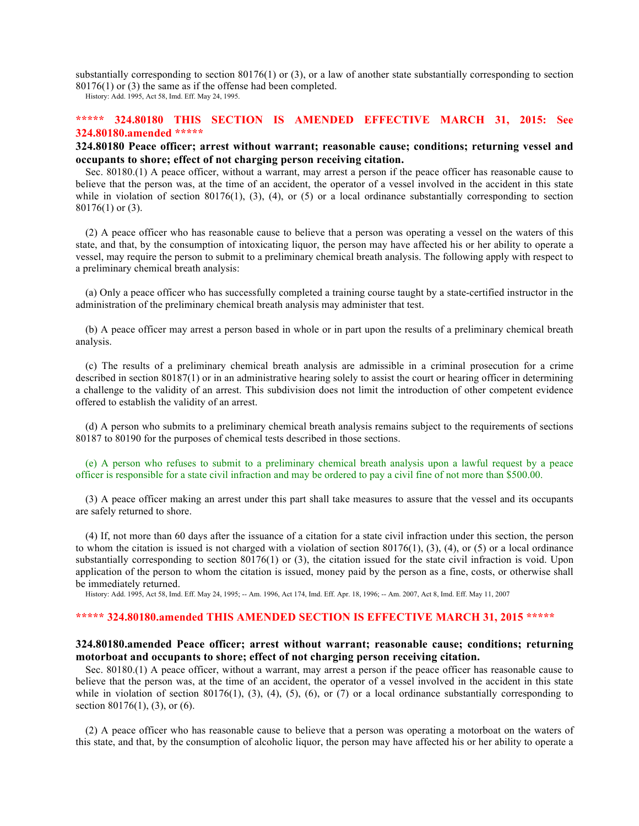substantially corresponding to section 80176(1) or (3), or a law of another state substantially corresponding to section 80176(1) or (3) the same as if the offense had been completed.

History: Add. 1995, Act 58, Imd. Eff. May 24, 1995.

# **\*\*\*\*\* 324.80180 THIS SECTION IS AMENDED EFFECTIVE MARCH 31, 2015: See 324.80180.amended \*\*\*\*\***

# **324.80180 Peace officer; arrest without warrant; reasonable cause; conditions; returning vessel and occupants to shore; effect of not charging person receiving citation.**

Sec. 80180.(1) A peace officer, without a warrant, may arrest a person if the peace officer has reasonable cause to believe that the person was, at the time of an accident, the operator of a vessel involved in the accident in this state while in violation of section 80176(1), (3), (4), or (5) or a local ordinance substantially corresponding to section 80176(1) or (3).

(2) A peace officer who has reasonable cause to believe that a person was operating a vessel on the waters of this state, and that, by the consumption of intoxicating liquor, the person may have affected his or her ability to operate a vessel, may require the person to submit to a preliminary chemical breath analysis. The following apply with respect to a preliminary chemical breath analysis:

(a) Only a peace officer who has successfully completed a training course taught by a state-certified instructor in the administration of the preliminary chemical breath analysis may administer that test.

(b) A peace officer may arrest a person based in whole or in part upon the results of a preliminary chemical breath analysis.

(c) The results of a preliminary chemical breath analysis are admissible in a criminal prosecution for a crime described in section 80187(1) or in an administrative hearing solely to assist the court or hearing officer in determining a challenge to the validity of an arrest. This subdivision does not limit the introduction of other competent evidence offered to establish the validity of an arrest.

(d) A person who submits to a preliminary chemical breath analysis remains subject to the requirements of sections 80187 to 80190 for the purposes of chemical tests described in those sections.

(e) A person who refuses to submit to a preliminary chemical breath analysis upon a lawful request by a peace officer is responsible for a state civil infraction and may be ordered to pay a civil fine of not more than \$500.00.

(3) A peace officer making an arrest under this part shall take measures to assure that the vessel and its occupants are safely returned to shore.

(4) If, not more than 60 days after the issuance of a citation for a state civil infraction under this section, the person to whom the citation is issued is not charged with a violation of section  $80176(1)$ ,  $(3)$ ,  $(4)$ , or  $(5)$  or a local ordinance substantially corresponding to section 80176(1) or (3), the citation issued for the state civil infraction is void. Upon application of the person to whom the citation is issued, money paid by the person as a fine, costs, or otherwise shall be immediately returned.

History: Add. 1995, Act 58, Imd. Eff. May 24, 1995; -- Am. 1996, Act 174, Imd. Eff. Apr. 18, 1996; -- Am. 2007, Act 8, Imd. Eff. May 11, 2007

### **\*\*\*\*\* 324.80180.amended THIS AMENDED SECTION IS EFFECTIVE MARCH 31, 2015 \*\*\*\*\***

## **324.80180.amended Peace officer; arrest without warrant; reasonable cause; conditions; returning motorboat and occupants to shore; effect of not charging person receiving citation.**

Sec. 80180.(1) A peace officer, without a warrant, may arrest a person if the peace officer has reasonable cause to believe that the person was, at the time of an accident, the operator of a vessel involved in the accident in this state while in violation of section 80176(1), (3), (4), (5), (6), or (7) or a local ordinance substantially corresponding to section 80176(1), (3), or (6).

(2) A peace officer who has reasonable cause to believe that a person was operating a motorboat on the waters of this state, and that, by the consumption of alcoholic liquor, the person may have affected his or her ability to operate a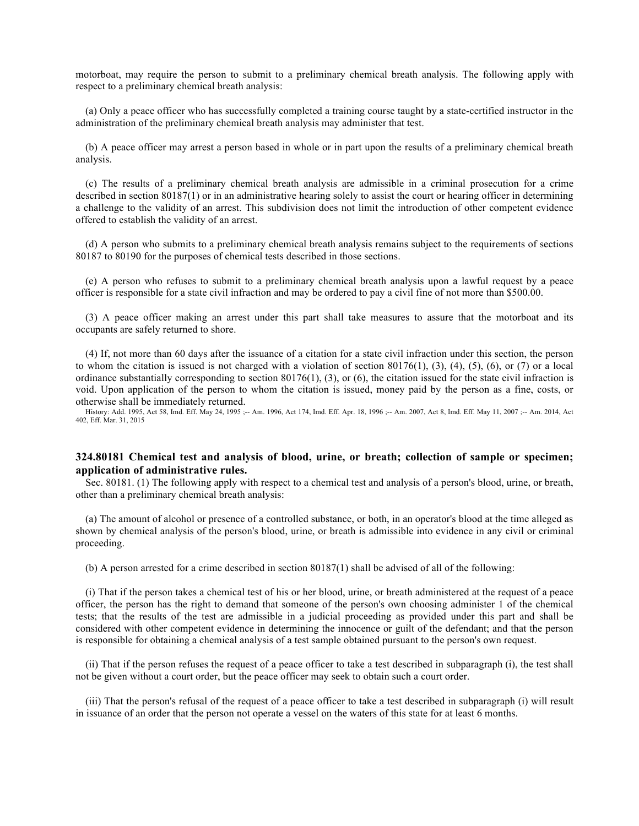motorboat, may require the person to submit to a preliminary chemical breath analysis. The following apply with respect to a preliminary chemical breath analysis:

(a) Only a peace officer who has successfully completed a training course taught by a state-certified instructor in the administration of the preliminary chemical breath analysis may administer that test.

(b) A peace officer may arrest a person based in whole or in part upon the results of a preliminary chemical breath analysis.

(c) The results of a preliminary chemical breath analysis are admissible in a criminal prosecution for a crime described in section 80187(1) or in an administrative hearing solely to assist the court or hearing officer in determining a challenge to the validity of an arrest. This subdivision does not limit the introduction of other competent evidence offered to establish the validity of an arrest.

(d) A person who submits to a preliminary chemical breath analysis remains subject to the requirements of sections 80187 to 80190 for the purposes of chemical tests described in those sections.

(e) A person who refuses to submit to a preliminary chemical breath analysis upon a lawful request by a peace officer is responsible for a state civil infraction and may be ordered to pay a civil fine of not more than \$500.00.

(3) A peace officer making an arrest under this part shall take measures to assure that the motorboat and its occupants are safely returned to shore.

(4) If, not more than 60 days after the issuance of a citation for a state civil infraction under this section, the person to whom the citation is issued is not charged with a violation of section  $80176(1)$ ,  $(3)$ ,  $(4)$ ,  $(5)$ ,  $(6)$ , or  $(7)$  or a local ordinance substantially corresponding to section 80176(1), (3), or (6), the citation issued for the state civil infraction is void. Upon application of the person to whom the citation is issued, money paid by the person as a fine, costs, or otherwise shall be immediately returned.

History: Add. 1995, Act 58, Imd. Eff. May 24, 1995 ;-- Am. 1996, Act 174, Imd. Eff. Apr. 18, 1996 ;-- Am. 2007, Act 8, Imd. Eff. May 11, 2007 ;-- Am. 2014, Act 402, Eff. Mar. 31, 2015

## **324.80181 Chemical test and analysis of blood, urine, or breath; collection of sample or specimen; application of administrative rules.**

Sec. 80181. (1) The following apply with respect to a chemical test and analysis of a person's blood, urine, or breath, other than a preliminary chemical breath analysis:

(a) The amount of alcohol or presence of a controlled substance, or both, in an operator's blood at the time alleged as shown by chemical analysis of the person's blood, urine, or breath is admissible into evidence in any civil or criminal proceeding.

(b) A person arrested for a crime described in section 80187(1) shall be advised of all of the following:

(i) That if the person takes a chemical test of his or her blood, urine, or breath administered at the request of a peace officer, the person has the right to demand that someone of the person's own choosing administer 1 of the chemical tests; that the results of the test are admissible in a judicial proceeding as provided under this part and shall be considered with other competent evidence in determining the innocence or guilt of the defendant; and that the person is responsible for obtaining a chemical analysis of a test sample obtained pursuant to the person's own request.

(ii) That if the person refuses the request of a peace officer to take a test described in subparagraph (i), the test shall not be given without a court order, but the peace officer may seek to obtain such a court order.

(iii) That the person's refusal of the request of a peace officer to take a test described in subparagraph (i) will result in issuance of an order that the person not operate a vessel on the waters of this state for at least 6 months.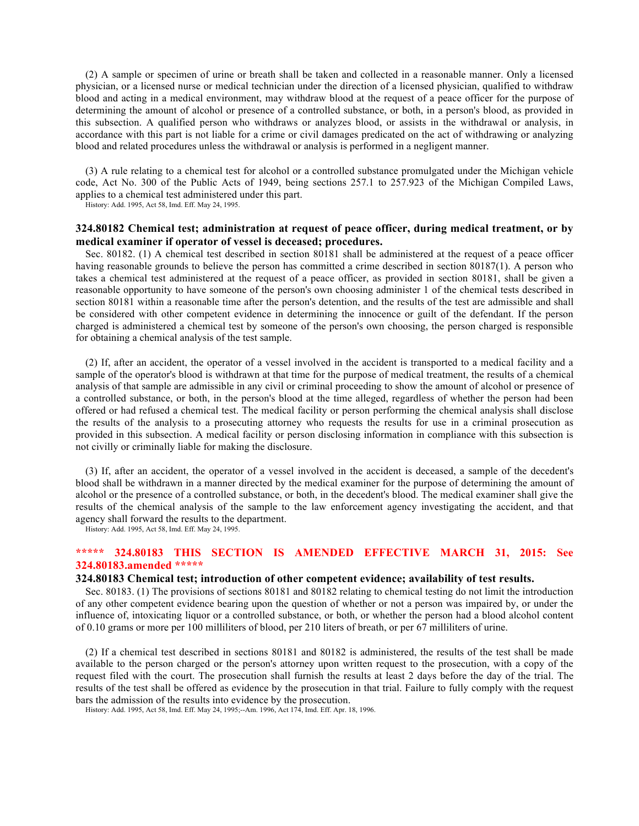(2) A sample or specimen of urine or breath shall be taken and collected in a reasonable manner. Only a licensed physician, or a licensed nurse or medical technician under the direction of a licensed physician, qualified to withdraw blood and acting in a medical environment, may withdraw blood at the request of a peace officer for the purpose of determining the amount of alcohol or presence of a controlled substance, or both, in a person's blood, as provided in this subsection. A qualified person who withdraws or analyzes blood, or assists in the withdrawal or analysis, in accordance with this part is not liable for a crime or civil damages predicated on the act of withdrawing or analyzing blood and related procedures unless the withdrawal or analysis is performed in a negligent manner.

(3) A rule relating to a chemical test for alcohol or a controlled substance promulgated under the Michigan vehicle code, Act No. 300 of the Public Acts of 1949, being sections 257.1 to 257.923 of the Michigan Compiled Laws, applies to a chemical test administered under this part.

History: Add. 1995, Act 58, Imd. Eff. May 24, 1995.

# **324.80182 Chemical test; administration at request of peace officer, during medical treatment, or by medical examiner if operator of vessel is deceased; procedures.**

Sec. 80182. (1) A chemical test described in section 80181 shall be administered at the request of a peace officer having reasonable grounds to believe the person has committed a crime described in section 80187(1). A person who takes a chemical test administered at the request of a peace officer, as provided in section 80181, shall be given a reasonable opportunity to have someone of the person's own choosing administer 1 of the chemical tests described in section 80181 within a reasonable time after the person's detention, and the results of the test are admissible and shall be considered with other competent evidence in determining the innocence or guilt of the defendant. If the person charged is administered a chemical test by someone of the person's own choosing, the person charged is responsible for obtaining a chemical analysis of the test sample.

(2) If, after an accident, the operator of a vessel involved in the accident is transported to a medical facility and a sample of the operator's blood is withdrawn at that time for the purpose of medical treatment, the results of a chemical analysis of that sample are admissible in any civil or criminal proceeding to show the amount of alcohol or presence of a controlled substance, or both, in the person's blood at the time alleged, regardless of whether the person had been offered or had refused a chemical test. The medical facility or person performing the chemical analysis shall disclose the results of the analysis to a prosecuting attorney who requests the results for use in a criminal prosecution as provided in this subsection. A medical facility or person disclosing information in compliance with this subsection is not civilly or criminally liable for making the disclosure.

(3) If, after an accident, the operator of a vessel involved in the accident is deceased, a sample of the decedent's blood shall be withdrawn in a manner directed by the medical examiner for the purpose of determining the amount of alcohol or the presence of a controlled substance, or both, in the decedent's blood. The medical examiner shall give the results of the chemical analysis of the sample to the law enforcement agency investigating the accident, and that agency shall forward the results to the department.

History: Add. 1995, Act 58, Imd. Eff. May 24, 1995.

# **\*\*\*\*\* 324.80183 THIS SECTION IS AMENDED EFFECTIVE MARCH 31, 2015: See 324.80183.amended \*\*\*\*\***

### **324.80183 Chemical test; introduction of other competent evidence; availability of test results.**

Sec. 80183. (1) The provisions of sections 80181 and 80182 relating to chemical testing do not limit the introduction of any other competent evidence bearing upon the question of whether or not a person was impaired by, or under the influence of, intoxicating liquor or a controlled substance, or both, or whether the person had a blood alcohol content of 0.10 grams or more per 100 milliliters of blood, per 210 liters of breath, or per 67 milliliters of urine.

(2) If a chemical test described in sections 80181 and 80182 is administered, the results of the test shall be made available to the person charged or the person's attorney upon written request to the prosecution, with a copy of the request filed with the court. The prosecution shall furnish the results at least 2 days before the day of the trial. The results of the test shall be offered as evidence by the prosecution in that trial. Failure to fully comply with the request bars the admission of the results into evidence by the prosecution.

History: Add. 1995, Act 58, Imd. Eff. May 24, 1995;--Am. 1996, Act 174, Imd. Eff. Apr. 18, 1996.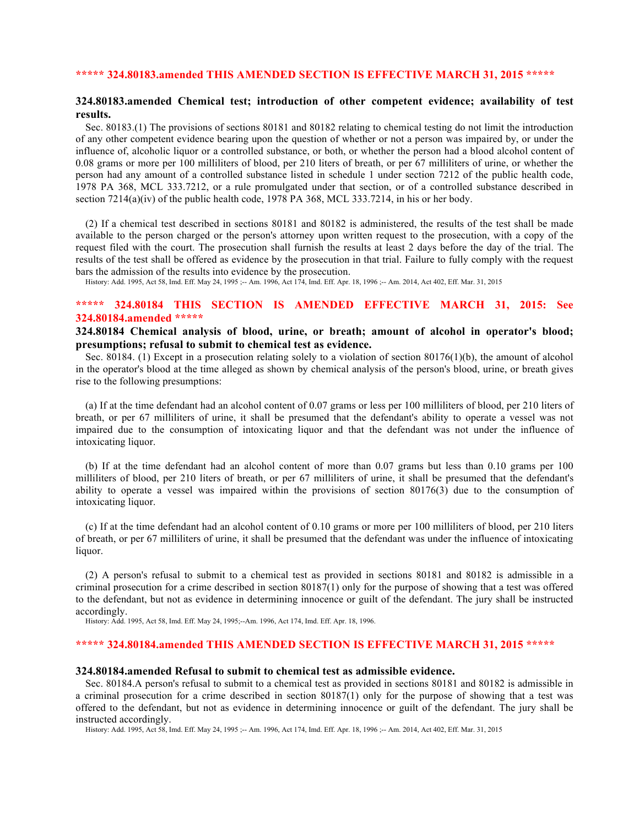# **\*\*\*\*\* 324.80183.amended THIS AMENDED SECTION IS EFFECTIVE MARCH 31, 2015 \*\*\*\*\***

# **324.80183.amended Chemical test; introduction of other competent evidence; availability of test results.**

Sec. 80183.(1) The provisions of sections 80181 and 80182 relating to chemical testing do not limit the introduction of any other competent evidence bearing upon the question of whether or not a person was impaired by, or under the influence of, alcoholic liquor or a controlled substance, or both, or whether the person had a blood alcohol content of 0.08 grams or more per 100 milliliters of blood, per 210 liters of breath, or per 67 milliliters of urine, or whether the person had any amount of a controlled substance listed in schedule 1 under section 7212 of the public health code, 1978 PA 368, MCL 333.7212, or a rule promulgated under that section, or of a controlled substance described in section  $7214(a)(iv)$  of the public health code, 1978 PA 368, MCL 333.7214, in his or her body.

(2) If a chemical test described in sections 80181 and 80182 is administered, the results of the test shall be made available to the person charged or the person's attorney upon written request to the prosecution, with a copy of the request filed with the court. The prosecution shall furnish the results at least 2 days before the day of the trial. The results of the test shall be offered as evidence by the prosecution in that trial. Failure to fully comply with the request bars the admission of the results into evidence by the prosecution.

History: Add. 1995, Act 58, Imd. Eff. May 24, 1995 ;-- Am. 1996, Act 174, Imd. Eff. Apr. 18, 1996 ;-- Am. 2014, Act 402, Eff. Mar. 31, 2015

# **\*\*\*\*\* 324.80184 THIS SECTION IS AMENDED EFFECTIVE MARCH 31, 2015: See 324.80184.amended \*\*\*\*\***

# **324.80184 Chemical analysis of blood, urine, or breath; amount of alcohol in operator's blood; presumptions; refusal to submit to chemical test as evidence.**

Sec. 80184. (1) Except in a prosecution relating solely to a violation of section 80176(1)(b), the amount of alcohol in the operator's blood at the time alleged as shown by chemical analysis of the person's blood, urine, or breath gives rise to the following presumptions:

(a) If at the time defendant had an alcohol content of 0.07 grams or less per 100 milliliters of blood, per 210 liters of breath, or per 67 milliliters of urine, it shall be presumed that the defendant's ability to operate a vessel was not impaired due to the consumption of intoxicating liquor and that the defendant was not under the influence of intoxicating liquor.

(b) If at the time defendant had an alcohol content of more than 0.07 grams but less than 0.10 grams per 100 milliliters of blood, per 210 liters of breath, or per 67 milliliters of urine, it shall be presumed that the defendant's ability to operate a vessel was impaired within the provisions of section 80176(3) due to the consumption of intoxicating liquor.

(c) If at the time defendant had an alcohol content of 0.10 grams or more per 100 milliliters of blood, per 210 liters of breath, or per 67 milliliters of urine, it shall be presumed that the defendant was under the influence of intoxicating liquor.

(2) A person's refusal to submit to a chemical test as provided in sections 80181 and 80182 is admissible in a criminal prosecution for a crime described in section 80187(1) only for the purpose of showing that a test was offered to the defendant, but not as evidence in determining innocence or guilt of the defendant. The jury shall be instructed accordingly.

History: Add. 1995, Act 58, Imd. Eff. May 24, 1995;--Am. 1996, Act 174, Imd. Eff. Apr. 18, 1996.

# **\*\*\*\*\* 324.80184.amended THIS AMENDED SECTION IS EFFECTIVE MARCH 31, 2015 \*\*\*\*\***

### **324.80184.amended Refusal to submit to chemical test as admissible evidence.**

Sec. 80184.A person's refusal to submit to a chemical test as provided in sections 80181 and 80182 is admissible in a criminal prosecution for a crime described in section 80187(1) only for the purpose of showing that a test was offered to the defendant, but not as evidence in determining innocence or guilt of the defendant. The jury shall be instructed accordingly.

History: Add. 1995, Act 58, Imd. Eff. May 24, 1995 ;-- Am. 1996, Act 174, Imd. Eff. Apr. 18, 1996 ;-- Am. 2014, Act 402, Eff. Mar. 31, 2015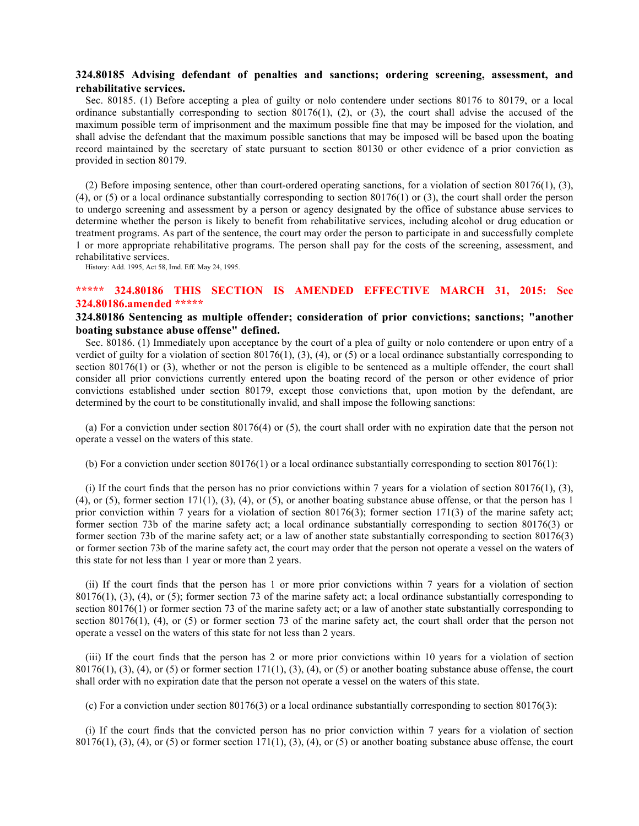# **324.80185 Advising defendant of penalties and sanctions; ordering screening, assessment, and rehabilitative services.**

Sec. 80185. (1) Before accepting a plea of guilty or nolo contendere under sections 80176 to 80179, or a local ordinance substantially corresponding to section 80176(1), (2), or (3), the court shall advise the accused of the maximum possible term of imprisonment and the maximum possible fine that may be imposed for the violation, and shall advise the defendant that the maximum possible sanctions that may be imposed will be based upon the boating record maintained by the secretary of state pursuant to section 80130 or other evidence of a prior conviction as provided in section 80179.

(2) Before imposing sentence, other than court-ordered operating sanctions, for a violation of section  $80176(1)$ ,  $(3)$ , (4), or (5) or a local ordinance substantially corresponding to section 80176(1) or (3), the court shall order the person to undergo screening and assessment by a person or agency designated by the office of substance abuse services to determine whether the person is likely to benefit from rehabilitative services, including alcohol or drug education or treatment programs. As part of the sentence, the court may order the person to participate in and successfully complete 1 or more appropriate rehabilitative programs. The person shall pay for the costs of the screening, assessment, and rehabilitative services.

History: Add. 1995, Act 58, Imd. Eff. May 24, 1995.

# **\*\*\*\*\* 324.80186 THIS SECTION IS AMENDED EFFECTIVE MARCH 31, 2015: See 324.80186.amended \*\*\*\*\***

# **324.80186 Sentencing as multiple offender; consideration of prior convictions; sanctions; "another boating substance abuse offense" defined.**

Sec. 80186. (1) Immediately upon acceptance by the court of a plea of guilty or nolo contendere or upon entry of a verdict of guilty for a violation of section  $80176(1)$ ,  $(3)$ ,  $(4)$ , or  $(5)$  or a local ordinance substantially corresponding to section 80176(1) or (3), whether or not the person is eligible to be sentenced as a multiple offender, the court shall consider all prior convictions currently entered upon the boating record of the person or other evidence of prior convictions established under section 80179, except those convictions that, upon motion by the defendant, are determined by the court to be constitutionally invalid, and shall impose the following sanctions:

(a) For a conviction under section 80176(4) or (5), the court shall order with no expiration date that the person not operate a vessel on the waters of this state.

(b) For a conviction under section  $80176(1)$  or a local ordinance substantially corresponding to section  $80176(1)$ :

(i) If the court finds that the person has no prior convictions within 7 years for a violation of section 80176(1), (3),  $(4)$ , or  $(5)$ , former section 171(1), (3), (4), or (5), or another boating substance abuse offense, or that the person has 1 prior conviction within 7 years for a violation of section 80176(3); former section 171(3) of the marine safety act; former section 73b of the marine safety act; a local ordinance substantially corresponding to section 80176(3) or former section 73b of the marine safety act; or a law of another state substantially corresponding to section 80176(3) or former section 73b of the marine safety act, the court may order that the person not operate a vessel on the waters of this state for not less than 1 year or more than 2 years.

(ii) If the court finds that the person has 1 or more prior convictions within 7 years for a violation of section 80176(1), (3), (4), or (5); former section 73 of the marine safety act; a local ordinance substantially corresponding to section 80176(1) or former section 73 of the marine safety act; or a law of another state substantially corresponding to section 80176(1), (4), or (5) or former section 73 of the marine safety act, the court shall order that the person not operate a vessel on the waters of this state for not less than 2 years.

(iii) If the court finds that the person has 2 or more prior convictions within 10 years for a violation of section  $80176(1)$ ,  $(3)$ ,  $(4)$ , or  $(5)$  or former section  $171(1)$ ,  $(3)$ ,  $(4)$ , or  $(5)$  or another boating substance abuse offense, the court shall order with no expiration date that the person not operate a vessel on the waters of this state.

(c) For a conviction under section  $80176(3)$  or a local ordinance substantially corresponding to section  $80176(3)$ :

(i) If the court finds that the convicted person has no prior conviction within 7 years for a violation of section  $80176(1)$ ,  $(3)$ ,  $(4)$ , or  $(5)$  or former section  $171(1)$ ,  $(3)$ ,  $(4)$ , or  $(5)$  or another boating substance abuse offense, the court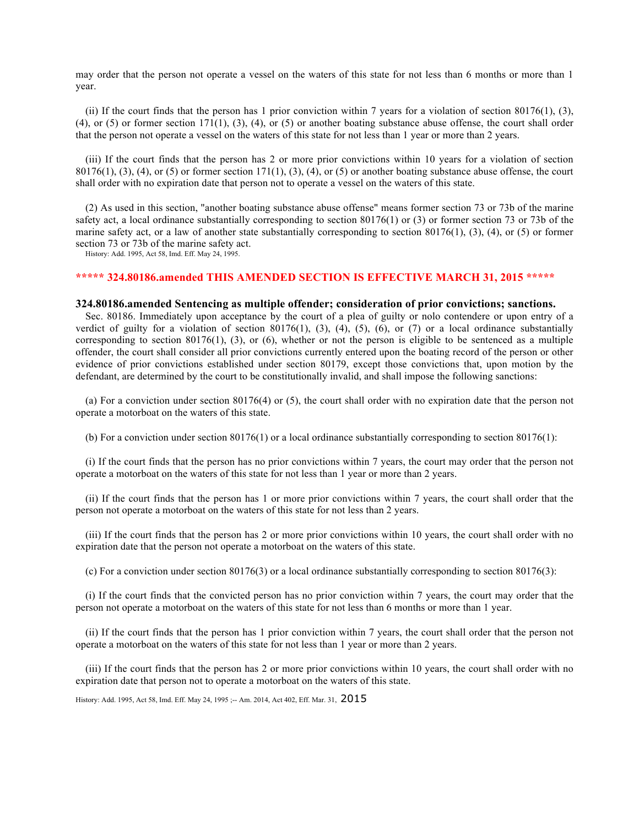may order that the person not operate a vessel on the waters of this state for not less than 6 months or more than 1 year.

(ii) If the court finds that the person has 1 prior conviction within 7 years for a violation of section 80176(1), (3),  $(4)$ , or  $(5)$  or former section 171(1),  $(3)$ ,  $(4)$ , or  $(5)$  or another boating substance abuse offense, the court shall order that the person not operate a vessel on the waters of this state for not less than 1 year or more than 2 years.

(iii) If the court finds that the person has 2 or more prior convictions within 10 years for a violation of section  $80176(1)$ ,  $(3)$ ,  $(4)$ , or  $(5)$  or former section  $171(1)$ ,  $(3)$ ,  $(4)$ , or  $(5)$  or another boating substance abuse offense, the court shall order with no expiration date that person not to operate a vessel on the waters of this state.

(2) As used in this section, "another boating substance abuse offense" means former section 73 or 73b of the marine safety act, a local ordinance substantially corresponding to section 80176(1) or (3) or former section 73 or 73b of the marine safety act, or a law of another state substantially corresponding to section 80176(1), (3), (4), or (5) or former section 73 or 73b of the marine safety act.

History: Add. 1995, Act 58, Imd. Eff. May 24, 1995.

## **\*\*\*\*\* 324.80186.amended THIS AMENDED SECTION IS EFFECTIVE MARCH 31, 2015 \*\*\*\*\***

### **324.80186.amended Sentencing as multiple offender; consideration of prior convictions; sanctions.**

Sec. 80186. Immediately upon acceptance by the court of a plea of guilty or nolo contendere or upon entry of a verdict of guilty for a violation of section 80176(1), (3), (4), (5), (6), or (7) or a local ordinance substantially corresponding to section  $80176(1)$ ,  $(3)$ , or  $(6)$ , whether or not the person is eligible to be sentenced as a multiple offender, the court shall consider all prior convictions currently entered upon the boating record of the person or other evidence of prior convictions established under section 80179, except those convictions that, upon motion by the defendant, are determined by the court to be constitutionally invalid, and shall impose the following sanctions:

(a) For a conviction under section 80176(4) or (5), the court shall order with no expiration date that the person not operate a motorboat on the waters of this state.

(b) For a conviction under section  $80176(1)$  or a local ordinance substantially corresponding to section  $80176(1)$ :

(i) If the court finds that the person has no prior convictions within 7 years, the court may order that the person not operate a motorboat on the waters of this state for not less than 1 year or more than 2 years.

(ii) If the court finds that the person has 1 or more prior convictions within 7 years, the court shall order that the person not operate a motorboat on the waters of this state for not less than 2 years.

(iii) If the court finds that the person has 2 or more prior convictions within 10 years, the court shall order with no expiration date that the person not operate a motorboat on the waters of this state.

(c) For a conviction under section  $80176(3)$  or a local ordinance substantially corresponding to section  $80176(3)$ :

(i) If the court finds that the convicted person has no prior conviction within 7 years, the court may order that the person not operate a motorboat on the waters of this state for not less than 6 months or more than 1 year.

(ii) If the court finds that the person has 1 prior conviction within 7 years, the court shall order that the person not operate a motorboat on the waters of this state for not less than 1 year or more than 2 years.

(iii) If the court finds that the person has 2 or more prior convictions within 10 years, the court shall order with no expiration date that person not to operate a motorboat on the waters of this state.

History: Add. 1995, Act 58, Imd. Eff. May 24, 1995 ;-- Am. 2014, Act 402, Eff. Mar. 31, 2015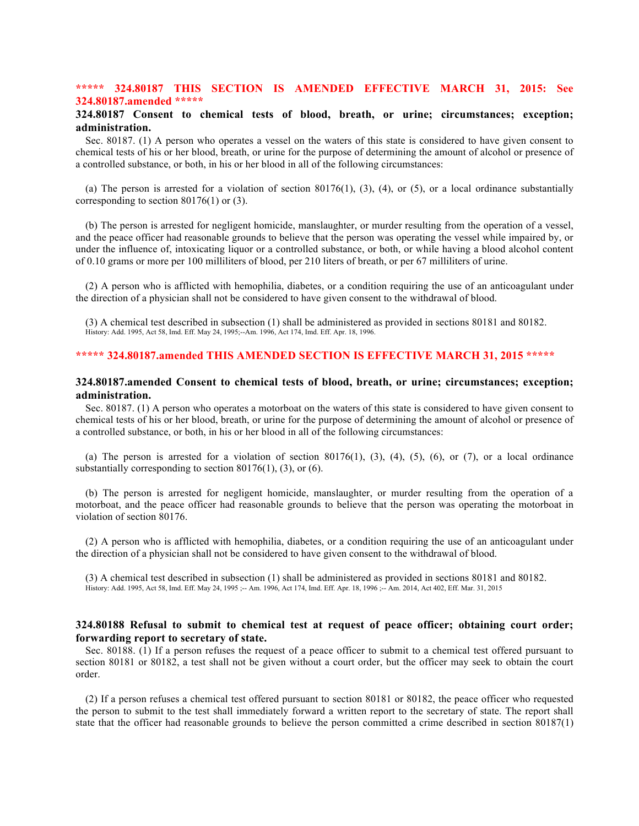## **\*\*\*\*\* 324.80187 THIS SECTION IS AMENDED EFFECTIVE MARCH 31, 2015: See 324.80187.amended \*\*\*\*\***

# **324.80187 Consent to chemical tests of blood, breath, or urine; circumstances; exception; administration.**

Sec. 80187. (1) A person who operates a vessel on the waters of this state is considered to have given consent to chemical tests of his or her blood, breath, or urine for the purpose of determining the amount of alcohol or presence of a controlled substance, or both, in his or her blood in all of the following circumstances:

(a) The person is arrested for a violation of section  $80176(1)$ ,  $(3)$ ,  $(4)$ , or  $(5)$ , or a local ordinance substantially corresponding to section 80176(1) or (3).

(b) The person is arrested for negligent homicide, manslaughter, or murder resulting from the operation of a vessel, and the peace officer had reasonable grounds to believe that the person was operating the vessel while impaired by, or under the influence of, intoxicating liquor or a controlled substance, or both, or while having a blood alcohol content of 0.10 grams or more per 100 milliliters of blood, per 210 liters of breath, or per 67 milliliters of urine.

(2) A person who is afflicted with hemophilia, diabetes, or a condition requiring the use of an anticoagulant under the direction of a physician shall not be considered to have given consent to the withdrawal of blood.

(3) A chemical test described in subsection (1) shall be administered as provided in sections 80181 and 80182. History: Add. 1995, Act 58, Imd. Eff. May 24, 1995;--Am. 1996, Act 174, Imd. Eff. Apr. 18, 1996.

# **\*\*\*\*\* 324.80187.amended THIS AMENDED SECTION IS EFFECTIVE MARCH 31, 2015 \*\*\*\*\***

## **324.80187.amended Consent to chemical tests of blood, breath, or urine; circumstances; exception; administration.**

Sec. 80187. (1) A person who operates a motorboat on the waters of this state is considered to have given consent to chemical tests of his or her blood, breath, or urine for the purpose of determining the amount of alcohol or presence of a controlled substance, or both, in his or her blood in all of the following circumstances:

(a) The person is arrested for a violation of section  $80176(1)$ ,  $(3)$ ,  $(4)$ ,  $(5)$ ,  $(6)$ , or  $(7)$ , or a local ordinance substantially corresponding to section  $80176(1)$ , (3), or (6).

(b) The person is arrested for negligent homicide, manslaughter, or murder resulting from the operation of a motorboat, and the peace officer had reasonable grounds to believe that the person was operating the motorboat in violation of section 80176.

(2) A person who is afflicted with hemophilia, diabetes, or a condition requiring the use of an anticoagulant under the direction of a physician shall not be considered to have given consent to the withdrawal of blood.

(3) A chemical test described in subsection (1) shall be administered as provided in sections 80181 and 80182. History: Add. 1995, Act 58, Imd. Eff. May 24, 1995 ;-- Am. 1996, Act 174, Imd. Eff. Apr. 18, 1996 ;-- Am. 2014, Act 402, Eff. Mar. 31, 2015

# **324.80188 Refusal to submit to chemical test at request of peace officer; obtaining court order; forwarding report to secretary of state.**

Sec. 80188. (1) If a person refuses the request of a peace officer to submit to a chemical test offered pursuant to section 80181 or 80182, a test shall not be given without a court order, but the officer may seek to obtain the court order.

(2) If a person refuses a chemical test offered pursuant to section 80181 or 80182, the peace officer who requested the person to submit to the test shall immediately forward a written report to the secretary of state. The report shall state that the officer had reasonable grounds to believe the person committed a crime described in section 80187(1)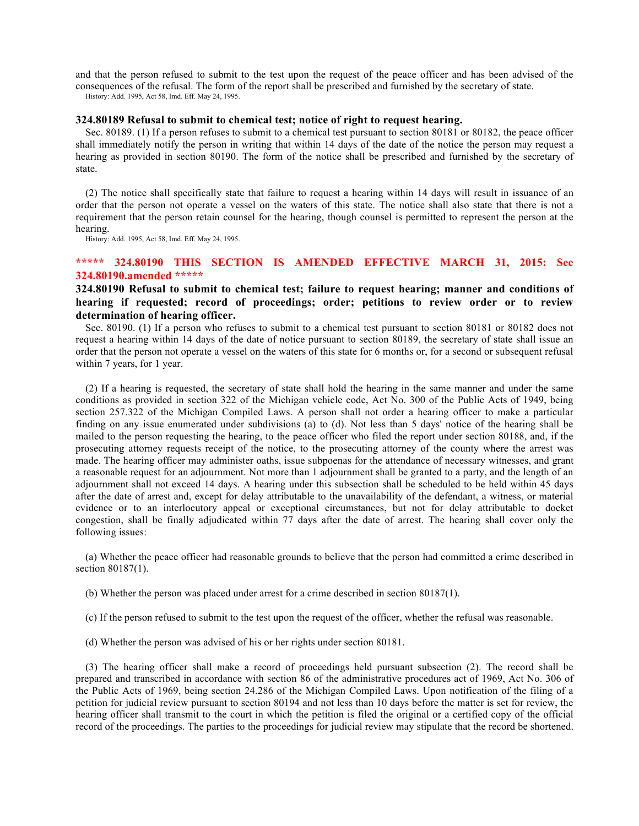and that the person refused to submit to the test upon the request of the peace officer and has been advised of the consequences of the refusal. The form of the report shall be prescribed and furnished by the secretary of state. History: Add. 1995, Act 58, Imd. Eff. May 24, 1995.

### **324.80189 Refusal to submit to chemical test; notice of right to request hearing.**

Sec. 80189. (1) If a person refuses to submit to a chemical test pursuant to section 80181 or 80182, the peace officer shall immediately notify the person in writing that within 14 days of the date of the notice the person may request a hearing as provided in section 80190. The form of the notice shall be prescribed and furnished by the secretary of state.

(2) The notice shall specifically state that failure to request a hearing within 14 days will result in issuance of an order that the person not operate a vessel on the waters of this state. The notice shall also state that there is not a requirement that the person retain counsel for the hearing, though counsel is permitted to represent the person at the hearing.

History: Add. 1995, Act 58, Imd. Eff. May 24, 1995.

## **\*\*\*\*\* 324.80190 THIS SECTION IS AMENDED EFFECTIVE MARCH 31, 2015: See 324.80190.amended \*\*\*\*\***

# **324.80190 Refusal to submit to chemical test; failure to request hearing; manner and conditions of hearing if requested; record of proceedings; order; petitions to review order or to review determination of hearing officer.**

Sec. 80190. (1) If a person who refuses to submit to a chemical test pursuant to section 80181 or 80182 does not request a hearing within 14 days of the date of notice pursuant to section 80189, the secretary of state shall issue an order that the person not operate a vessel on the waters of this state for 6 months or, for a second or subsequent refusal within 7 years, for 1 year.

(2) If a hearing is requested, the secretary of state shall hold the hearing in the same manner and under the same conditions as provided in section 322 of the Michigan vehicle code, Act No. 300 of the Public Acts of 1949, being section 257.322 of the Michigan Compiled Laws. A person shall not order a hearing officer to make a particular finding on any issue enumerated under subdivisions (a) to (d). Not less than 5 days' notice of the hearing shall be mailed to the person requesting the hearing, to the peace officer who filed the report under section 80188, and, if the prosecuting attorney requests receipt of the notice, to the prosecuting attorney of the county where the arrest was made. The hearing officer may administer oaths, issue subpoenas for the attendance of necessary witnesses, and grant a reasonable request for an adjournment. Not more than 1 adjournment shall be granted to a party, and the length of an adjournment shall not exceed 14 days. A hearing under this subsection shall be scheduled to be held within 45 days after the date of arrest and, except for delay attributable to the unavailability of the defendant, a witness, or material evidence or to an interlocutory appeal or exceptional circumstances, but not for delay attributable to docket congestion, shall be finally adjudicated within 77 days after the date of arrest. The hearing shall cover only the following issues:

(a) Whether the peace officer had reasonable grounds to believe that the person had committed a crime described in section 80187(1).

- (b) Whether the person was placed under arrest for a crime described in section 80187(1).
- (c) If the person refused to submit to the test upon the request of the officer, whether the refusal was reasonable.
- (d) Whether the person was advised of his or her rights under section 80181.

(3) The hearing officer shall make a record of proceedings held pursuant subsection (2). The record shall be prepared and transcribed in accordance with section 86 of the administrative procedures act of 1969, Act No. 306 of the Public Acts of 1969, being section 24.286 of the Michigan Compiled Laws. Upon notification of the filing of a petition for judicial review pursuant to section 80194 and not less than 10 days before the matter is set for review, the hearing officer shall transmit to the court in which the petition is filed the original or a certified copy of the official record of the proceedings. The parties to the proceedings for judicial review may stipulate that the record be shortened.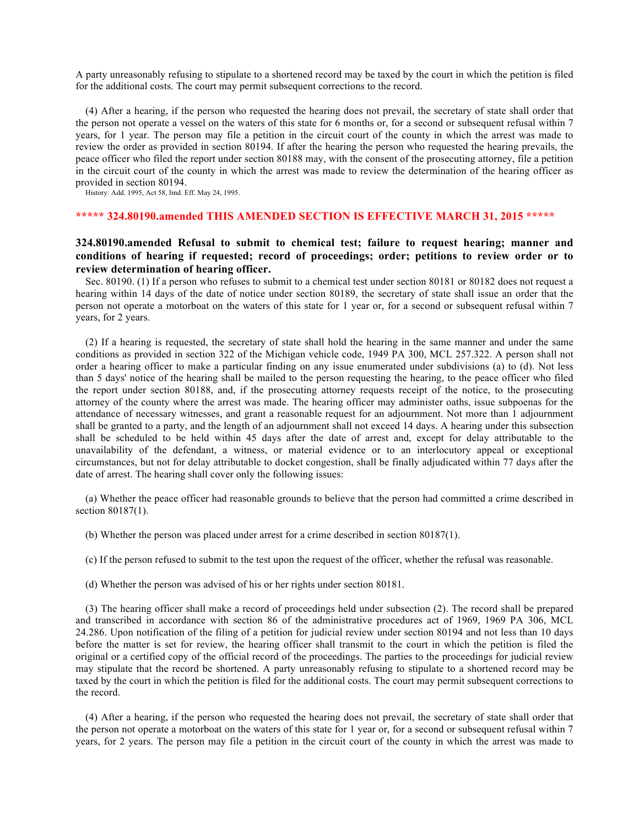A party unreasonably refusing to stipulate to a shortened record may be taxed by the court in which the petition is filed for the additional costs. The court may permit subsequent corrections to the record.

(4) After a hearing, if the person who requested the hearing does not prevail, the secretary of state shall order that the person not operate a vessel on the waters of this state for 6 months or, for a second or subsequent refusal within 7 years, for 1 year. The person may file a petition in the circuit court of the county in which the arrest was made to review the order as provided in section 80194. If after the hearing the person who requested the hearing prevails, the peace officer who filed the report under section 80188 may, with the consent of the prosecuting attorney, file a petition in the circuit court of the county in which the arrest was made to review the determination of the hearing officer as provided in section 80194.

History: Add. 1995, Act 58, Imd. Eff. May 24, 1995.

### **\*\*\*\*\* 324.80190.amended THIS AMENDED SECTION IS EFFECTIVE MARCH 31, 2015 \*\*\*\*\***

# **324.80190.amended Refusal to submit to chemical test; failure to request hearing; manner and conditions of hearing if requested; record of proceedings; order; petitions to review order or to review determination of hearing officer.**

Sec. 80190. (1) If a person who refuses to submit to a chemical test under section 80181 or 80182 does not request a hearing within 14 days of the date of notice under section 80189, the secretary of state shall issue an order that the person not operate a motorboat on the waters of this state for 1 year or, for a second or subsequent refusal within 7 years, for 2 years.

(2) If a hearing is requested, the secretary of state shall hold the hearing in the same manner and under the same conditions as provided in section 322 of the Michigan vehicle code, 1949 PA 300, MCL 257.322. A person shall not order a hearing officer to make a particular finding on any issue enumerated under subdivisions (a) to (d). Not less than 5 days' notice of the hearing shall be mailed to the person requesting the hearing, to the peace officer who filed the report under section 80188, and, if the prosecuting attorney requests receipt of the notice, to the prosecuting attorney of the county where the arrest was made. The hearing officer may administer oaths, issue subpoenas for the attendance of necessary witnesses, and grant a reasonable request for an adjournment. Not more than 1 adjournment shall be granted to a party, and the length of an adjournment shall not exceed 14 days. A hearing under this subsection shall be scheduled to be held within 45 days after the date of arrest and, except for delay attributable to the unavailability of the defendant, a witness, or material evidence or to an interlocutory appeal or exceptional circumstances, but not for delay attributable to docket congestion, shall be finally adjudicated within 77 days after the date of arrest. The hearing shall cover only the following issues:

(a) Whether the peace officer had reasonable grounds to believe that the person had committed a crime described in section 80187(1).

- (b) Whether the person was placed under arrest for a crime described in section 80187(1).
- (c) If the person refused to submit to the test upon the request of the officer, whether the refusal was reasonable.
- (d) Whether the person was advised of his or her rights under section 80181.

(3) The hearing officer shall make a record of proceedings held under subsection (2). The record shall be prepared and transcribed in accordance with section 86 of the administrative procedures act of 1969, 1969 PA 306, MCL 24.286. Upon notification of the filing of a petition for judicial review under section 80194 and not less than 10 days before the matter is set for review, the hearing officer shall transmit to the court in which the petition is filed the original or a certified copy of the official record of the proceedings. The parties to the proceedings for judicial review may stipulate that the record be shortened. A party unreasonably refusing to stipulate to a shortened record may be taxed by the court in which the petition is filed for the additional costs. The court may permit subsequent corrections to the record.

(4) After a hearing, if the person who requested the hearing does not prevail, the secretary of state shall order that the person not operate a motorboat on the waters of this state for 1 year or, for a second or subsequent refusal within 7 years, for 2 years. The person may file a petition in the circuit court of the county in which the arrest was made to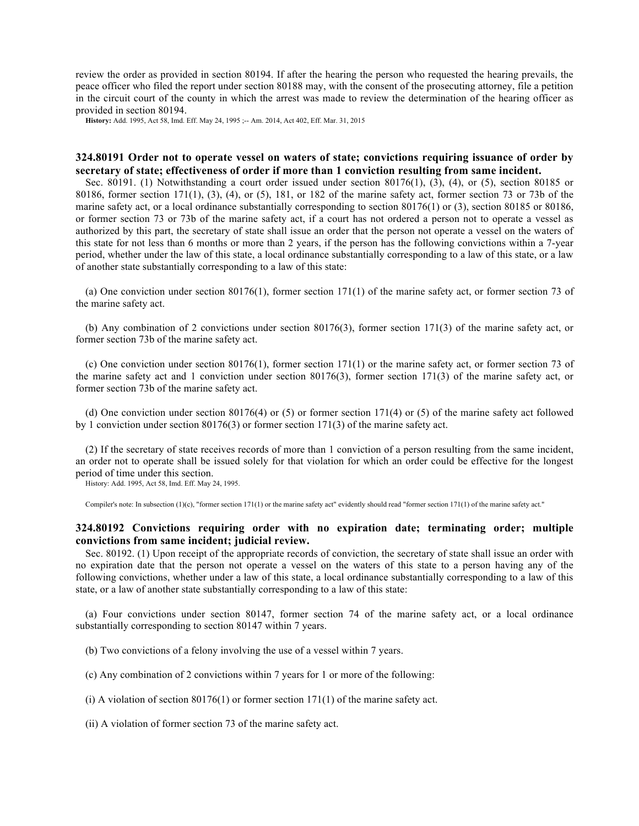review the order as provided in section 80194. If after the hearing the person who requested the hearing prevails, the peace officer who filed the report under section 80188 may, with the consent of the prosecuting attorney, file a petition in the circuit court of the county in which the arrest was made to review the determination of the hearing officer as provided in section 80194.

**History:** Add. 1995, Act 58, Imd. Eff. May 24, 1995 ;-- Am. 2014, Act 402, Eff. Mar. 31, 2015

## **324.80191 Order not to operate vessel on waters of state; convictions requiring issuance of order by secretary of state; effectiveness of order if more than 1 conviction resulting from same incident.**

Sec. 80191. (1) Notwithstanding a court order issued under section 80176(1), (3), (4), or (5), section 80185 or 80186, former section 171(1), (3), (4), or (5), 181, or 182 of the marine safety act, former section 73 or 73b of the marine safety act, or a local ordinance substantially corresponding to section 80176(1) or (3), section 80185 or 80186, or former section 73 or 73b of the marine safety act, if a court has not ordered a person not to operate a vessel as authorized by this part, the secretary of state shall issue an order that the person not operate a vessel on the waters of this state for not less than 6 months or more than 2 years, if the person has the following convictions within a 7-year period, whether under the law of this state, a local ordinance substantially corresponding to a law of this state, or a law of another state substantially corresponding to a law of this state:

(a) One conviction under section 80176(1), former section 171(1) of the marine safety act, or former section 73 of the marine safety act.

(b) Any combination of 2 convictions under section 80176(3), former section 171(3) of the marine safety act, or former section 73b of the marine safety act.

(c) One conviction under section 80176(1), former section 171(1) or the marine safety act, or former section 73 of the marine safety act and 1 conviction under section 80176(3), former section 171(3) of the marine safety act, or former section 73b of the marine safety act.

(d) One conviction under section 80176(4) or (5) or former section 171(4) or (5) of the marine safety act followed by 1 conviction under section 80176(3) or former section 171(3) of the marine safety act.

(2) If the secretary of state receives records of more than 1 conviction of a person resulting from the same incident, an order not to operate shall be issued solely for that violation for which an order could be effective for the longest period of time under this section.

History: Add. 1995, Act 58, Imd. Eff. May 24, 1995.

Compiler's note: In subsection  $(1)(c)$ , "former section 171(1) or the marine safety act" evidently should read "former section 171(1) of the marine safety act."

# **324.80192 Convictions requiring order with no expiration date; terminating order; multiple convictions from same incident; judicial review.**

Sec. 80192. (1) Upon receipt of the appropriate records of conviction, the secretary of state shall issue an order with no expiration date that the person not operate a vessel on the waters of this state to a person having any of the following convictions, whether under a law of this state, a local ordinance substantially corresponding to a law of this state, or a law of another state substantially corresponding to a law of this state:

(a) Four convictions under section 80147, former section 74 of the marine safety act, or a local ordinance substantially corresponding to section 80147 within 7 years.

(b) Two convictions of a felony involving the use of a vessel within 7 years.

(c) Any combination of 2 convictions within 7 years for 1 or more of the following:

(i) A violation of section  $80176(1)$  or former section  $171(1)$  of the marine safety act.

(ii) A violation of former section 73 of the marine safety act.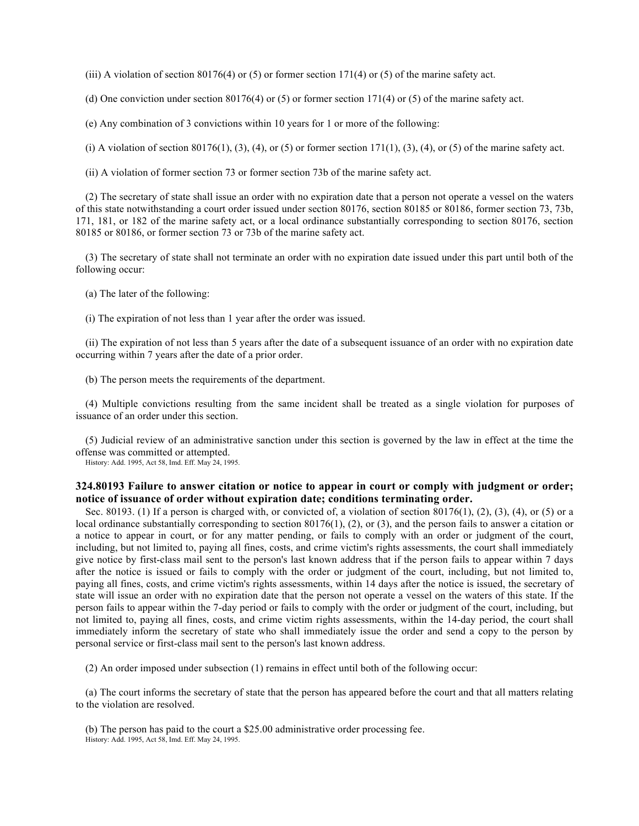(iii) A violation of section 80176(4) or (5) or former section 171(4) or (5) of the marine safety act.

(d) One conviction under section 80176(4) or (5) or former section 171(4) or (5) of the marine safety act.

(e) Any combination of 3 convictions within 10 years for 1 or more of the following:

(i) A violation of section 80176(1), (3), (4), or (5) or former section 171(1), (3), (4), or (5) of the marine safety act.

(ii) A violation of former section 73 or former section 73b of the marine safety act.

(2) The secretary of state shall issue an order with no expiration date that a person not operate a vessel on the waters of this state notwithstanding a court order issued under section 80176, section 80185 or 80186, former section 73, 73b, 171, 181, or 182 of the marine safety act, or a local ordinance substantially corresponding to section 80176, section 80185 or 80186, or former section 73 or 73b of the marine safety act.

(3) The secretary of state shall not terminate an order with no expiration date issued under this part until both of the following occur:

(a) The later of the following:

(i) The expiration of not less than 1 year after the order was issued.

(ii) The expiration of not less than 5 years after the date of a subsequent issuance of an order with no expiration date occurring within 7 years after the date of a prior order.

(b) The person meets the requirements of the department.

(4) Multiple convictions resulting from the same incident shall be treated as a single violation for purposes of issuance of an order under this section.

(5) Judicial review of an administrative sanction under this section is governed by the law in effect at the time the offense was committed or attempted.

History: Add. 1995, Act 58, Imd. Eff. May 24, 1995.

# **324.80193 Failure to answer citation or notice to appear in court or comply with judgment or order; notice of issuance of order without expiration date; conditions terminating order.**

Sec. 80193. (1) If a person is charged with, or convicted of, a violation of section 80176(1), (2), (3), (4), or (5) or a local ordinance substantially corresponding to section 80176(1), (2), or (3), and the person fails to answer a citation or a notice to appear in court, or for any matter pending, or fails to comply with an order or judgment of the court, including, but not limited to, paying all fines, costs, and crime victim's rights assessments, the court shall immediately give notice by first-class mail sent to the person's last known address that if the person fails to appear within 7 days after the notice is issued or fails to comply with the order or judgment of the court, including, but not limited to, paying all fines, costs, and crime victim's rights assessments, within 14 days after the notice is issued, the secretary of state will issue an order with no expiration date that the person not operate a vessel on the waters of this state. If the person fails to appear within the 7-day period or fails to comply with the order or judgment of the court, including, but not limited to, paying all fines, costs, and crime victim rights assessments, within the 14-day period, the court shall immediately inform the secretary of state who shall immediately issue the order and send a copy to the person by personal service or first-class mail sent to the person's last known address.

(2) An order imposed under subsection (1) remains in effect until both of the following occur:

(a) The court informs the secretary of state that the person has appeared before the court and that all matters relating to the violation are resolved.

(b) The person has paid to the court a \$25.00 administrative order processing fee. History: Add. 1995, Act 58, Imd. Eff. May 24, 1995.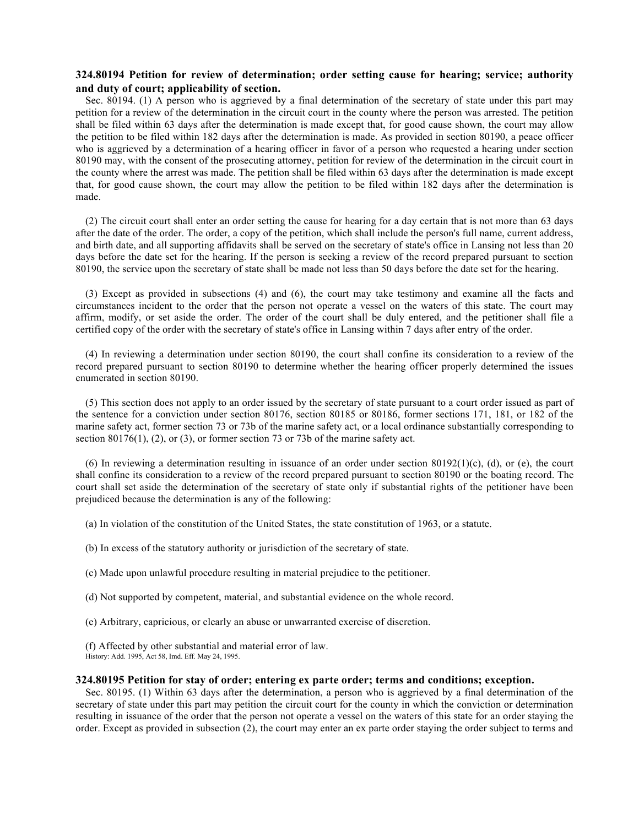# **324.80194 Petition for review of determination; order setting cause for hearing; service; authority and duty of court; applicability of section.**

Sec. 80194. (1) A person who is aggrieved by a final determination of the secretary of state under this part may petition for a review of the determination in the circuit court in the county where the person was arrested. The petition shall be filed within 63 days after the determination is made except that, for good cause shown, the court may allow the petition to be filed within 182 days after the determination is made. As provided in section 80190, a peace officer who is aggrieved by a determination of a hearing officer in favor of a person who requested a hearing under section 80190 may, with the consent of the prosecuting attorney, petition for review of the determination in the circuit court in the county where the arrest was made. The petition shall be filed within 63 days after the determination is made except that, for good cause shown, the court may allow the petition to be filed within 182 days after the determination is made.

(2) The circuit court shall enter an order setting the cause for hearing for a day certain that is not more than 63 days after the date of the order. The order, a copy of the petition, which shall include the person's full name, current address, and birth date, and all supporting affidavits shall be served on the secretary of state's office in Lansing not less than 20 days before the date set for the hearing. If the person is seeking a review of the record prepared pursuant to section 80190, the service upon the secretary of state shall be made not less than 50 days before the date set for the hearing.

(3) Except as provided in subsections (4) and (6), the court may take testimony and examine all the facts and circumstances incident to the order that the person not operate a vessel on the waters of this state. The court may affirm, modify, or set aside the order. The order of the court shall be duly entered, and the petitioner shall file a certified copy of the order with the secretary of state's office in Lansing within 7 days after entry of the order.

(4) In reviewing a determination under section 80190, the court shall confine its consideration to a review of the record prepared pursuant to section 80190 to determine whether the hearing officer properly determined the issues enumerated in section 80190.

(5) This section does not apply to an order issued by the secretary of state pursuant to a court order issued as part of the sentence for a conviction under section 80176, section 80185 or 80186, former sections 171, 181, or 182 of the marine safety act, former section 73 or 73b of the marine safety act, or a local ordinance substantially corresponding to section 80176(1), (2), or (3), or former section 73 or 73b of the marine safety act.

(6) In reviewing a determination resulting in issuance of an order under section  $80192(1)$ (c), (d), or (e), the court shall confine its consideration to a review of the record prepared pursuant to section 80190 or the boating record. The court shall set aside the determination of the secretary of state only if substantial rights of the petitioner have been prejudiced because the determination is any of the following:

- (a) In violation of the constitution of the United States, the state constitution of 1963, or a statute.
- (b) In excess of the statutory authority or jurisdiction of the secretary of state.
- (c) Made upon unlawful procedure resulting in material prejudice to the petitioner.
- (d) Not supported by competent, material, and substantial evidence on the whole record.
- (e) Arbitrary, capricious, or clearly an abuse or unwarranted exercise of discretion.
- (f) Affected by other substantial and material error of law.
- History: Add. 1995, Act 58, Imd. Eff. May 24, 1995.

### **324.80195 Petition for stay of order; entering ex parte order; terms and conditions; exception.**

Sec. 80195. (1) Within 63 days after the determination, a person who is aggrieved by a final determination of the secretary of state under this part may petition the circuit court for the county in which the conviction or determination resulting in issuance of the order that the person not operate a vessel on the waters of this state for an order staying the order. Except as provided in subsection (2), the court may enter an ex parte order staying the order subject to terms and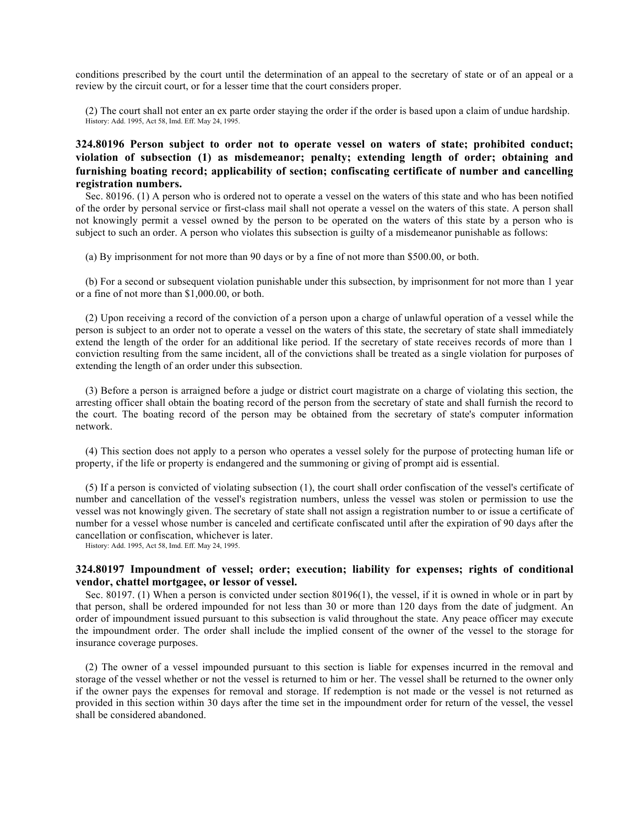conditions prescribed by the court until the determination of an appeal to the secretary of state or of an appeal or a review by the circuit court, or for a lesser time that the court considers proper.

(2) The court shall not enter an ex parte order staying the order if the order is based upon a claim of undue hardship. History: Add. 1995, Act 58, Imd. Eff. May 24, 1995.

**324.80196 Person subject to order not to operate vessel on waters of state; prohibited conduct; violation of subsection (1) as misdemeanor; penalty; extending length of order; obtaining and furnishing boating record; applicability of section; confiscating certificate of number and cancelling registration numbers.**

Sec. 80196. (1) A person who is ordered not to operate a vessel on the waters of this state and who has been notified of the order by personal service or first-class mail shall not operate a vessel on the waters of this state. A person shall not knowingly permit a vessel owned by the person to be operated on the waters of this state by a person who is subject to such an order. A person who violates this subsection is guilty of a misdemeanor punishable as follows:

(a) By imprisonment for not more than 90 days or by a fine of not more than \$500.00, or both.

(b) For a second or subsequent violation punishable under this subsection, by imprisonment for not more than 1 year or a fine of not more than \$1,000.00, or both.

(2) Upon receiving a record of the conviction of a person upon a charge of unlawful operation of a vessel while the person is subject to an order not to operate a vessel on the waters of this state, the secretary of state shall immediately extend the length of the order for an additional like period. If the secretary of state receives records of more than 1 conviction resulting from the same incident, all of the convictions shall be treated as a single violation for purposes of extending the length of an order under this subsection.

(3) Before a person is arraigned before a judge or district court magistrate on a charge of violating this section, the arresting officer shall obtain the boating record of the person from the secretary of state and shall furnish the record to the court. The boating record of the person may be obtained from the secretary of state's computer information network.

(4) This section does not apply to a person who operates a vessel solely for the purpose of protecting human life or property, if the life or property is endangered and the summoning or giving of prompt aid is essential.

(5) If a person is convicted of violating subsection (1), the court shall order confiscation of the vessel's certificate of number and cancellation of the vessel's registration numbers, unless the vessel was stolen or permission to use the vessel was not knowingly given. The secretary of state shall not assign a registration number to or issue a certificate of number for a vessel whose number is canceled and certificate confiscated until after the expiration of 90 days after the cancellation or confiscation, whichever is later.

History: Add. 1995, Act 58, Imd. Eff. May 24, 1995.

# **324.80197 Impoundment of vessel; order; execution; liability for expenses; rights of conditional vendor, chattel mortgagee, or lessor of vessel.**

Sec. 80197. (1) When a person is convicted under section 80196(1), the vessel, if it is owned in whole or in part by that person, shall be ordered impounded for not less than 30 or more than 120 days from the date of judgment. An order of impoundment issued pursuant to this subsection is valid throughout the state. Any peace officer may execute the impoundment order. The order shall include the implied consent of the owner of the vessel to the storage for insurance coverage purposes.

(2) The owner of a vessel impounded pursuant to this section is liable for expenses incurred in the removal and storage of the vessel whether or not the vessel is returned to him or her. The vessel shall be returned to the owner only if the owner pays the expenses for removal and storage. If redemption is not made or the vessel is not returned as provided in this section within 30 days after the time set in the impoundment order for return of the vessel, the vessel shall be considered abandoned.